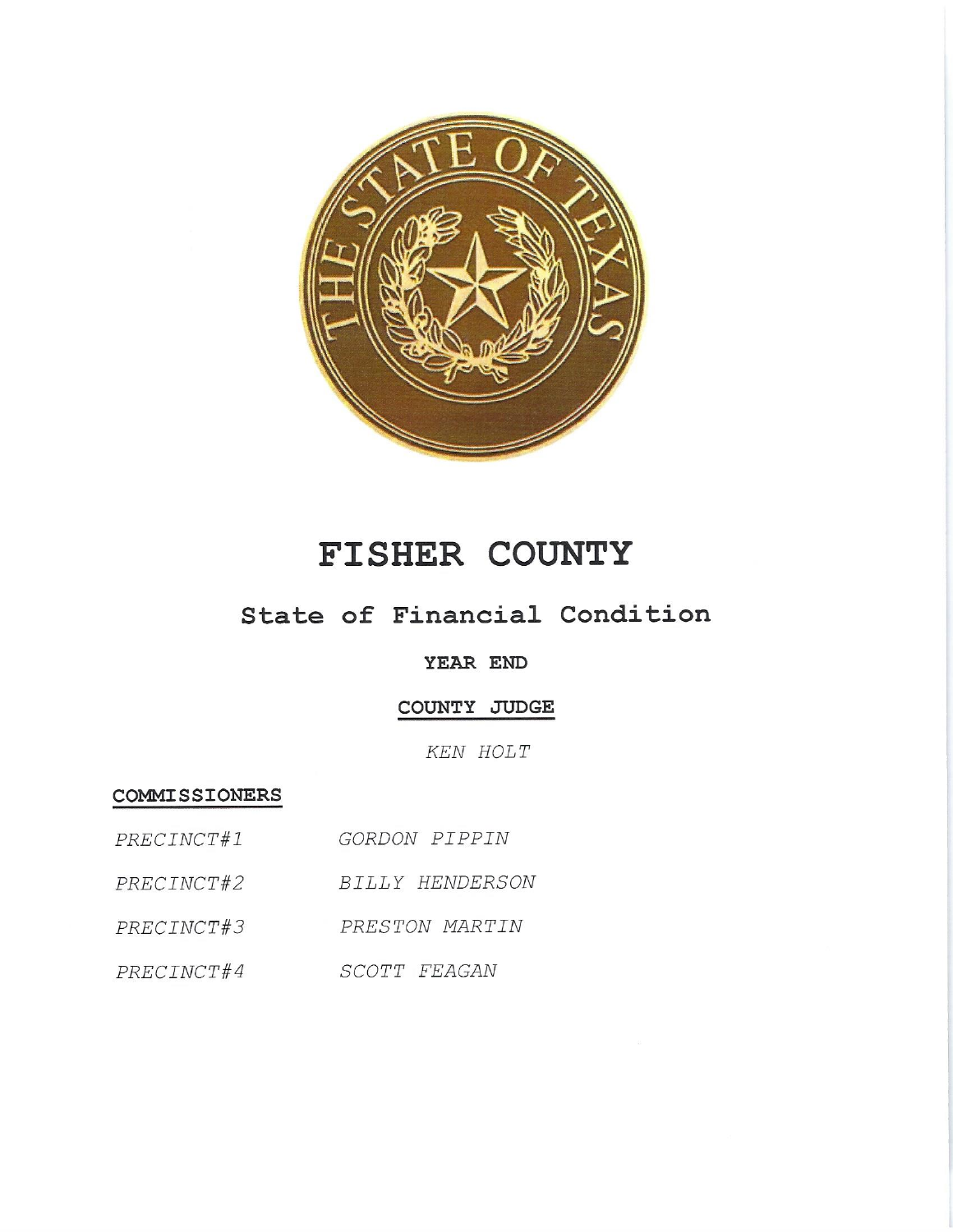

# FISHER COUNTY

## State of Financial Condition

### YEAR END

COUNTY JUDGE

KEN HOLT

**COMMISSIONERS** 

PRECINCT#2 BILLY HENDERSON

PRECINCT#3 PRESTON MARTIN

PRECINCT#4 SCOTT FEAGAN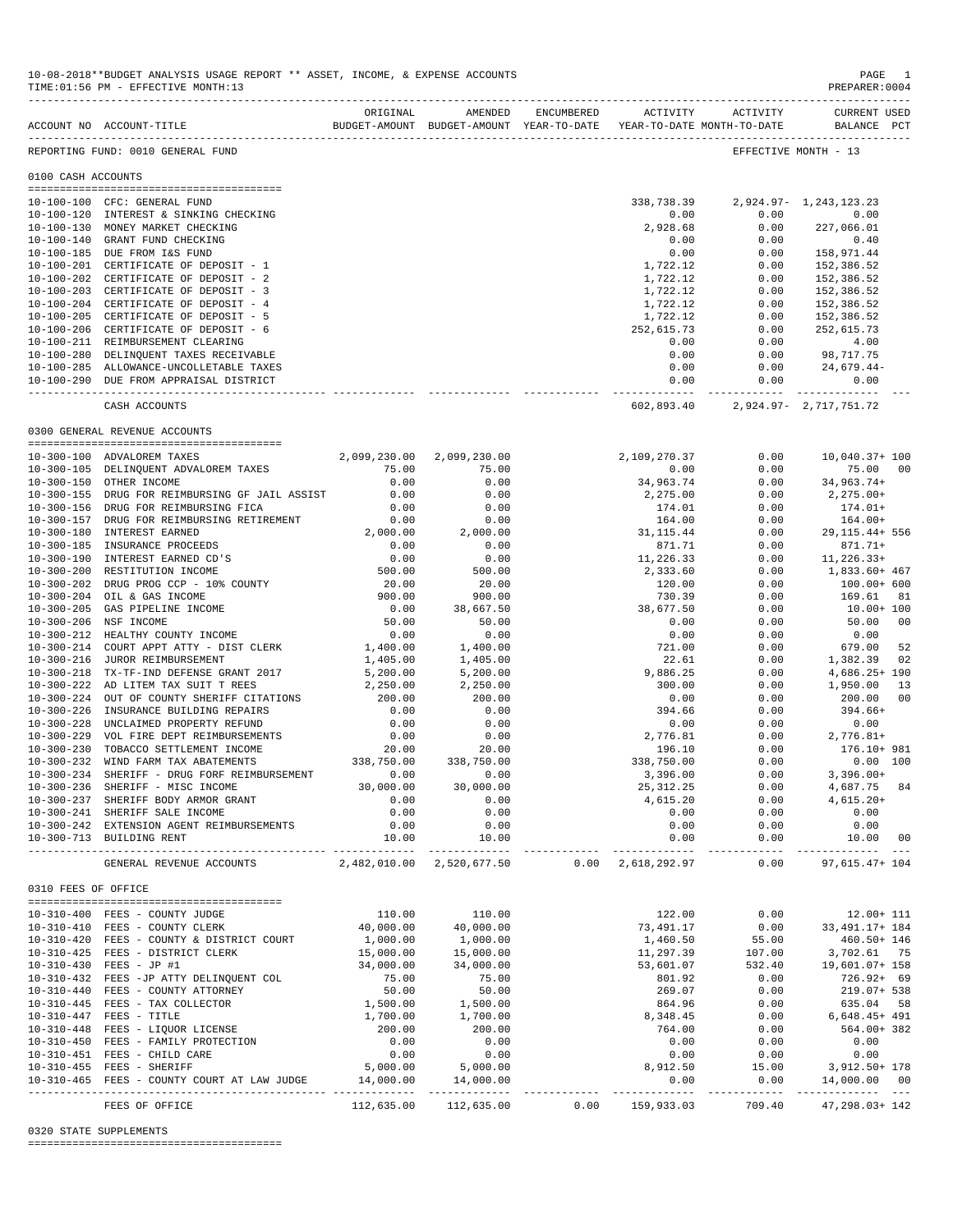|                     | TIME: 01:56 PM - EFFECTIVE MONTH: 13                                                            |                                         |                                               |      |                           |                                        | PREPARER:0004                       |                |
|---------------------|-------------------------------------------------------------------------------------------------|-----------------------------------------|-----------------------------------------------|------|---------------------------|----------------------------------------|-------------------------------------|----------------|
|                     | BUDGET-AMOUNT BUDGET-AMOUNT YEAR-TO-DATE YEAR-TO-DATE MONTH-TO-DATE<br>ACCOUNT NO ACCOUNT-TITLE |                                         | ORIGINAL AMENDED ENCUMBERED ACTIVITY ACTIVITY |      |                           |                                        | <b>CURRENT USED</b><br>BALANCE PCT  |                |
|                     | REPORTING FUND: 0010 GENERAL FUND                                                               |                                         |                                               |      |                           |                                        | EFFECTIVE MONTH - 13                |                |
| 0100 CASH ACCOUNTS  |                                                                                                 |                                         |                                               |      |                           |                                        |                                     |                |
|                     | 10-100-100 CFC: GENERAL FUND                                                                    |                                         |                                               |      |                           | 338, 738.39 2, 924.97 - 1, 243, 123.23 |                                     |                |
|                     | 10-100-120 INTEREST & SINKING CHECKING                                                          |                                         |                                               |      | 0.00                      | 0.00                                   | 0.00                                |                |
|                     | 10-100-130 MONEY MARKET CHECKING                                                                |                                         |                                               |      | 2,928.68                  | 0.00                                   | 227,066.01                          |                |
|                     | 10-100-140 GRANT FUND CHECKING                                                                  |                                         |                                               |      | 0.00                      | 0.00                                   | 0.40                                |                |
|                     | 10-100-185 DUE FROM I&S FUND                                                                    |                                         |                                               |      | 0.00                      | 0.00                                   | 158,971.44                          |                |
|                     | 10-100-201 CERTIFICATE OF DEPOSIT - 1                                                           |                                         |                                               |      | 1,722.12                  | 0.00                                   | 152,386.52                          |                |
|                     | 10-100-202 CERTIFICATE OF DEPOSIT - 2                                                           |                                         |                                               |      | 1,722.12                  | 0.00                                   | 152,386.52                          |                |
|                     | 10-100-203 CERTIFICATE OF DEPOSIT - 3                                                           |                                         |                                               |      | 1,722.12                  | 0.00                                   | 152,386.52                          |                |
|                     | 10-100-204 CERTIFICATE OF DEPOSIT - 4                                                           |                                         |                                               |      | 1,722.12                  | 0.00                                   | 152,386.52                          |                |
|                     | 10-100-205 CERTIFICATE OF DEPOSIT - 5                                                           |                                         |                                               |      | 1,722.12                  | 0.00                                   | 152,386.52                          |                |
|                     | 10-100-206 CERTIFICATE OF DEPOSIT - 6                                                           |                                         |                                               |      | 252,615.73                | 0.00                                   | 252,615.73                          |                |
|                     | 10-100-211 REIMBURSEMENT CLEARING                                                               |                                         |                                               |      | 0.00                      | 0.00                                   | 4.00                                |                |
|                     | 10-100-280 DELINQUENT TAXES RECEIVABLE                                                          |                                         |                                               |      | 0.00                      | 0.00                                   | 98,717.75                           |                |
|                     | 10-100-285 ALLOWANCE-UNCOLLETABLE TAXES                                                         |                                         |                                               |      | 0.00                      |                                        | $0.00$ 24,679.44-                   |                |
|                     | 10-100-290 DUE FROM APPRAISAL DISTRICT                                                          |                                         |                                               |      | 0.00<br>--------------    | 0.00                                   | 0.00<br>------------ -------------- |                |
|                     | CASH ACCOUNTS                                                                                   |                                         |                                               |      | 602,893.40                |                                        | 2,924.97- 2,717,751.72              |                |
|                     | 0300 GENERAL REVENUE ACCOUNTS                                                                   |                                         |                                               |      |                           |                                        |                                     |                |
|                     | 10-300-100 ADVALOREM TAXES                                                                      |                                         | 2,099,230.00 2,099,230.00                     |      | 2,109,270.37              | 0.00                                   | 10,040.37+ 100                      |                |
|                     | 10-300-105 DELINQUENT ADVALOREM TAXES                                                           | 75.00                                   | 75.00                                         |      | 0.00                      | 0.00                                   | 75.00                               | - 00           |
|                     | 10-300-150 OTHER INCOME                                                                         | 0.00                                    | 0.00                                          |      | 34,963.74                 | 0.00                                   | 34,963.74+                          |                |
|                     | 10-300-155 DRUG FOR REIMBURSING GF JAIL ASSIST                                                  | 0.00                                    | 0.00                                          |      | 2,275.00                  | 0.00                                   | 2,275.00+                           |                |
|                     | 10-300-156 DRUG FOR REIMBURSING FICA                                                            | 0.00                                    | 0.00                                          |      | 174.01                    | 0.00                                   | $174.01+$                           |                |
|                     | 10-300-157 DRUG FOR REIMBURSING RETIREMENT                                                      | 0.00                                    | 0.00                                          |      | 164.00                    | 0.00                                   | 164.00+                             |                |
|                     | 10-300-180 INTEREST EARNED                                                                      | $0.00$<br>2,000.00                      | 2,000.00                                      |      | 31, 115.44                | 0.00                                   | 29,115.44+ 556                      |                |
|                     | 10-300-185 INSURANCE PROCEEDS                                                                   | 0.00                                    | 0.00                                          |      | 871.71                    | 0.00                                   | 871.71+                             |                |
|                     | 10-300-190 INTEREST EARNED CD'S                                                                 | 0.00                                    | 0.00                                          |      | 11,226.33                 | 0.00                                   | 11,226.33+                          |                |
|                     | 10-300-200 RESTITUTION INCOME                                                                   | 500.00                                  | 500.00                                        |      | 2,333.60                  | 0.00                                   | 1,833.60+ 467                       |                |
|                     | 10-300-202 DRUG PROG CCP - 10% COUNTY                                                           | 20.00                                   | 20.00                                         |      | 120.00                    | 0.00                                   | 100.00+ 600                         |                |
|                     | 10-300-204 OIL & GAS INCOME                                                                     | 900.00                                  | 900.00                                        |      | 730.39                    | 0.00                                   | 169.61                              | 81             |
|                     | 10-300-205 GAS PIPELINE INCOME                                                                  | 0.00                                    | 38,667.50                                     |      | 38,677.50                 | 0.00                                   | 10.00+ 100                          |                |
|                     | 10-300-206 NSF INCOME                                                                           | 50.00                                   | 50.00                                         |      | 0.00                      | 0.00                                   | 50.00                               | 00             |
|                     | 10-300-212 HEALTHY COUNTY INCOME                                                                | 0.00                                    | 0.00                                          |      | 0.00                      | 0.00                                   | 0.00                                |                |
|                     | 10-300-214 COURT APPT ATTY - DIST CLERK                                                         | 1,400.00                                | 1,400.00                                      |      | 721.00                    | 0.00                                   | 679.00                              | 52             |
|                     | 10-300-216 JUROR REIMBURSEMENT                                                                  | 1,405.00                                | 1,405.00                                      |      | 22.61                     | 0.00                                   | 1,382.39                            | 02             |
|                     | 10-300-218 TX-TF-IND DEFENSE GRANT 2017                                                         | 5,200.00                                | 5,200.00                                      |      | 9,886.25                  | 0.00                                   | 4,686.25+ 190                       |                |
|                     | 10-300-222 AD LITEM TAX SUIT T REES                                                             | 2,250.00                                | 2,250.00                                      |      | 300.00                    | 0.00                                   | 1,950.00                            | 13             |
|                     | 10-300-224 OUT OF COUNTY SHERIFF CITATIONS                                                      | 200.00                                  | 200.00                                        |      | 0.00                      | 0.00                                   | 200.00                              | -00            |
|                     | 10-300-226 INSURANCE BUILDING REPAIRS                                                           | 0.00                                    | 0.00                                          |      | 394.66                    | 0.00                                   | 394.66+                             |                |
|                     | 10-300-228 UNCLAIMED PROPERTY REFUND                                                            | 0.00                                    | 0.00                                          |      | 0.00                      | 0.00                                   | 0.00                                |                |
|                     | 10-300-229 VOL FIRE DEPT REIMBURSEMENTS                                                         | 0.00                                    | 0.00                                          |      | 2,776.81                  | 0.00                                   | $2,776.81+$                         |                |
|                     | 10-300-230 TOBACCO SETTLEMENT INCOME                                                            | 20.00<br>338,750.00                     | 20.00                                         |      | 196.10                    | 0.00                                   | 176.10+ 981                         |                |
|                     | 10-300-232 WIND FARM TAX ABATEMENTS                                                             |                                         | 338,750.00                                    |      | 338,750.00                | 0.00                                   | $0.00$ 100                          |                |
|                     | 10-300-234 SHERIFF - DRUG FORF REIMBURSEMENT 0.00                                               |                                         | 0.00                                          |      | 3,396.00                  | 0.00                                   | $3,396.00+$                         |                |
|                     | 10-300-236 SHERIFF - MISC INCOME                                                                | 30,000.00                               | 30,000.00                                     |      | 25, 312.25                | 0.00                                   | 4,687.75                            | 84             |
|                     | 10-300-237 SHERIFF BODY ARMOR GRANT                                                             | 0.00                                    | 0.00                                          |      | 4,615.20                  | 0.00                                   | $4,615.20+$                         |                |
|                     | 10-300-241 SHERIFF SALE INCOME                                                                  | 0.00                                    | 0.00                                          |      | 0.00                      | 0.00                                   | 0.00                                |                |
|                     | 10-300-242 EXTENSION AGENT REIMBURSEMENTS<br>10-300-713 BUILDING RENT                           | 0.00<br>10.00                           | 0.00<br>10.00                                 |      | 0.00<br>0.00              | 0.00<br>0.00                           | 0.00<br>10.00                       | 0 <sub>0</sub> |
|                     | GENERAL REVENUE ACCOUNTS                                                                        | __________<br>2,482,010.00 2,520,677.50 | ----------                                    |      | $0.00 \quad 2,618,292.97$ | -----<br>0.00                          | .<br>97,615.47+ 104                 |                |
| 0310 FEES OF OFFICE |                                                                                                 |                                         |                                               |      |                           |                                        |                                     |                |
|                     |                                                                                                 |                                         |                                               |      |                           |                                        |                                     |                |
|                     | 10-310-400 FEES - COUNTY JUDGE                                                                  | 110.00                                  | 110.00                                        |      | 122.00                    | 0.00                                   | 12.00+ 111                          |                |
|                     | 10-310-410 FEES - COUNTY CLERK                                                                  | 40,000.00                               | 40,000.00                                     |      | 73,491.17                 | 0.00                                   | 33, 491.17+ 184                     |                |
|                     | 10-310-420 FEES - COUNTY & DISTRICT COURT                                                       | 1,000.00                                | 1,000.00                                      |      | 1,460.50                  | 55.00                                  | $460.50 + 146$                      |                |
|                     | 10-310-425 FEES - DISTRICT CLERK                                                                | 15,000.00                               | 15,000.00                                     |      | 11,297.39                 | 107.00                                 | 3,702.61 75                         |                |
|                     | 10-310-430 FEES - JP #1                                                                         | 34,000.00                               | 34,000.00                                     |      | 53,601.07                 | 532.40                                 | 19,601.07+ 158                      |                |
|                     | 10-310-432 FEES -JP ATTY DELINQUENT COL                                                         | 75.00                                   | 75.00                                         |      | 801.92                    | 0.00                                   | $726.92 + 69$                       |                |
|                     | 10-310-440 FEES - COUNTY ATTORNEY                                                               | 50.00                                   | 50.00                                         |      | 269.07                    | 0.00                                   | 219.07+ 538                         |                |
|                     | 10-310-445 FEES - TAX COLLECTOR                                                                 | 1,500.00                                | 1,500.00                                      |      | 864.96                    | 0.00                                   | 635.04 58                           |                |
|                     | 10-310-447 FEES - TITLE                                                                         | 1,700.00                                | 1,700.00                                      |      | 8,348.45                  | 0.00                                   | $6,648.45+491$                      |                |
|                     | 10-310-448 FEES - LIQUOR LICENSE                                                                | 200.00                                  | 200.00                                        |      | 764.00                    | 0.00                                   | 564.00+ 382                         |                |
|                     | 10-310-450 FEES - FAMILY PROTECTION                                                             | 0.00                                    | 0.00                                          |      | 0.00                      | 0.00                                   | 0.00                                |                |
|                     | 10-310-451 FEES - CHILD CARE                                                                    | 0.00                                    | 0.00                                          |      | 0.00                      | 0.00                                   | 0.00                                |                |
|                     | 10-310-455 FEES - SHERIFF                                                                       | 5,000.00                                | 5,000.00                                      |      | 8,912.50                  | 15.00                                  | 3,912.50+ 178                       |                |
|                     | 10-310-465 FEES - COUNTY COURT AT LAW JUDGE                                                     | 14,000.00                               | 14,000.00<br>-----------                      |      | 0.00<br>$- - - - - -$     | 0.00<br>$- - - - - - -$                | 14,000.00 00                        |                |
|                     | FEES OF OFFICE                                                                                  | 112,635.00                              | 112,635.00                                    | 0.00 | 159,933.03                | 709.40                                 | 47, 298.03+ 142                     |                |

10-08-2018\*\*BUDGET ANALYSIS USAGE REPORT \*\* ASSET, INCOME, & EXPENSE ACCOUNTS PAGE 1

0320 STATE SUPPLEMENTS

========================================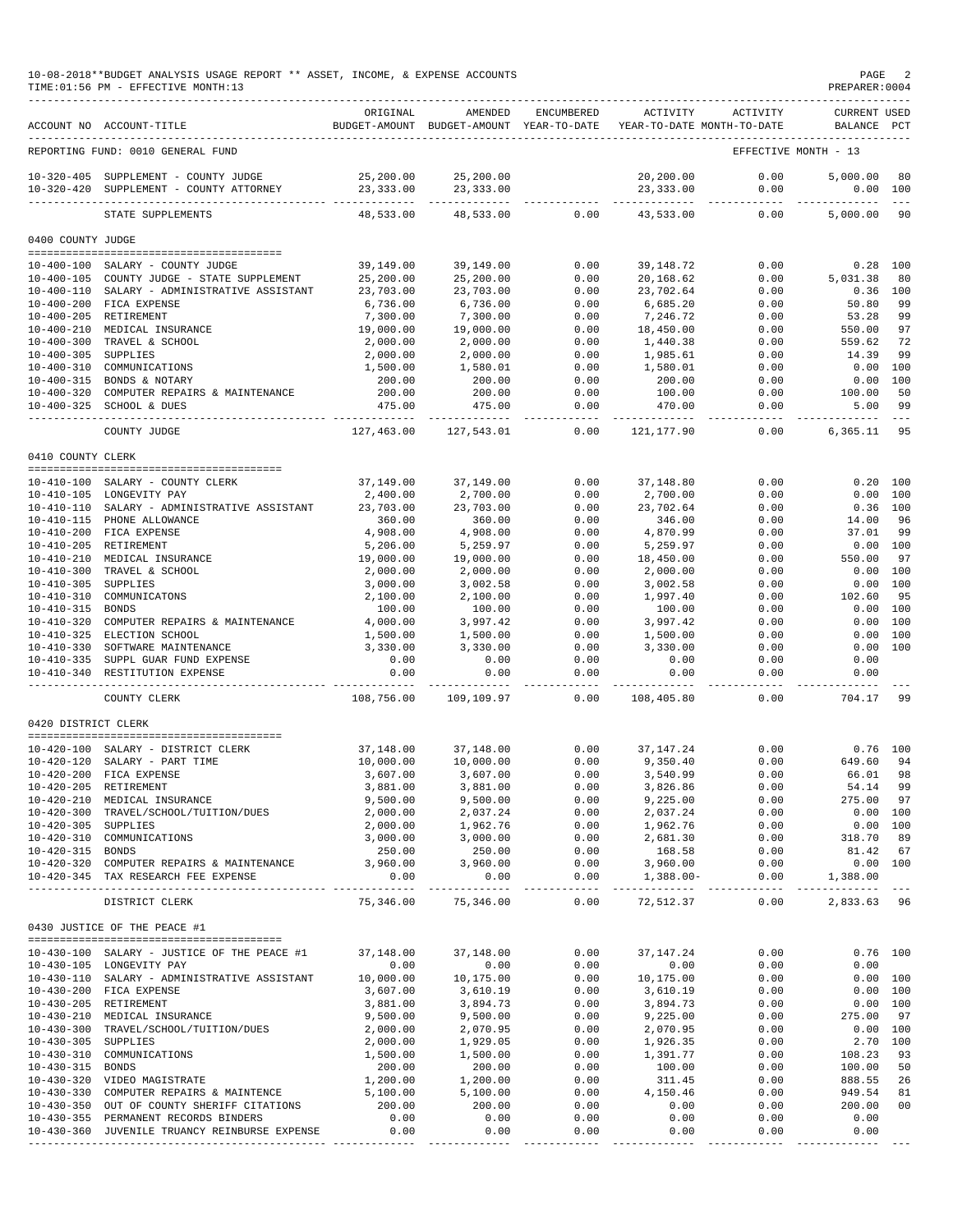### 10-08-2018\*\*BUDGET ANALYSIS USAGE REPORT \*\* ASSET, INCOME, & EXPENSE ACCOUNTS PAGE 2  $TIME:01:56 PM - EFFECTIVE MOMTH:13$

|                     | ACCOUNT NO ACCOUNT-TITLE                                                              | ORIGINAL               | AMENDED<br>BUDGET-AMOUNT BUDGET-AMOUNT YEAR-TO-DATE | ENCUMBERED            | ACTIVITY<br>YEAR-TO-DATE MONTH-TO-DATE   | ACTIVITY             | CURRENT USED<br>BALANCE PCT |                |
|---------------------|---------------------------------------------------------------------------------------|------------------------|-----------------------------------------------------|-----------------------|------------------------------------------|----------------------|-----------------------------|----------------|
|                     | REPORTING FUND: 0010 GENERAL FUND                                                     |                        |                                                     |                       |                                          | EFFECTIVE MONTH - 13 |                             |                |
|                     | 10-320-405 SUPPLEMENT - COUNTY JUDGE                                                  | 25,200.00              | 25,200.00                                           |                       | 20,200.00                                | 0.00                 | 5,000.00                    | 80             |
|                     | 10-320-420 SUPPLEMENT - COUNTY ATTORNEY                                               | 23,333.00              | 23, 333.00                                          |                       | 23, 333.00                               | 0.00                 | 0.00 100                    |                |
|                     | STATE SUPPLEMENTS                                                                     | 48,533.00              | 48,533.00                                           | 0.00                  | 43,533.00                                | 0.00                 | 5,000.00                    | 90             |
| 0400 COUNTY JUDGE   |                                                                                       |                        |                                                     |                       |                                          |                      |                             |                |
|                     |                                                                                       |                        |                                                     |                       |                                          |                      |                             |                |
|                     | 10-400-100 SALARY - COUNTY JUDGE<br>10-400-105 COUNTY JUDGE - STATE SUPPLEMENT        | 39,149.00<br>25,200.00 | 39,149.00<br>25,200.00                              | 0.00<br>0.00          | 39,148.72<br>20,168.62                   | 0.00<br>0.00         | $0.28$ 100<br>5,031.38      | 80             |
|                     | 10-400-110 SALARY - ADMINISTRATIVE ASSISTANT                                          | 23,703.00              | 23,703.00                                           | 0.00                  | 23,702.64                                | 0.00                 | $0.36$ 100                  |                |
|                     | 10-400-200 FICA EXPENSE                                                               | 6,736.00               | 6,736.00                                            | 0.00                  | 6,685.20                                 | 0.00                 | 50.80                       | 99             |
|                     | 10-400-205 RETIREMENT                                                                 | 7,300.00               | 7,300.00                                            | 0.00                  | 7,246.72                                 | 0.00                 | 53.28                       | 99             |
|                     | 10-400-210 MEDICAL INSURANCE                                                          | 19,000.00              | 19,000.00                                           | 0.00                  | 18,450.00                                | 0.00                 | 550.00                      | 97             |
|                     | 10-400-300 TRAVEL & SCHOOL                                                            | 2,000.00               | 2,000.00                                            | 0.00                  | 1,440.38                                 | 0.00                 | 559.62                      | 72             |
| 10-400-305 SUPPLIES |                                                                                       | 2,000.00               | 2,000.00                                            | 0.00                  | 1,985.61                                 | 0.00                 | 14.39                       | 99             |
|                     | 10-400-310 COMMUNICATIONS                                                             | 1,500.00               | 1,580.01                                            | 0.00                  | 1,580.01                                 | 0.00                 | 0.00 100                    |                |
|                     | 10-400-315 BONDS & NOTARY                                                             | 200.00                 | 200.00                                              | 0.00                  | 200.00                                   | 0.00                 | 0.00                        | 100            |
|                     | 10-400-320 COMPUTER REPAIRS & MAINTENANCE                                             | 200.00                 | 200.00                                              | 0.00                  | 100.00                                   | 0.00                 | 100.00                      | 50             |
|                     | 10-400-325 SCHOOL & DUES                                                              | 475.00                 | 475.00                                              | 0.00<br>$- - - - -$   | 470.00                                   | 0.00                 | 5.00<br>--------            | 99             |
|                     | COUNTY JUDGE                                                                          | 127,463.00             | 127,543.01                                          | 0.00                  | 121, 177.90                              | 0.00                 | 6,365.11                    | 95             |
| 0410 COUNTY CLERK   |                                                                                       |                        |                                                     |                       |                                          |                      |                             |                |
|                     |                                                                                       |                        |                                                     |                       |                                          |                      |                             |                |
|                     | 10-410-100 SALARY - COUNTY CLERK                                                      | 37,149.00              | 37,149.00                                           | 0.00                  | 37,148.80                                | 0.00                 | 0.20 100                    |                |
|                     | 10-410-105 LONGEVITY PAY                                                              | 2,400.00               | 2,700.00                                            | 0.00                  | 2,700.00                                 | 0.00                 | 0.00 100                    |                |
|                     | 10-410-110 SALARY - ADMINISTRATIVE ASSISTANT                                          | 23,703.00              | 23,703.00                                           | 0.00                  | 23,702.64                                | 0.00                 | $0.36$ 100                  |                |
|                     | 10-410-115 PHONE ALLOWANCE                                                            | 360.00                 | 360.00                                              | 0.00<br>0.00          | 346.00<br>4,870.99                       | 0.00                 | 14.00                       | 96<br>99       |
|                     | 10-410-200 FICA EXPENSE<br>10-410-205 RETIREMENT                                      | 4,908.00<br>5,206.00   | 4,908.00<br>5,259.97                                | 0.00                  | 5,259.97                                 | 0.00<br>0.00         | 37.01<br>0.00 100           |                |
|                     | 10-410-210 MEDICAL INSURANCE                                                          | 19,000.00              | 19,000.00                                           | 0.00                  | 18,450.00                                | 0.00                 | 550.00                      | 97             |
| $10 - 410 - 300$    | TRAVEL & SCHOOL                                                                       | 2,000.00               | 2,000.00                                            | 0.00                  | 2,000.00                                 | 0.00                 | 0.00 100                    |                |
| $10 - 410 - 305$    | SUPPLIES                                                                              | 3,000.00               | 3,002.58                                            | 0.00                  | 3,002.58                                 | 0.00                 | 0.00 100                    |                |
| $10 - 410 - 310$    | COMMUNICATONS                                                                         | 2,100.00               | 2,100.00                                            | 0.00                  | 1,997.40                                 | 0.00                 | 102.60                      | 95             |
| $10 - 410 - 315$    | <b>BONDS</b>                                                                          | 100.00                 | 100.00                                              | 0.00                  | 100.00                                   | 0.00                 | 0.00 100                    |                |
| $10 - 410 - 320$    | COMPUTER REPAIRS & MAINTENANCE                                                        | 4,000.00               | 3,997.42                                            | 0.00                  | 3,997.42                                 | 0.00                 | 0.00 100                    |                |
|                     | 10-410-325 ELECTION SCHOOL                                                            | 1,500.00               | 1,500.00                                            | 0.00                  | 1,500.00                                 | 0.00                 | 0.00                        | 100            |
| $10 - 410 - 330$    | SOFTWARE MAINTENANCE                                                                  | 3,330.00               | 3,330.00                                            | 0.00                  | 3,330.00                                 | 0.00                 | 0.00 100                    |                |
|                     | 10-410-335 SUPPL GUAR FUND EXPENSE                                                    | 0.00                   | 0.00                                                | 0.00                  | 0.00                                     | 0.00                 | 0.00                        |                |
|                     | 10-410-340 RESTITUTION EXPENSE<br>____________________________________                | 0.00<br>. <u>.</u>     | 0.00                                                | 0.00<br>$\frac{1}{2}$ | 0.00                                     | 0.00<br>-----        | 0.00<br>-------             |                |
|                     | COUNTY CLERK                                                                          | 108,756.00             | 109,109.97                                          | 0.00                  | 108,405.80                               | 0.00                 | 704.17                      | -99            |
| 0420 DISTRICT CLERK |                                                                                       |                        |                                                     |                       |                                          |                      |                             |                |
|                     |                                                                                       |                        |                                                     |                       |                                          |                      |                             |                |
|                     | 10-420-100 SALARY - DISTRICT CLERK                                                    | 37,148.00              | 37,148.00                                           | 0.00                  | 37, 147. 24                              | 0.00                 | $0.76$ 100                  |                |
|                     | 10-420-120 SALARY - PART TIME<br>10-420-200 FICA EXPENSE                              | 10,000.00              | 10,000.00                                           | 0.00<br>0.00          | 9,350.40                                 | 0.00<br>0.00         | 649.60<br>66.01             | 94<br>98       |
|                     | 10-420-205 RETIREMENT                                                                 | 3,607.00<br>3,881.00   | 3,607.00<br>3,881.00                                | 0.00                  | 3,540.99<br>3,826.86                     | 0.00                 | 54.14                       | 99             |
|                     | 10-420-210 MEDICAL INSURANCE                                                          | 9,500.00               | 9,500.00                                            | 0.00                  | 9,225.00                                 | 0.00                 | 275.00                      | -97            |
|                     | 10-420-300 TRAVEL/SCHOOL/TUITION/DUES                                                 | 2,000.00               | 2,037.24                                            | 0.00                  | 2,037.24                                 | 0.00                 | 0.00 100                    |                |
| 10-420-305 SUPPLIES |                                                                                       | 2,000.00               | 1,962.76                                            | 0.00                  | 1,962.76                                 | 0.00                 | 0.00 100                    |                |
|                     | 10-420-310 COMMUNICATIONS                                                             | 3,000.00               | 3,000.00                                            | 0.00                  | 2,681.30                                 | 0.00                 | 318.70                      | 89             |
| 10-420-315 BONDS    |                                                                                       | 250.00                 | 250.00                                              | 0.00                  | 168.58                                   | 0.00                 | 81.42                       | 67             |
|                     | 10-420-320 COMPUTER REPAIRS & MAINTENANCE                                             | 3,960.00               | 3,960.00                                            | 0.00                  | 3,960.00                                 | 0.00                 | 0.00 100                    |                |
|                     | 10-420-345 TAX RESEARCH FEE EXPENSE                                                   | 0.00                   | 0.00<br>-------------                               | 0.00<br>------------- | $1,388.00-$<br>------------ ------------ | 0.00                 | 1,388.00                    |                |
|                     | DISTRICT CLERK                                                                        | 75,346.00              | 75,346.00                                           | 0.00                  | 72,512.37                                | 0.00                 | 2,833.63 96                 |                |
|                     | 0430 JUSTICE OF THE PEACE #1                                                          |                        |                                                     |                       |                                          |                      |                             |                |
|                     |                                                                                       |                        |                                                     |                       |                                          |                      |                             |                |
|                     | 10-430-100 SALARY - JUSTICE OF THE PEACE #1                                           | 37,148.00<br>0.00      | 37,148.00                                           | 0.00<br>0.00          | 37,147.24<br>0.00                        | 0.00<br>0.00         | $0.76$ 100<br>0.00          |                |
|                     | 10-430-105 LONGEVITY PAY<br>10-430-110 SALARY - ADMINISTRATIVE ASSISTANT              | 10,000.00              | 0.00<br>10,175.00                                   | 0.00                  | 10,175.00                                | 0.00                 | 0.00 100                    |                |
|                     | 10-430-200 FICA EXPENSE                                                               | 3,607.00               | 3,610.19                                            | 0.00                  | 3,610.19                                 | 0.00                 | 0.00 100                    |                |
|                     | 10-430-205 RETIREMENT                                                                 | 3,881.00               | 3,894.73                                            | 0.00                  | 3,894.73                                 | 0.00                 | 0.00 100                    |                |
|                     | 10-430-210 MEDICAL INSURANCE                                                          | 9,500.00               | 9,500.00                                            | 0.00                  | 9,225.00                                 | 0.00                 | 275.00                      | 97             |
|                     | 10-430-300 TRAVEL/SCHOOL/TUITION/DUES                                                 | 2,000.00               | 2,070.95                                            | 0.00                  | 2,070.95                                 | 0.00                 | 0.00 100                    |                |
| 10-430-305 SUPPLIES |                                                                                       | 2,000.00               | 1,929.05                                            | 0.00                  | 1,926.35                                 | 0.00                 | 2.70 100                    |                |
|                     | 10-430-310 COMMUNICATIONS                                                             | 1,500.00               | 1,500.00                                            | 0.00                  | 1,391.77                                 | 0.00                 | 108.23                      | 93             |
| 10-430-315 BONDS    |                                                                                       | 200.00                 | 200.00                                              | 0.00                  | 100.00                                   | 0.00                 | 100.00                      | 50             |
|                     | 10-430-320 VIDEO MAGISTRATE                                                           | 1,200.00               | 1,200.00                                            | 0.00                  | 311.45                                   | 0.00                 | 888.55                      | 26             |
|                     | 10-430-330 COMPUTER REPAIRS & MAINTENCE                                               | 5,100.00               | 5,100.00                                            | 0.00                  | 4,150.46                                 | 0.00                 | 949.54                      | 81             |
|                     | 10-430-350 OUT OF COUNTY SHERIFF CITATIONS                                            | 200.00                 | 200.00                                              | 0.00                  | 0.00                                     | 0.00                 | 200.00                      | 0 <sub>0</sub> |
|                     | 10-430-355 PERMANENT RECORDS BINDERS<br>10-430-360 JUVENILE TRUANCY REINBURSE EXPENSE | 0.00<br>0.00           | 0.00<br>0.00                                        | 0.00<br>0.00          | 0.00<br>0.00                             | 0.00<br>0.00         | 0.00<br>0.00                |                |
|                     |                                                                                       |                        |                                                     |                       |                                          |                      |                             |                |

----------------------------------------------- ------------- ------------- ------------ ------------- ------------ ------------- ---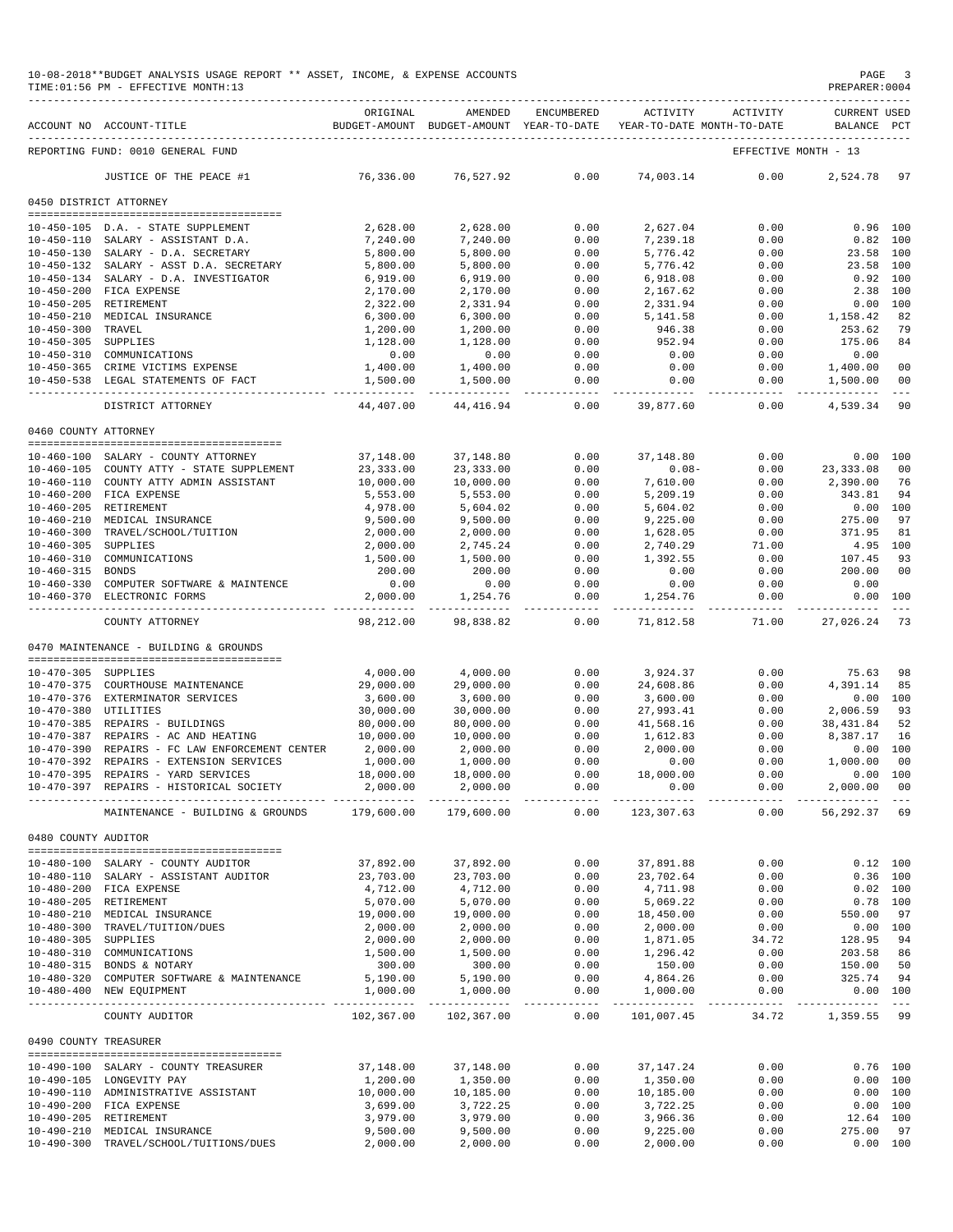|                       | 10-08-2018**BUDGET ANALYSIS USAGE REPORT ** ASSET, INCOME, & EXPENSE ACCOUNTS<br>TIME: 01:56 PM - EFFECTIVE MONTH: 13 |                       |                                                                                |              |                       |                                    | PAGE<br>PREPARER: 0004             | $\overline{\phantom{a}}$                                                                                                                                                                                                                                                                                                                                                                                 |
|-----------------------|-----------------------------------------------------------------------------------------------------------------------|-----------------------|--------------------------------------------------------------------------------|--------------|-----------------------|------------------------------------|------------------------------------|----------------------------------------------------------------------------------------------------------------------------------------------------------------------------------------------------------------------------------------------------------------------------------------------------------------------------------------------------------------------------------------------------------|
|                       | ACCOUNT NO ACCOUNT-TITLE                                                                                              | ORIGINAL              | AMENDED<br>BUDGET-AMOUNT BUDGET-AMOUNT YEAR-TO-DATE YEAR-TO-DATE MONTH-TO-DATE | ENCUMBERED   | ACTIVITY              | ACTIVITY                           | <b>CURRENT USED</b><br>BALANCE PCT |                                                                                                                                                                                                                                                                                                                                                                                                          |
|                       | REPORTING FUND: 0010 GENERAL FUND                                                                                     |                       |                                                                                |              |                       |                                    | EFFECTIVE MONTH - 13               |                                                                                                                                                                                                                                                                                                                                                                                                          |
|                       | JUSTICE OF THE PEACE #1                                                                                               | 76,336.00             | 76,527.92                                                                      | 0.00         | 74,003.14             | 0.00                               | 2,524.78                           | 97                                                                                                                                                                                                                                                                                                                                                                                                       |
|                       | 0450 DISTRICT ATTORNEY                                                                                                |                       |                                                                                |              |                       |                                    |                                    |                                                                                                                                                                                                                                                                                                                                                                                                          |
|                       |                                                                                                                       |                       |                                                                                |              |                       |                                    |                                    |                                                                                                                                                                                                                                                                                                                                                                                                          |
|                       | 10-450-105 D.A. - STATE SUPPLEMENT                                                                                    | 2,628.00              | 2,628.00                                                                       | 0.00         | 2,627.04              | 0.00                               | $0.96$ 100                         |                                                                                                                                                                                                                                                                                                                                                                                                          |
|                       | 10-450-110 SALARY - ASSISTANT D.A.                                                                                    | 7,240.00              | 7,240.00                                                                       | 0.00         | 7,239.18              | 0.00                               | $0.82$ 100                         |                                                                                                                                                                                                                                                                                                                                                                                                          |
|                       | 10-450-130 SALARY - D.A. SECRETARY                                                                                    | 5,800.00              | 5,800.00                                                                       | 0.00         | 5,776.42              | 0.00                               | 23.58 100                          |                                                                                                                                                                                                                                                                                                                                                                                                          |
|                       | 10-450-132 SALARY - ASST D.A. SECRETARY                                                                               | 5,800.00              | 5,800.00                                                                       | 0.00         | 5,776.42              | 0.00                               | 23.58 100                          |                                                                                                                                                                                                                                                                                                                                                                                                          |
|                       | 10-450-134 SALARY - D.A. INVESTIGATOR                                                                                 | 6,919.00              | 6,919.00                                                                       | 0.00         | 6,918.08              | 0.00                               | 0.92 100                           |                                                                                                                                                                                                                                                                                                                                                                                                          |
|                       | 10-450-200 FICA EXPENSE<br>10-450-205 RETIREMENT                                                                      | 2,170.00<br>2,322.00  | 2,170.00<br>2,331.94                                                           | 0.00<br>0.00 | 2,167.62<br>2,331.94  | 0.00<br>0.00                       | 2.38 100<br>0.00 100               |                                                                                                                                                                                                                                                                                                                                                                                                          |
|                       | 10-450-210 MEDICAL INSURANCE                                                                                          | 6,300.00              | 6,300.00                                                                       | 0.00         | 5,141.58              | 0.00                               | 1,158.42                           | 82                                                                                                                                                                                                                                                                                                                                                                                                       |
| 10-450-300 TRAVEL     |                                                                                                                       | 1,200.00              | 1,200.00                                                                       | 0.00         | 946.38                | 0.00                               | 253.62                             | 79                                                                                                                                                                                                                                                                                                                                                                                                       |
| 10-450-305 SUPPLIES   |                                                                                                                       | 1,128.00              | 1,128.00                                                                       | 0.00         | 952.94                | 0.00                               | 175.06                             | 84                                                                                                                                                                                                                                                                                                                                                                                                       |
|                       | 10-450-310 COMMUNICATIONS                                                                                             | 0.00                  | 0.00                                                                           | 0.00         | 0.00                  | 0.00                               | 0.00                               |                                                                                                                                                                                                                                                                                                                                                                                                          |
|                       | 10-450-365 CRIME VICTIMS EXPENSE                                                                                      | 1,400.00              | 1,400.00                                                                       | 0.00         | 0.00                  | 0.00                               | 1,400.00                           | 00                                                                                                                                                                                                                                                                                                                                                                                                       |
|                       | 10-450-538 LEGAL STATEMENTS OF FACT                                                                                   | 1,500.00              | 1,500.00                                                                       | 0.00         | 0.00                  | 0.00                               | 1,500.00                           | 00                                                                                                                                                                                                                                                                                                                                                                                                       |
|                       | DISTRICT ATTORNEY                                                                                                     | 44,407.00             | 44,416.94                                                                      | 0.00         | 39,877.60             | 0.00                               | 4,539.34                           | $\frac{1}{2}$<br>90                                                                                                                                                                                                                                                                                                                                                                                      |
|                       |                                                                                                                       |                       |                                                                                |              |                       |                                    |                                    |                                                                                                                                                                                                                                                                                                                                                                                                          |
| 0460 COUNTY ATTORNEY  |                                                                                                                       |                       |                                                                                |              |                       |                                    |                                    |                                                                                                                                                                                                                                                                                                                                                                                                          |
|                       | 10-460-100 SALARY - COUNTY ATTORNEY                                                                                   | 37,148.00             | 37,148.80                                                                      | 0.00         | 37,148.80             | 0.00                               |                                    | 0.00 100                                                                                                                                                                                                                                                                                                                                                                                                 |
|                       | 10-460-105 COUNTY ATTY - STATE SUPPLEMENT                                                                             | 23, 333.00            | 23, 333.00                                                                     | 0.00         | $0.08 -$              | 0.00                               | 23, 333.08                         | 00                                                                                                                                                                                                                                                                                                                                                                                                       |
|                       | 10-460-110 COUNTY ATTY ADMIN ASSISTANT                                                                                | 10,000.00             | 10,000.00                                                                      | 0.00         | 7,610.00              | 0.00                               | 2,390.00                           | 76                                                                                                                                                                                                                                                                                                                                                                                                       |
|                       | 10-460-200 FICA EXPENSE                                                                                               | 5,553.00              | 5,553.00                                                                       | 0.00         | 5,209.19              | 0.00                               | 343.81                             | 94                                                                                                                                                                                                                                                                                                                                                                                                       |
|                       | 10-460-205 RETIREMENT                                                                                                 | 4,978.00              | 5,604.02                                                                       | 0.00         | 5,604.02              | 0.00                               |                                    | 0.00 100                                                                                                                                                                                                                                                                                                                                                                                                 |
|                       | 10-460-210 MEDICAL INSURANCE                                                                                          | 9,500.00              | 9,500.00                                                                       | 0.00         | 9,225.00              | 0.00                               | 275.00                             | 97                                                                                                                                                                                                                                                                                                                                                                                                       |
|                       | 10-460-300 TRAVEL/SCHOOL/TUITION                                                                                      | 2,000.00              | 2,000.00                                                                       | 0.00         | 1,628.05              | 0.00                               | 371.95                             | 81                                                                                                                                                                                                                                                                                                                                                                                                       |
| 10-460-305 SUPPLIES   |                                                                                                                       | 2,000.00              | 2,745.24                                                                       | 0.00         | 2,740.29              | 71.00                              | 4.95 100                           |                                                                                                                                                                                                                                                                                                                                                                                                          |
|                       | 10-460-310 COMMUNICATIONS                                                                                             | 1,500.00              | 1,500.00                                                                       | 0.00         | 1,392.55              | 0.00                               | 107.45                             | 93                                                                                                                                                                                                                                                                                                                                                                                                       |
| 10-460-315 BONDS      |                                                                                                                       | 200.00                | 200.00                                                                         | 0.00         | 0.00                  | 0.00                               | 200.00                             | 00                                                                                                                                                                                                                                                                                                                                                                                                       |
|                       | 10-460-330 COMPUTER SOFTWARE & MAINTENCE                                                                              | 0.00                  | 0.00                                                                           | 0.00         | 0.00                  | 0.00                               | 0.00                               |                                                                                                                                                                                                                                                                                                                                                                                                          |
|                       | 10-460-370 ELECTRONIC FORMS                                                                                           | 2,000.00              | 1,254.76<br>.                                                                  | 0.00         | 1,254.76              | 0.00<br>------                     | 0.00                               | 100                                                                                                                                                                                                                                                                                                                                                                                                      |
|                       | COUNTY ATTORNEY                                                                                                       | 98,212.00             | 98,838.82                                                                      | 0.00         | 71,812.58             | 71.00                              | 27,026.24                          | 73                                                                                                                                                                                                                                                                                                                                                                                                       |
|                       | 0470 MAINTENANCE - BUILDING & GROUNDS                                                                                 |                       |                                                                                |              |                       |                                    |                                    |                                                                                                                                                                                                                                                                                                                                                                                                          |
|                       |                                                                                                                       | 4,000.00              |                                                                                |              | 3,924.37              |                                    |                                    |                                                                                                                                                                                                                                                                                                                                                                                                          |
| 10-470-305 SUPPLIES   |                                                                                                                       |                       | 4,000.00                                                                       | 0.00         |                       | 0.00                               | 75.63                              | 98                                                                                                                                                                                                                                                                                                                                                                                                       |
|                       | 10-470-375 COURTHOUSE MAINTENANCE<br>10-470-376 EXTERMINATOR SERVICES                                                 | 29,000.00             | 29,000.00                                                                      | 0.00         | 24,608.86<br>3,600.00 | 0.00                               | 4,391.14                           | 85                                                                                                                                                                                                                                                                                                                                                                                                       |
| 10-470-380 UTILITIES  |                                                                                                                       | 3,600.00<br>30,000.00 | 3,600.00<br>30,000.00                                                          | 0.00<br>0.00 | 27,993.41             | 0.00<br>0.00                       | 2,006.59                           | 0.00 100<br>93                                                                                                                                                                                                                                                                                                                                                                                           |
|                       | 10-470-385 REPAIRS - BUILDINGS                                                                                        | 80,000.00             | 80,000.00                                                                      | 0.00         | 41,568.16             | 0.00                               | 38,431.84                          | 52                                                                                                                                                                                                                                                                                                                                                                                                       |
|                       | 10-470-387 REPAIRS - AC AND HEATING                                                                                   | 10,000.00             | 10,000.00                                                                      | 0.00         | 1,612.83              | 0.00                               | 8,387.17                           | 16                                                                                                                                                                                                                                                                                                                                                                                                       |
|                       | 10-470-390 REPAIRS - FC LAW ENFORCEMENT CENTER                                                                        | 2,000.00              | 2,000.00                                                                       | 0.00         | 2,000.00              | 0.00                               |                                    | 0.00 100                                                                                                                                                                                                                                                                                                                                                                                                 |
|                       | 10-470-392 REPAIRS - EXTENSION SERVICES                                                                               | 1,000.00              | 1,000.00                                                                       | 0.00         | 0.00                  | 0.00                               | 1,000.00 00                        |                                                                                                                                                                                                                                                                                                                                                                                                          |
|                       | 10-470-395 REPAIRS - YARD SERVICES                                                                                    | 18,000.00             | 18,000.00                                                                      | 0.00         | 18,000.00             | 0.00                               |                                    | 0.00 100                                                                                                                                                                                                                                                                                                                                                                                                 |
|                       | 10-470-397 REPAIRS - HISTORICAL SOCIETY                                                                               | 2,000.00              | 2,000.00                                                                       | 0.00         | 0.00                  |                                    | $0.00$ 2,000.00 00                 |                                                                                                                                                                                                                                                                                                                                                                                                          |
|                       |                                                                                                                       |                       |                                                                                |              |                       |                                    |                                    |                                                                                                                                                                                                                                                                                                                                                                                                          |
|                       | MAINTENANCE - BUILDING & GROUNDS 179,600.00                                                                           |                       | 179,600.00                                                                     | 0.00         | 123,307.63            | 0.00                               | 56,292.37 69                       |                                                                                                                                                                                                                                                                                                                                                                                                          |
| 0480 COUNTY AUDITOR   | -------------------------------------                                                                                 |                       |                                                                                |              |                       |                                    |                                    |                                                                                                                                                                                                                                                                                                                                                                                                          |
|                       | 10-480-100 SALARY - COUNTY AUDITOR                                                                                    | 37,892.00             | 37,892.00                                                                      | 0.00         | 37,891.88             | 0.00                               |                                    | $0.12$ 100                                                                                                                                                                                                                                                                                                                                                                                               |
|                       | 10-480-110 SALARY - ASSISTANT AUDITOR                                                                                 | 23,703.00             | 23,703.00                                                                      | 0.00         | 23,702.64             | 0.00                               |                                    | $0.36$ 100                                                                                                                                                                                                                                                                                                                                                                                               |
|                       | 10-480-200 FICA EXPENSE                                                                                               | 4,712.00              | 4,712.00                                                                       | 0.00         | 4,711.98              | 0.00                               |                                    | $0.02$ 100                                                                                                                                                                                                                                                                                                                                                                                               |
|                       | 10-480-205 RETIREMENT                                                                                                 | 5,070.00              | 5,070.00                                                                       | 0.00         | 5,069.22              | 0.00                               |                                    | $0.78$ 100                                                                                                                                                                                                                                                                                                                                                                                               |
|                       | 10-480-210 MEDICAL INSURANCE                                                                                          | 19,000.00             | 19,000.00                                                                      | 0.00         | 18,450.00             | 0.00                               | 550.00                             | 97                                                                                                                                                                                                                                                                                                                                                                                                       |
|                       | 10-480-300 TRAVEL/TUITION/DUES                                                                                        | 2,000.00              | 2,000.00                                                                       | 0.00         | 2,000.00              | 0.00                               |                                    | 0.00 100                                                                                                                                                                                                                                                                                                                                                                                                 |
| 10-480-305 SUPPLIES   |                                                                                                                       | 2,000.00              | 2,000.00                                                                       | 0.00         | 1,871.05              | 34.72                              | 128.95 94                          |                                                                                                                                                                                                                                                                                                                                                                                                          |
|                       | 10-480-310 COMMUNICATIONS                                                                                             | 1,500.00              | 1,500.00                                                                       | 0.00         | 1,296.42              | 0.00                               | 203.58 86                          |                                                                                                                                                                                                                                                                                                                                                                                                          |
|                       | 10-480-315 BONDS & NOTARY                                                                                             | 300.00                | 300.00                                                                         | 0.00         | 150.00                | 0.00                               | 150.00 50                          |                                                                                                                                                                                                                                                                                                                                                                                                          |
|                       | 10-480-320 COMPUTER SOFTWARE & MAINTENANCE                                                                            | 5,190.00              | 5,190.00                                                                       | 0.00         | 4,864.26              | 0.00                               | 325.74 94                          |                                                                                                                                                                                                                                                                                                                                                                                                          |
|                       | 10-480-400 NEW EQUIPMENT                                                                                              | 1,000.00              | 1,000.00                                                                       | 0.00         | 1,000.00              | 0.00<br>------------- ------------ | -------------                      | 0.00 100<br>$\frac{1}{2} \frac{1}{2} \frac{1}{2} \frac{1}{2} \frac{1}{2} \frac{1}{2} \frac{1}{2} \frac{1}{2} \frac{1}{2} \frac{1}{2} \frac{1}{2} \frac{1}{2} \frac{1}{2} \frac{1}{2} \frac{1}{2} \frac{1}{2} \frac{1}{2} \frac{1}{2} \frac{1}{2} \frac{1}{2} \frac{1}{2} \frac{1}{2} \frac{1}{2} \frac{1}{2} \frac{1}{2} \frac{1}{2} \frac{1}{2} \frac{1}{2} \frac{1}{2} \frac{1}{2} \frac{1}{2} \frac{$ |
|                       | COUNTY AUDITOR                                                                                                        | 102,367.00            | 102,367.00                                                                     | 0.00         | 101,007.45            | 34.72                              | 1,359.55                           | 99                                                                                                                                                                                                                                                                                                                                                                                                       |
| 0490 COUNTY TREASURER |                                                                                                                       |                       |                                                                                |              |                       |                                    |                                    |                                                                                                                                                                                                                                                                                                                                                                                                          |
|                       | --------------------------------------<br>10-490-100 SALARY - COUNTY TREASURER                                        | 37,148.00             | 37,148.00                                                                      | 0.00         | 37,147.24             | 0.00                               |                                    | $0.76$ 100                                                                                                                                                                                                                                                                                                                                                                                               |
|                       | 10-490-105 LONGEVITY PAY                                                                                              | 1,200.00              | 1,350.00                                                                       | 0.00         | 1,350.00              | 0.00                               |                                    | 0.00 100                                                                                                                                                                                                                                                                                                                                                                                                 |
|                       | 10-490-110 ADMINISTRATIVE ASSISTANT                                                                                   | 10,000.00             | 10,185.00                                                                      | 0.00         | 10,185.00             | 0.00                               |                                    | 0.00 100                                                                                                                                                                                                                                                                                                                                                                                                 |
|                       | 10-490-200 FICA EXPENSE                                                                                               | 3,699.00              | 3,722.25                                                                       | 0.00         | 3,722.25              | 0.00                               |                                    | 0.00 100                                                                                                                                                                                                                                                                                                                                                                                                 |
|                       | 10-490-205 RETIREMENT                                                                                                 | 3,979.00              | 3,979.00                                                                       | 0.00         | 3,966.36              | 0.00                               | 12.64 100                          |                                                                                                                                                                                                                                                                                                                                                                                                          |
|                       | 10-490-210 MEDICAL INSURANCE                                                                                          | 9,500.00              | 9,500.00                                                                       | 0.00         | 9,225.00              | 0.00                               | 275.00                             | 97                                                                                                                                                                                                                                                                                                                                                                                                       |
|                       | 10-490-300 TRAVEL/SCHOOL/TUITIONS/DUES                                                                                | 2,000.00              | 2,000.00                                                                       | 0.00         | 2,000.00              | 0.00                               |                                    | 0.00 100                                                                                                                                                                                                                                                                                                                                                                                                 |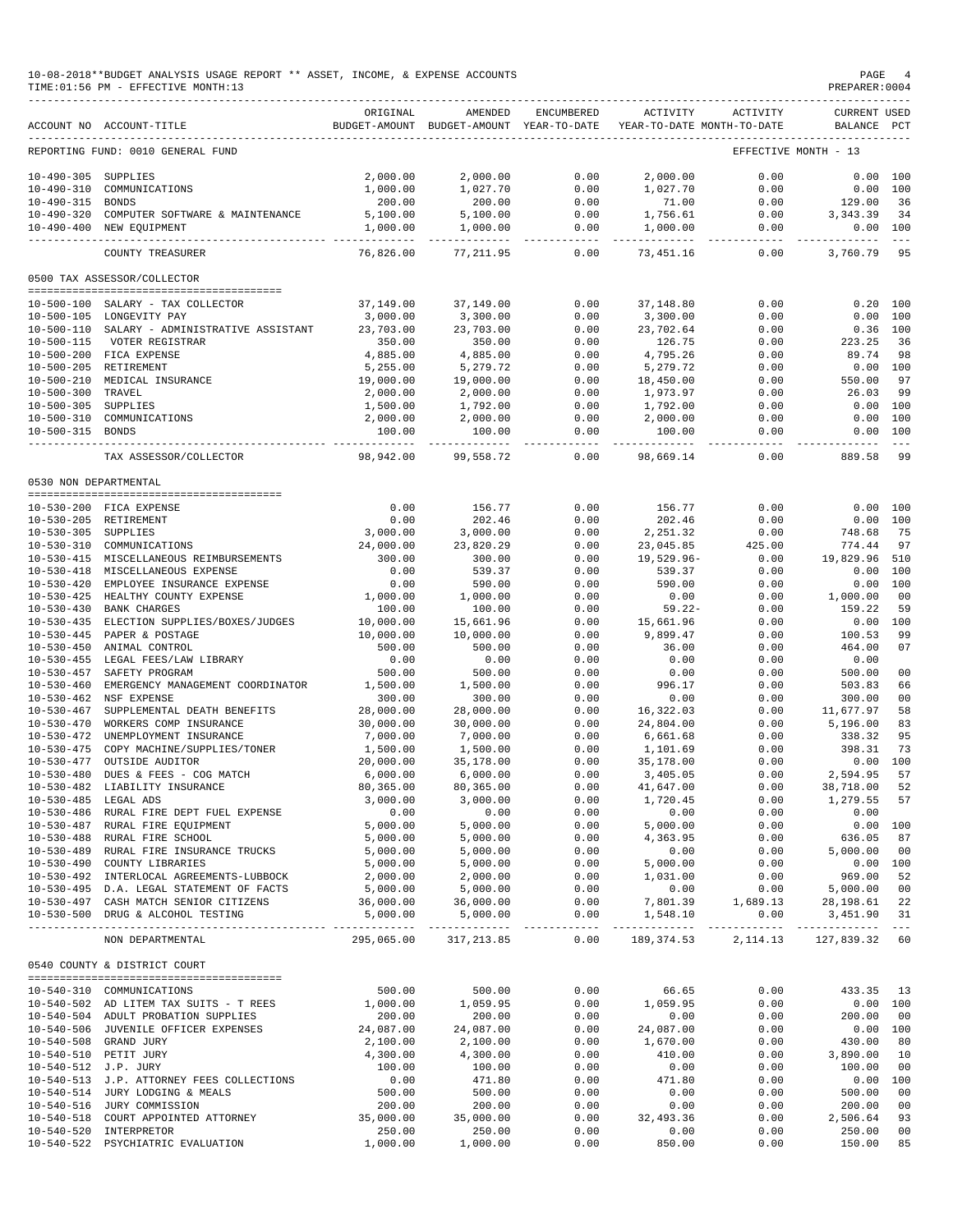### 10-08-2018\*\*BUDGET ANALYSIS USAGE REPORT \*\* ASSET, INCOME, & EXPENSE ACCOUNTS PAGE 4 TIME:01:56 PM - EFFECTIVE MONTH:13

|                       | ACCOUNT NO ACCOUNT-TITLE                  | ORIGINAL                | AMENDED<br>BUDGET-AMOUNT BUDGET-AMOUNT YEAR-TO-DATE | <b>ENCUMBERED</b>                                                                                                                                                                                                                                                                                                                                                                                    | ACTIVITY      | ACTIVITY<br>YEAR-TO-DATE MONTH-TO-DATE | <b>CURRENT USED</b><br>BALANCE | PCT           |
|-----------------------|-------------------------------------------|-------------------------|-----------------------------------------------------|------------------------------------------------------------------------------------------------------------------------------------------------------------------------------------------------------------------------------------------------------------------------------------------------------------------------------------------------------------------------------------------------------|---------------|----------------------------------------|--------------------------------|---------------|
|                       | REPORTING FUND: 0010 GENERAL FUND         |                         |                                                     |                                                                                                                                                                                                                                                                                                                                                                                                      |               |                                        | EFFECTIVE MONTH - 13           |               |
| $10 - 490 - 305$      | SUPPLIES                                  | 2,000.00                | 2,000.00                                            | 0.00                                                                                                                                                                                                                                                                                                                                                                                                 | 2,000.00      | 0.00                                   | 0.00                           | 100           |
| $10 - 490 - 310$      | COMMUNICATIONS                            |                         |                                                     |                                                                                                                                                                                                                                                                                                                                                                                                      |               |                                        |                                |               |
|                       |                                           | 1,000.00                | 1,027.70                                            | 0.00                                                                                                                                                                                                                                                                                                                                                                                                 | 1,027.70      | 0.00                                   | 0.00                           | 100           |
| $10 - 490 - 315$      | <b>BONDS</b>                              | 200.00                  | 200.00                                              | 0.00                                                                                                                                                                                                                                                                                                                                                                                                 | 71.00         | 0.00                                   | 129.00                         | 36            |
| $10 - 490 - 320$      | COMPUTER SOFTWARE & MAINTENANCE           | 5,100.00                | 5,100.00                                            | 0.00                                                                                                                                                                                                                                                                                                                                                                                                 | 1,756.61      | 0.00                                   | 3, 343.39                      | 34            |
| $10 - 490 - 400$      | NEW EQUIPMENT                             | 1,000.00                | 1,000.00                                            | 0.00                                                                                                                                                                                                                                                                                                                                                                                                 | 1,000.00      | 0.00                                   | 0.00                           | 100           |
|                       | -----------<br>COUNTY TREASURER           | ----------<br>76,826.00 | $- - - -$<br>77, 211.95                             | $- - - -$<br>0.00                                                                                                                                                                                                                                                                                                                                                                                    | 73,451.16     | -----<br>0.00                          | ------<br>3,760.79             | $- - -$<br>95 |
|                       | 0500 TAX ASSESSOR/COLLECTOR               |                         |                                                     |                                                                                                                                                                                                                                                                                                                                                                                                      |               |                                        |                                |               |
|                       |                                           |                         |                                                     |                                                                                                                                                                                                                                                                                                                                                                                                      |               |                                        |                                |               |
|                       | 10-500-100 SALARY - TAX COLLECTOR         | 37,149.00               | 37,149.00                                           | 0.00                                                                                                                                                                                                                                                                                                                                                                                                 | 37,148.80     | 0.00                                   | 0.20                           | 100           |
|                       | 10-500-105 LONGEVITY PAY                  | 3,000.00                | 3,300.00                                            | 0.00                                                                                                                                                                                                                                                                                                                                                                                                 | 3,300.00      | 0.00                                   | 0.00                           | 100           |
| $10 - 500 - 110$      | SALARY - ADMINISTRATIVE ASSISTANT         | 23,703.00               | 23,703.00                                           | 0.00                                                                                                                                                                                                                                                                                                                                                                                                 | 23,702.64     | 0.00                                   | 0.36                           | 100           |
| $10 - 500 - 115$      | VOTER REGISTRAR                           | 350.00                  | 350.00                                              | 0.00                                                                                                                                                                                                                                                                                                                                                                                                 | 126.75        | 0.00                                   | 223.25                         | 36            |
|                       | 10-500-200 FICA EXPENSE                   | 4,885.00                | 4,885.00                                            | 0.00                                                                                                                                                                                                                                                                                                                                                                                                 | 4,795.26      | 0.00                                   | 89.74                          | 98            |
|                       |                                           |                         |                                                     |                                                                                                                                                                                                                                                                                                                                                                                                      |               |                                        |                                |               |
|                       | 10-500-205 RETIREMENT                     | 5,255.00                | 5,279.72                                            | 0.00                                                                                                                                                                                                                                                                                                                                                                                                 | 5,279.72      | 0.00                                   | 0.00                           | 100           |
| $10 - 500 - 210$      | MEDICAL INSURANCE                         | 19,000.00               | 19,000.00                                           | 0.00                                                                                                                                                                                                                                                                                                                                                                                                 | 18,450.00     | 0.00                                   | 550.00                         | 97            |
| $10 - 500 - 300$      | TRAVEL                                    | 2,000.00                | 2,000.00                                            | 0.00                                                                                                                                                                                                                                                                                                                                                                                                 | 1,973.97      | 0.00                                   | 26.03                          | 99            |
| $10 - 500 - 305$      | SUPPLIES                                  | 1,500.00                | 1,792.00                                            | 0.00                                                                                                                                                                                                                                                                                                                                                                                                 | 1,792.00      | 0.00                                   | 0.00                           | 100           |
| $10 - 500 - 310$      | COMMUNICATIONS                            | 2,000.00                | 2,000.00                                            | 0.00                                                                                                                                                                                                                                                                                                                                                                                                 | 2,000.00      | 0.00                                   | 0.00                           | 100           |
| 10-500-315 BONDS      |                                           | 100.00                  | 100.00                                              | 0.00                                                                                                                                                                                                                                                                                                                                                                                                 | 100.00        | 0.00                                   | 0.00                           | 100           |
|                       |                                           |                         |                                                     |                                                                                                                                                                                                                                                                                                                                                                                                      |               |                                        |                                |               |
|                       | TAX ASSESSOR/COLLECTOR                    | 98,942.00               | 99,558.72                                           | 0.00                                                                                                                                                                                                                                                                                                                                                                                                 | 98,669.14     | 0.00                                   | 889.58                         | -99           |
| 0530 NON DEPARTMENTAL |                                           |                         |                                                     |                                                                                                                                                                                                                                                                                                                                                                                                      |               |                                        |                                |               |
|                       |                                           |                         |                                                     |                                                                                                                                                                                                                                                                                                                                                                                                      |               |                                        |                                |               |
|                       | 10-530-200 FICA EXPENSE                   | 0.00                    | 156.77                                              | 0.00                                                                                                                                                                                                                                                                                                                                                                                                 | 156.77        | 0.00                                   | 0.00                           | 100           |
|                       | 10-530-205 RETIREMENT                     | 0.00                    | 202.46                                              | 0.00                                                                                                                                                                                                                                                                                                                                                                                                 | 202.46        | 0.00                                   | 0.00                           | 100           |
| $10 - 530 - 305$      | SUPPLIES                                  | 3,000.00                | 3,000.00                                            | 0.00                                                                                                                                                                                                                                                                                                                                                                                                 | 2,251.32      | 0.00                                   | 748.68                         | 75            |
| $10 - 530 - 310$      | COMMUNICATIONS                            | 24,000.00               | 23,820.29                                           | 0.00                                                                                                                                                                                                                                                                                                                                                                                                 | 23,045.85     | 425.00                                 | 774.44                         | 97            |
| $10 - 530 - 415$      | MISCELLANEOUS REIMBURSEMENTS              | 300.00                  | 300.00                                              | 0.00                                                                                                                                                                                                                                                                                                                                                                                                 | $19,529.96 -$ | 0.00                                   | 19,829.96                      | 510           |
| $10 - 530 - 418$      | MISCELLANEOUS EXPENSE                     | 0.00                    | 539.37                                              | 0.00                                                                                                                                                                                                                                                                                                                                                                                                 | 539.37        | 0.00                                   | 0.00                           | 100           |
| $10 - 530 - 420$      | EMPLOYEE INSURANCE EXPENSE                | 0.00                    | 590.00                                              | 0.00                                                                                                                                                                                                                                                                                                                                                                                                 | 590.00        | 0.00                                   | 0.00                           | 100           |
|                       |                                           |                         |                                                     |                                                                                                                                                                                                                                                                                                                                                                                                      |               |                                        |                                |               |
| $10 - 530 - 425$      | HEALTHY COUNTY EXPENSE                    | 1,000.00                | 1,000.00                                            | 0.00                                                                                                                                                                                                                                                                                                                                                                                                 | 0.00          | 0.00                                   | 1,000.00                       | 00            |
| $10 - 530 - 430$      | <b>BANK CHARGES</b>                       | 100.00                  | 100.00                                              | 0.00                                                                                                                                                                                                                                                                                                                                                                                                 | $59.22 -$     | 0.00                                   | 159.22                         | 59            |
| $10 - 530 - 435$      | ELECTION SUPPLIES/BOXES/JUDGES            | 10,000.00               | 15,661.96                                           | 0.00                                                                                                                                                                                                                                                                                                                                                                                                 | 15,661.96     | 0.00                                   | 0.00                           | 100           |
| $10 - 530 - 445$      | PAPER & POSTAGE                           | 10,000.00               | 10,000.00                                           | 0.00                                                                                                                                                                                                                                                                                                                                                                                                 | 9,899.47      | 0.00                                   | 100.53                         | 99            |
| $10 - 530 - 450$      | ANIMAL CONTROL                            | 500.00                  | 500.00                                              | 0.00                                                                                                                                                                                                                                                                                                                                                                                                 | 36.00         | 0.00                                   | 464.00                         | 07            |
| $10 - 530 - 455$      | LEGAL FEES/LAW LIBRARY                    | 0.00                    | 0.00                                                | 0.00                                                                                                                                                                                                                                                                                                                                                                                                 | 0.00          | 0.00                                   | 0.00                           |               |
| $10 - 530 - 457$      | SAFETY PROGRAM                            | 500.00                  | 500.00                                              | 0.00                                                                                                                                                                                                                                                                                                                                                                                                 | 0.00          | 0.00                                   | 500.00                         | 00            |
|                       |                                           |                         |                                                     |                                                                                                                                                                                                                                                                                                                                                                                                      |               |                                        |                                |               |
| $10 - 530 - 460$      | EMERGENCY MANAGEMENT COORDINATOR          | 1,500.00                | 1,500.00                                            | 0.00                                                                                                                                                                                                                                                                                                                                                                                                 | 996.17        | 0.00                                   | 503.83                         | 66            |
| $10 - 530 - 462$      | NSF EXPENSE                               | 300.00                  | 300.00                                              | 0.00                                                                                                                                                                                                                                                                                                                                                                                                 | 0.00          | 0.00                                   | 300.00                         | 00            |
| $10 - 530 - 467$      | SUPPLEMENTAL DEATH BENEFITS               | 28,000.00               | 28,000.00                                           | 0.00                                                                                                                                                                                                                                                                                                                                                                                                 | 16,322.03     | 0.00                                   | 11,677.97                      | 58            |
| $10 - 530 - 470$      | WORKERS COMP INSURANCE                    | 30,000.00               | 30,000.00                                           | 0.00                                                                                                                                                                                                                                                                                                                                                                                                 | 24,804.00     | 0.00                                   | 5,196.00                       | 83            |
| $10 - 530 - 472$      | UNEMPLOYMENT INSURANCE                    | 7,000.00                | 7,000.00                                            | 0.00                                                                                                                                                                                                                                                                                                                                                                                                 | 6,661.68      | 0.00                                   | 338.32                         | 95            |
| $10 - 530 - 475$      | COPY MACHINE/SUPPLIES/TONER               | 1,500.00                | 1,500.00                                            | 0.00                                                                                                                                                                                                                                                                                                                                                                                                 | 1,101.69      | 0.00                                   | 398.31                         | 73            |
|                       |                                           |                         |                                                     |                                                                                                                                                                                                                                                                                                                                                                                                      |               |                                        |                                |               |
| $10 - 530 - 477$      | OUTSIDE AUDITOR                           | 20,000.00               | 35,178.00                                           | 0.00                                                                                                                                                                                                                                                                                                                                                                                                 | 35,178.00     | 0.00                                   | 0.00                           | 100           |
| $10 - 530 - 480$      | DUES & FEES - COG MATCH                   | 6,000.00                | 6,000.00                                            | 0.00                                                                                                                                                                                                                                                                                                                                                                                                 | 3,405.05      | 0.00                                   | 2,594.95                       | 57            |
| $10 - 530 - 482$      | LIABILITY INSURANCE                       | 80,365.00               | 80,365.00                                           | 0.00                                                                                                                                                                                                                                                                                                                                                                                                 | 41,647.00     | 0.00                                   | 38,718.00                      | 52            |
| 10-530-485 LEGAL ADS  |                                           | 3,000.00                | 3,000.00                                            | 0.00                                                                                                                                                                                                                                                                                                                                                                                                 | 1,720.45      | 0.00                                   | 1,279.55                       | 57            |
|                       | 10-530-486 RURAL FIRE DEPT FUEL EXPENSE   | 0.00                    | 0.00                                                | 0.00                                                                                                                                                                                                                                                                                                                                                                                                 | 0.00          | 0.00                                   | 0.00                           |               |
|                       | 10-530-487 RURAL FIRE EQUIPMENT           | 5,000.00                | 5,000.00                                            | 0.00                                                                                                                                                                                                                                                                                                                                                                                                 | 5,000.00      | 0.00                                   | 0.00 100                       |               |
|                       | 10-530-488 RURAL FIRE SCHOOL              | 5,000.00                | 5,000.00                                            | 0.00                                                                                                                                                                                                                                                                                                                                                                                                 | 4,363.95      | 0.00                                   | 636.05                         | 87            |
|                       |                                           |                         |                                                     |                                                                                                                                                                                                                                                                                                                                                                                                      |               |                                        |                                |               |
|                       | 10-530-489 RURAL FIRE INSURANCE TRUCKS    | 5,000.00                | 5,000.00                                            | 0.00                                                                                                                                                                                                                                                                                                                                                                                                 | 0.00          | 0.00                                   | 5,000.00                       | 00            |
|                       | 10-530-490 COUNTY LIBRARIES               | 5,000.00                | 5,000.00                                            | 0.00                                                                                                                                                                                                                                                                                                                                                                                                 | 5,000.00      | 0.00                                   | 0.00 100                       |               |
|                       | 10-530-492 INTERLOCAL AGREEMENTS-LUBBOCK  | 2,000.00                | 2,000.00                                            | 0.00                                                                                                                                                                                                                                                                                                                                                                                                 | 1,031.00      | 0.00                                   | 969.00                         | 52            |
|                       | 10-530-495 D.A. LEGAL STATEMENT OF FACTS  | 5,000.00                | 5,000.00                                            | 0.00                                                                                                                                                                                                                                                                                                                                                                                                 | 0.00          | 0.00                                   | 5,000.00                       | 00            |
|                       | 10-530-497 CASH MATCH SENIOR CITIZENS     | 36,000.00               | 36,000.00                                           | 0.00                                                                                                                                                                                                                                                                                                                                                                                                 | 7,801.39      | 1,689.13                               | 28,198.61                      | 22            |
|                       | 10-530-500 DRUG & ALCOHOL TESTING         | 5,000.00                | 5,000.00                                            | 0.00                                                                                                                                                                                                                                                                                                                                                                                                 | 1,548.10      | 0.00                                   | 3,451.90 31                    |               |
|                       | NON DEPARTMENTAL                          | 295,065.00              | --------------<br>317,213.85                        | $\frac{1}{2} \frac{1}{2} \frac{1}{2} \frac{1}{2} \frac{1}{2} \frac{1}{2} \frac{1}{2} \frac{1}{2} \frac{1}{2} \frac{1}{2} \frac{1}{2} \frac{1}{2} \frac{1}{2} \frac{1}{2} \frac{1}{2} \frac{1}{2} \frac{1}{2} \frac{1}{2} \frac{1}{2} \frac{1}{2} \frac{1}{2} \frac{1}{2} \frac{1}{2} \frac{1}{2} \frac{1}{2} \frac{1}{2} \frac{1}{2} \frac{1}{2} \frac{1}{2} \frac{1}{2} \frac{1}{2} \frac{$<br>0.00 | 189,374.53    | 2, 114.13                              | 127,839.32                     | 60            |
|                       | 0540 COUNTY & DISTRICT COURT              |                         |                                                     |                                                                                                                                                                                                                                                                                                                                                                                                      |               |                                        |                                |               |
|                       |                                           |                         |                                                     |                                                                                                                                                                                                                                                                                                                                                                                                      |               |                                        |                                |               |
|                       | 10-540-310 COMMUNICATIONS                 | 500.00                  | 500.00                                              | 0.00                                                                                                                                                                                                                                                                                                                                                                                                 | 66.65         | 0.00                                   | 433.35 13                      |               |
|                       | 10-540-502 AD LITEM TAX SUITS - T REES    | 1,000.00                | 1,059.95                                            | 0.00                                                                                                                                                                                                                                                                                                                                                                                                 | 1,059.95      | 0.00                                   | 0.00 100                       |               |
|                       | 10-540-504 ADULT PROBATION SUPPLIES       | 200.00                  | 200.00                                              | 0.00                                                                                                                                                                                                                                                                                                                                                                                                 | 0.00          | 0.00                                   | 200.00                         | 00            |
|                       | 10-540-506 JUVENILE OFFICER EXPENSES      | 24,087.00               | 24,087.00                                           | 0.00                                                                                                                                                                                                                                                                                                                                                                                                 | 24,087.00     | 0.00                                   | 0.00 100                       |               |
|                       |                                           |                         |                                                     | 0.00                                                                                                                                                                                                                                                                                                                                                                                                 |               |                                        |                                | 80            |
|                       | 10-540-508 GRAND JURY                     | 2,100.00                | 2,100.00                                            |                                                                                                                                                                                                                                                                                                                                                                                                      | 1,670.00      | 0.00                                   | 430.00                         |               |
|                       | 10-540-510 PETIT JURY                     | 4,300.00                | 4,300.00                                            | 0.00                                                                                                                                                                                                                                                                                                                                                                                                 | 410.00        | 0.00                                   | 3,890.00                       | 10            |
| 10-540-512 J.P. JURY  |                                           | 100.00                  | 100.00                                              | 0.00                                                                                                                                                                                                                                                                                                                                                                                                 | 0.00          | 0.00                                   | 100.00                         | 00            |
|                       | 10-540-513 J.P. ATTORNEY FEES COLLECTIONS | 0.00                    | 471.80                                              | 0.00                                                                                                                                                                                                                                                                                                                                                                                                 | 471.80        | 0.00                                   | 0.00 100                       |               |
|                       | 10-540-514 JURY LODGING & MEALS           | 500.00                  | 500.00                                              | 0.00                                                                                                                                                                                                                                                                                                                                                                                                 | 0.00          | 0.00                                   | 500.00                         | 00            |
|                       | 10-540-516 JURY COMMISSION                | 200.00                  | 200.00                                              | 0.00                                                                                                                                                                                                                                                                                                                                                                                                 | 0.00          | 0.00                                   | 200.00                         | 00            |
|                       | 10-540-518 COURT APPOINTED ATTORNEY       | 35,000.00               | 35,000.00                                           | 0.00                                                                                                                                                                                                                                                                                                                                                                                                 | 32,493.36     | 0.00                                   | 2,506.64                       | 93            |
|                       | 10-540-520 INTERPRETOR                    | 250.00                  | 250.00                                              | 0.00                                                                                                                                                                                                                                                                                                                                                                                                 | 0.00          | 0.00                                   | 250.00                         | 00            |
|                       |                                           |                         |                                                     | 0.00                                                                                                                                                                                                                                                                                                                                                                                                 |               | 0.00                                   |                                |               |
|                       | 10-540-522 PSYCHIATRIC EVALUATION         | 1,000.00                | 1,000.00                                            |                                                                                                                                                                                                                                                                                                                                                                                                      | 850.00        |                                        | 150.00                         | 85            |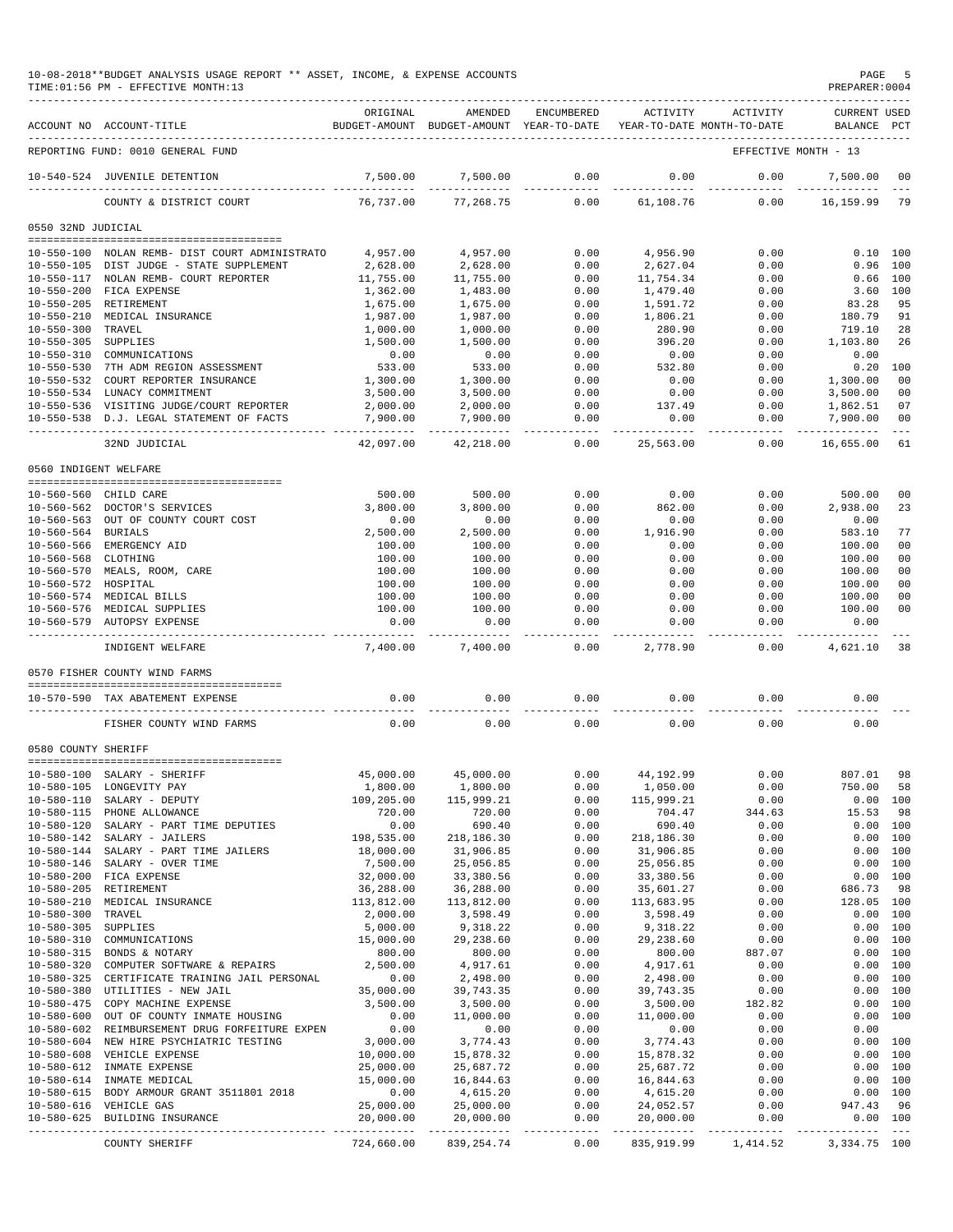|                                      | 10-08-2018**BUDGET ANALYSIS USAGE REPORT ** ASSET, INCOME, & EXPENSE ACCOUNTS<br>TIME: 01:56 PM - EFFECTIVE MONTH: 13 |                        |                                                                                |                     |                          |                    | PREPARER: 0004              | PAGE 5                 |
|--------------------------------------|-----------------------------------------------------------------------------------------------------------------------|------------------------|--------------------------------------------------------------------------------|---------------------|--------------------------|--------------------|-----------------------------|------------------------|
|                                      | ACCOUNT NO ACCOUNT-TITLE                                                                                              | ORIGINAL               | AMENDED<br>BUDGET-AMOUNT BUDGET-AMOUNT YEAR-TO-DATE YEAR-TO-DATE MONTH-TO-DATE | ENCUMBERED          | ACTIVITY                 | ACTIVITY           | CURRENT USED<br>BALANCE PCT |                        |
|                                      | REPORTING FUND: 0010 GENERAL FUND                                                                                     |                        |                                                                                |                     |                          |                    | EFFECTIVE MONTH - 13        |                        |
|                                      | 10-540-524 JUVENILE DETENTION                                                                                         | 7,500.00               | 7,500.00                                                                       | 0.00                | 0.00                     | 0.00               | 7,500.00                    | 00                     |
|                                      | COUNTY & DISTRICT COURT                                                                                               | 76,737.00              | 77,268.75                                                                      | 0.00                | 61,108.76                | 0.00               | 16, 159.99 79               | $\frac{1}{2}$          |
| 0550 32ND JUDICIAL                   |                                                                                                                       |                        |                                                                                |                     |                          |                    |                             |                        |
|                                      |                                                                                                                       |                        |                                                                                |                     |                          |                    |                             |                        |
|                                      | 10-550-100 NOLAN REMB- DIST COURT ADMINISTRATO                                                                        | 4,957.00               | 4,957.00<br>2,628.00                                                           | 0.00<br>0.00        | 4,956.90<br>2.627.04     | 0.00<br>0.00       |                             | 0.10 100<br>$0.96$ 100 |
|                                      | 10-550-105 DIST JUDGE - STATE SUPPLEMENT<br>10-550-117 NOLAN REMB- COURT REPORTER                                     | 2,628.00<br>11,755.00  | 11,755.00                                                                      | 0.00                | 11,754.34                | 0.00               |                             | $0.66$ 100             |
|                                      | 10-550-200 FICA EXPENSE                                                                                               | 1,362.00               | 1,483.00                                                                       | 0.00                | 1,479.40                 | 0.00               | 3.60 100                    |                        |
|                                      | 10-550-205 RETIREMENT                                                                                                 | 1,675.00               | 1,675.00                                                                       | 0.00                | 1,591.72                 | 0.00               | 83.28                       | 95                     |
|                                      | 10-550-210 MEDICAL INSURANCE                                                                                          | 1,987.00               | 1,987.00                                                                       | 0.00                | 1,806.21                 | 0.00               | 180.79                      | 91                     |
| 10-550-300 TRAVEL                    |                                                                                                                       | 1,000.00               | 1,000.00                                                                       | 0.00                | 280.90                   | 0.00               | 719.10                      | 28                     |
| 10-550-305 SUPPLIES                  |                                                                                                                       | 1,500.00               | 1,500.00                                                                       | 0.00                | 396.20                   | 0.00               | 1,103.80                    | 26                     |
|                                      | 10-550-310 COMMUNICATIONS                                                                                             | 0.00                   | 0.00                                                                           | 0.00                | 0.00                     | 0.00               | 0.00                        |                        |
|                                      | 10-550-530 7TH ADM REGION ASSESSMENT<br>10-550-532 COURT REPORTER INSURANCE                                           | 533.00<br>1,300.00     | 533.00<br>1,300.00                                                             | 0.00<br>0.00        | 532.80<br>0.00           | 0.00<br>0.00       | 0.20<br>1,300.00            | 100<br>00              |
|                                      | 10-550-534 LUNACY COMMITMENT                                                                                          | 3,500.00               | 3,500.00                                                                       | 0.00                | 0.00                     | 0.00               | 3,500.00                    | 00                     |
|                                      | 10-550-536 VISITING JUDGE/COURT REPORTER                                                                              | 2,000.00               | 2,000.00                                                                       | 0.00                | 137.49                   | 0.00               | 1,862.51                    | 07                     |
|                                      | 10-550-538 D.J. LEGAL STATEMENT OF FACTS                                                                              | 7,900.00               | 7,900.00                                                                       | 0.00                | 0.00                     | 0.00               | 7,900.00                    | 00                     |
|                                      |                                                                                                                       | --------               | -----------                                                                    | $---$               | -------                  | ------             | -----------                 | $- - -$                |
|                                      | 32ND JUDICIAL                                                                                                         | 42,097.00              | 42,218.00                                                                      | 0.00                | 25,563.00                | 0.00               | 16,655.00                   | 61                     |
| 0560 INDIGENT WELFARE                |                                                                                                                       |                        |                                                                                |                     |                          |                    |                             |                        |
|                                      | 10-560-560 CHILD CARE                                                                                                 | 500.00                 | 500.00                                                                         | 0.00                | 0.00                     | 0.00               | 500.00                      | 00                     |
|                                      | 10-560-562 DOCTOR'S SERVICES                                                                                          | 3,800.00               | 3,800.00                                                                       | 0.00                | 862.00                   | 0.00               | 2,938.00                    | 23                     |
|                                      | 10-560-563 OUT OF COUNTY COURT COST                                                                                   | 0.00                   | 0.00                                                                           | 0.00                | 0.00                     | 0.00               | 0.00                        |                        |
| 10-560-564 BURIALS                   |                                                                                                                       | 2,500.00               | 2,500.00                                                                       | 0.00                | 1,916.90                 | 0.00               | 583.10                      | 77                     |
|                                      | 10-560-566 EMERGENCY AID                                                                                              | 100.00                 | 100.00                                                                         | 0.00                | 0.00                     | 0.00               | 100.00                      | 00                     |
| 10-560-568 CLOTHING                  |                                                                                                                       | 100.00                 | 100.00                                                                         | 0.00                | 0.00                     | 0.00               | 100.00                      | 0 <sub>0</sub>         |
|                                      | 10-560-570 MEALS, ROOM, CARE                                                                                          | 100.00                 | 100.00                                                                         | 0.00                | 0.00                     | 0.00               | 100.00                      | 0 <sup>0</sup>         |
| 10-560-572 HOSPITAL                  | 10-560-574 MEDICAL BILLS                                                                                              | 100.00<br>100.00       | 100.00<br>100.00                                                               | 0.00<br>0.00        | 0.00<br>0.00             | 0.00<br>0.00       | 100.00<br>100.00            | 00<br>00               |
|                                      | 10-560-576 MEDICAL SUPPLIES                                                                                           | 100.00                 | 100.00                                                                         | 0.00                | 0.00                     | 0.00               | 100.00                      | 0 <sup>0</sup>         |
|                                      | 10-560-579 AUTOPSY EXPENSE                                                                                            | 0.00                   | 0.00                                                                           | 0.00                | 0.00                     | 0.00               | 0.00                        |                        |
|                                      | INDIGENT WELFARE                                                                                                      | 7,400.00               | 7,400.00                                                                       | $- - - - -$<br>0.00 | 2,778.90                 | --------<br>0.00   | 4,621.10                    | 38                     |
|                                      | 0570 FISHER COUNTY WIND FARMS                                                                                         |                        |                                                                                |                     |                          |                    |                             |                        |
|                                      |                                                                                                                       |                        |                                                                                |                     |                          |                    |                             |                        |
|                                      | 10-570-590 TAX ABATEMENT EXPENSE                                                                                      | 0.00                   | 0.00                                                                           | 0.00                | 0.00                     | 0.00               | 0.00                        |                        |
|                                      | FISHER COUNTY WIND FARMS                                                                                              | 0.00                   | 0.00                                                                           | 0.00                | 0.00                     | 0.00               | 0.00                        |                        |
| 0580 COUNTY SHERIFF                  |                                                                                                                       |                        |                                                                                |                     |                          |                    |                             |                        |
|                                      |                                                                                                                       |                        |                                                                                |                     |                          |                    |                             |                        |
| $10 - 580 - 100$                     | SALARY - SHERIFF<br>10-580-105 LONGEVITY PAY                                                                          | 45,000.00<br>1,800.00  | 45,000.00<br>1,800.00                                                          | 0.00<br>0.00        | 44,192.99<br>1,050.00    | 0.00<br>0.00       | 807.01<br>750.00            | 98<br>58               |
|                                      | 10-580-110 SALARY - DEPUTY                                                                                            | 109,205.00             | 115,999.21                                                                     | 0.00                | 115,999.21               | 0.00               |                             | 0.00 100               |
|                                      | 10-580-115 PHONE ALLOWANCE                                                                                            | 720.00                 | 720.00                                                                         | 0.00                | 704.47                   | 344.63             | 15.53                       | 98                     |
| 10-580-120                           | SALARY - PART TIME DEPUTIES                                                                                           | 0.00                   | 690.40                                                                         | 0.00                | 690.40                   | 0.00               |                             | 0.00 100               |
|                                      | 10-580-142 SALARY - JAILERS                                                                                           | 198,535.00             | 218,186.30                                                                     | 0.00                | 218,186.30               | 0.00               |                             | 0.00 100               |
| 10-580-144                           | SALARY - PART TIME JAILERS                                                                                            | 18,000.00              | 31,906.85                                                                      | 0.00                | 31,906.85                | 0.00               | 0.00                        | 100                    |
| $10 - 580 - 146$                     | SALARY - OVER TIME                                                                                                    | 7,500.00               | 25,056.85                                                                      | 0.00                | 25,056.85                | 0.00               |                             | 0.00 100               |
| $10 - 580 - 200$                     | FICA EXPENSE                                                                                                          | 32,000.00              | 33,380.56                                                                      | 0.00                | 33,380.56                | 0.00               |                             | 0.00 100               |
| $10 - 580 - 205$<br>$10 - 580 - 210$ | RETIREMENT<br>MEDICAL INSURANCE                                                                                       | 36,288.00              | 36,288.00                                                                      | 0.00<br>0.00        | 35,601.27<br>113,683.95  | 0.00<br>0.00       | 686.73<br>128.05 100        | 98                     |
| $10 - 580 - 300$                     | TRAVEL                                                                                                                | 113,812.00<br>2,000.00 | 113,812.00<br>3,598.49                                                         | 0.00                | 3,598.49                 | 0.00               |                             | 0.00 100               |
| $10 - 580 - 305$                     | SUPPLIES                                                                                                              | 5,000.00               | 9,318.22                                                                       | 0.00                | 9,318.22                 | 0.00               | 0.00                        | 100                    |
| $10 - 580 - 310$                     | COMMUNICATIONS                                                                                                        | 15,000.00              | 29,238.60                                                                      | 0.00                | 29,238.60                | 0.00               |                             | 0.00 100               |
|                                      | 10-580-315 BONDS & NOTARY                                                                                             | 800.00                 | 800.00                                                                         | 0.00                | 800.00                   | 887.07             |                             | 0.00 100               |
| 10-580-320                           | COMPUTER SOFTWARE & REPAIRS                                                                                           | 2,500.00               | 4,917.61                                                                       | 0.00                | 4,917.61                 | 0.00               |                             | 0.00 100               |
|                                      | 10-580-325 CERTIFICATE TRAINING JAIL PERSONAL                                                                         | 0.00                   | 2,498.00                                                                       | 0.00                | 2,498.00                 | 0.00               |                             | 0.00 100               |
|                                      | 10-580-380 UTILITIES - NEW JAIL                                                                                       | 35,000.00              | 39,743.35                                                                      | 0.00                | 39,743.35                | 0.00               |                             | 0.00 100               |
|                                      | 10-580-475 COPY MACHINE EXPENSE                                                                                       | 3,500.00               | 3,500.00                                                                       | 0.00                | 3,500.00                 | 182.82             |                             | 0.00 100               |
|                                      | 10-580-600 OUT OF COUNTY INMATE HOUSING                                                                               | 0.00                   | 11,000.00                                                                      | 0.00                | 11,000.00                | 0.00               |                             | 0.00 100               |
|                                      | 10-580-602 REIMBURSEMENT DRUG FORFEITURE EXPEN<br>10-580-604 NEW HIRE PSYCHIATRIC TESTING                             | 0.00<br>3,000.00       | 0.00<br>3,774.43                                                               | 0.00<br>0.00        | 0.00<br>3,774.43         | 0.00<br>0.00       | 0.00                        | 0.00 100               |
|                                      | 10-580-608 VEHICLE EXPENSE                                                                                            | 10,000.00              | 15,878.32                                                                      | 0.00                | 15,878.32                | 0.00               |                             | 0.00 100               |
|                                      | 10-580-612 INMATE EXPENSE                                                                                             | 25,000.00              | 25,687.72                                                                      | 0.00                | 25,687.72                | 0.00               |                             | 0.00 100               |
|                                      | 10-580-614 INMATE MEDICAL                                                                                             | 15,000.00              | 16,844.63                                                                      | 0.00                | 16,844.63                | 0.00               |                             | 0.00 100               |
|                                      | 10-580-615 BODY ARMOUR GRANT 3511801 2018                                                                             | 0.00                   | 4,615.20                                                                       | 0.00                | 4,615.20                 | 0.00               |                             | 0.00 100               |
|                                      | 10-580-616 VEHICLE GAS                                                                                                | 25,000.00              | 25,000.00                                                                      | 0.00                | 24,052.57                | 0.00               | 947.43                      | 96                     |
|                                      | 10-580-625 BUILDING INSURANCE                                                                                         | 20,000.00              | 20,000.00<br>-------------                                                     | 0.00<br>-----       | 20,000.00<br>----------- | 0.00<br>---------- | ------                      | 0.00 100<br>$  -$      |
|                                      | COUNTY SHERIFF                                                                                                        | 724,660.00             | 839, 254.74                                                                    | 0.00                | 835,919.99               | 1,414.52           | 3,334.75 100                |                        |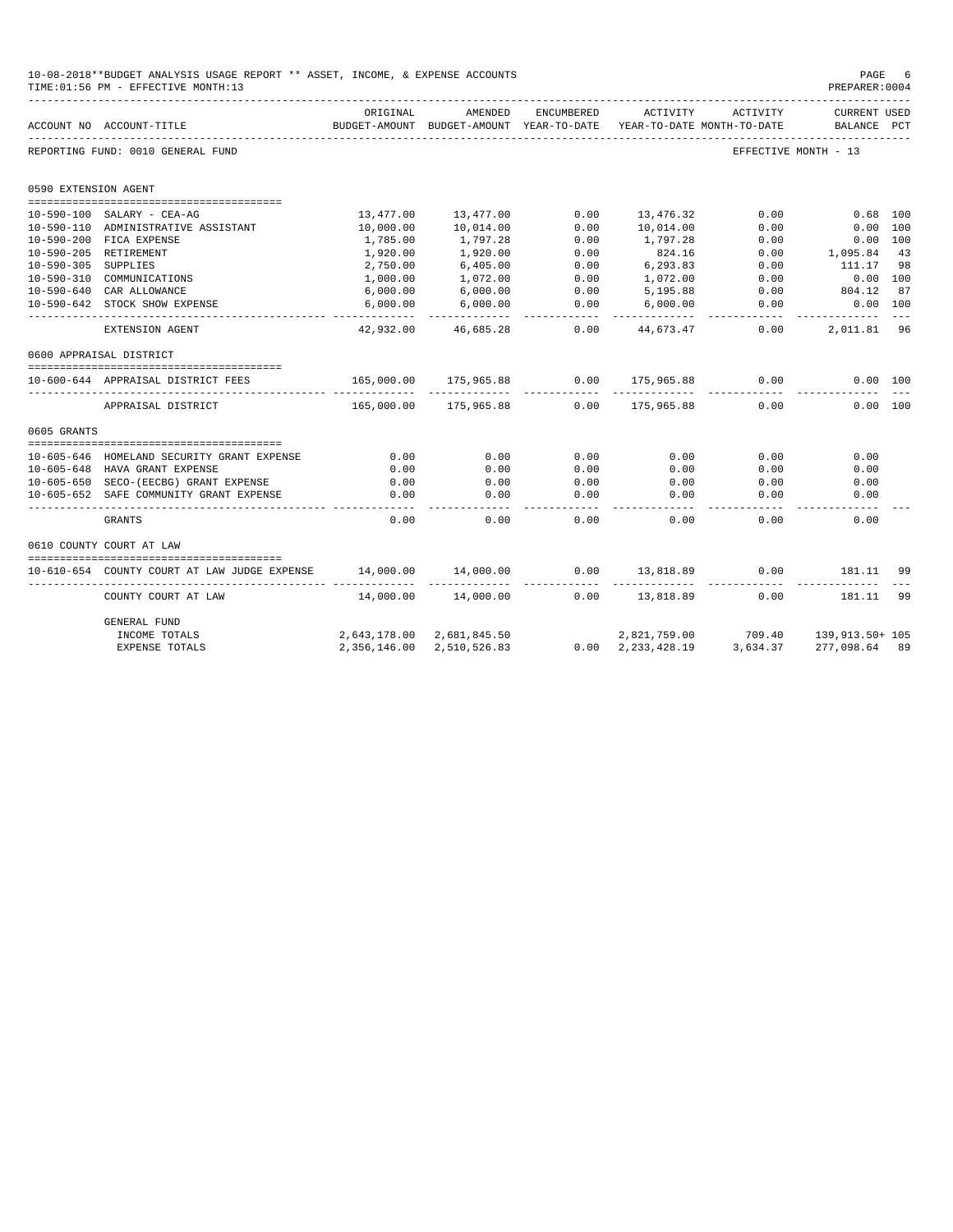|                      | 10-08-2018**BUDGET ANALYSIS USAGE REPORT ** ASSET, INCOME, & EXPENSE ACCOUNTS<br>TIME: 01:56 PM - EFFECTIVE MONTH: 13 |                           |                                       |                 |                                        |                      | PAGE<br>PREPARER: 0004             |         |
|----------------------|-----------------------------------------------------------------------------------------------------------------------|---------------------------|---------------------------------------|-----------------|----------------------------------------|----------------------|------------------------------------|---------|
|                      | ACCOUNT NO ACCOUNT-TITLE                                                                                              | ORIGINAL<br>BUDGET-AMOUNT | AMENDED<br>BUDGET-AMOUNT YEAR-TO-DATE | ENCUMBERED      | ACTIVITY<br>YEAR-TO-DATE MONTH-TO-DATE | ACTIVITY             | <b>CURRENT USED</b><br>BALANCE PCT |         |
|                      | REPORTING FUND: 0010 GENERAL FUND                                                                                     |                           |                                       |                 |                                        | EFFECTIVE MONTH - 13 |                                    |         |
| 0590 EXTENSION AGENT |                                                                                                                       |                           |                                       |                 |                                        |                      |                                    |         |
|                      |                                                                                                                       |                           |                                       |                 |                                        |                      |                                    |         |
|                      | 10-590-100 SALARY - CEA-AG                                                                                            | 13,477.00                 | 13,477.00                             | 0.00            | 13,476.32                              | 0.00                 | $0.68$ 100                         |         |
|                      | 10-590-110 ADMINISTRATIVE ASSISTANT<br>10-590-200 FICA EXPENSE                                                        | 10,000.00<br>1,785.00     | 10,014.00<br>1,797.28                 | 0.00<br>0.00    | 10,014.00<br>1,797.28                  | 0.00<br>0.00         | 0.00 100<br>0.00 100               |         |
|                      | 10-590-205 RETIREMENT                                                                                                 | 1,920.00                  | 1,920.00                              | 0.00            | 824.16                                 | 0.00                 | 1,095.84                           | 43      |
| 10-590-305 SUPPLIES  |                                                                                                                       | 2,750.00                  | 6,405.00                              | 0.00            | 6,293.83                               | 0.00                 | 111.17                             | 98      |
|                      | 10-590-310 COMMUNICATIONS                                                                                             | 1,000.00                  | 1,072.00                              | 0.00            | 1,072.00                               | 0.00                 | 0.00 100                           |         |
|                      | 10-590-640 CAR ALLOWANCE                                                                                              | 6,000.00                  | 6,000.00                              | 0.00            | 5,195.88                               | 0.00                 | 804.12                             | 87      |
|                      | 10-590-642 STOCK SHOW EXPENSE                                                                                         | 6,000.00                  | 6,000.00                              | 0.00            | 6,000.00                               | 0.00                 | $0.00$ 100                         |         |
|                      | EXTENSION AGENT                                                                                                       | 42,932.00                 | 46,685.28                             | -----<br>0.00   | 44,673.47                              | 0.00                 | ----------<br>2,011.81 96          | $- - -$ |
|                      | 0600 APPRAISAL DISTRICT                                                                                               |                           |                                       |                 |                                        |                      |                                    |         |
|                      |                                                                                                                       |                           |                                       |                 |                                        |                      |                                    |         |
|                      | 10-600-644 APPRAISAL DISTRICT FEES                                                                                    | 165,000.00                | 175,965.88                            | 0.00<br>------- | 175,965.88                             | 0.00                 | 0.00 100                           |         |
|                      | APPRAISAL DISTRICT                                                                                                    | 165,000.00                | 175,965.88                            | 0.00            | 175,965.88                             | 0.00                 | 0.00 100                           |         |
| 0605 GRANTS          |                                                                                                                       |                           |                                       |                 |                                        |                      |                                    |         |
|                      |                                                                                                                       |                           |                                       |                 |                                        |                      |                                    |         |
|                      | 10-605-646 HOMELAND SECURITY GRANT EXPENSE                                                                            | 0.00                      | 0.00                                  | 0.00            | 0.00                                   | 0.00                 | 0.00                               |         |
|                      | 10-605-648 HAVA GRANT EXPENSE                                                                                         | 0.00                      | 0.00                                  | 0.00            | 0.00                                   | 0.00                 | 0.00                               |         |
|                      | 10-605-650 SECO-(EECBG) GRANT EXPENSE<br>10-605-652 SAFE COMMUNITY GRANT EXPENSE                                      | 0.00<br>0.00              | 0.00<br>0.00                          | 0.00<br>0.00    | 0.00<br>0.00                           | 0.00<br>0.00         | 0.00<br>0.00                       |         |
|                      | <b>GRANTS</b>                                                                                                         | 0.00                      | 0.00                                  | 0.00            | 0.00                                   | 0.00                 | 0.00                               |         |
|                      |                                                                                                                       |                           |                                       |                 |                                        |                      |                                    |         |
|                      | 0610 COUNTY COURT AT LAW                                                                                              |                           |                                       |                 |                                        |                      |                                    |         |
|                      |                                                                                                                       |                           |                                       |                 |                                        |                      |                                    |         |
|                      | 10-610-654 COUNTY COURT AT LAW JUDGE EXPENSE                                                                          | 14,000.00                 | 14,000.00                             | 0.00            | 13,818.89                              | 0.00                 | 181.11                             | 99      |
|                      | COUNTY COURT AT LAW                                                                                                   | 14,000.00                 | 14,000.00                             | 0.00            | 13,818.89                              | 0.00                 | 181.11                             | 99      |
|                      | GENERAL FUND                                                                                                          |                           |                                       |                 |                                        |                      |                                    |         |
|                      | INCOME TOTALS                                                                                                         |                           | 2,643,178.00 2,681,845.50             |                 | 2,821,759.00                           | 709.40               | 139,913.50+ 105                    |         |
|                      | EXPENSE TOTALS                                                                                                        | 2,356,146.00              | 2,510,526.83                          |                 | $0.00 \quad 2,233,428.19$              | 3,634.37             | 277,098.64 89                      |         |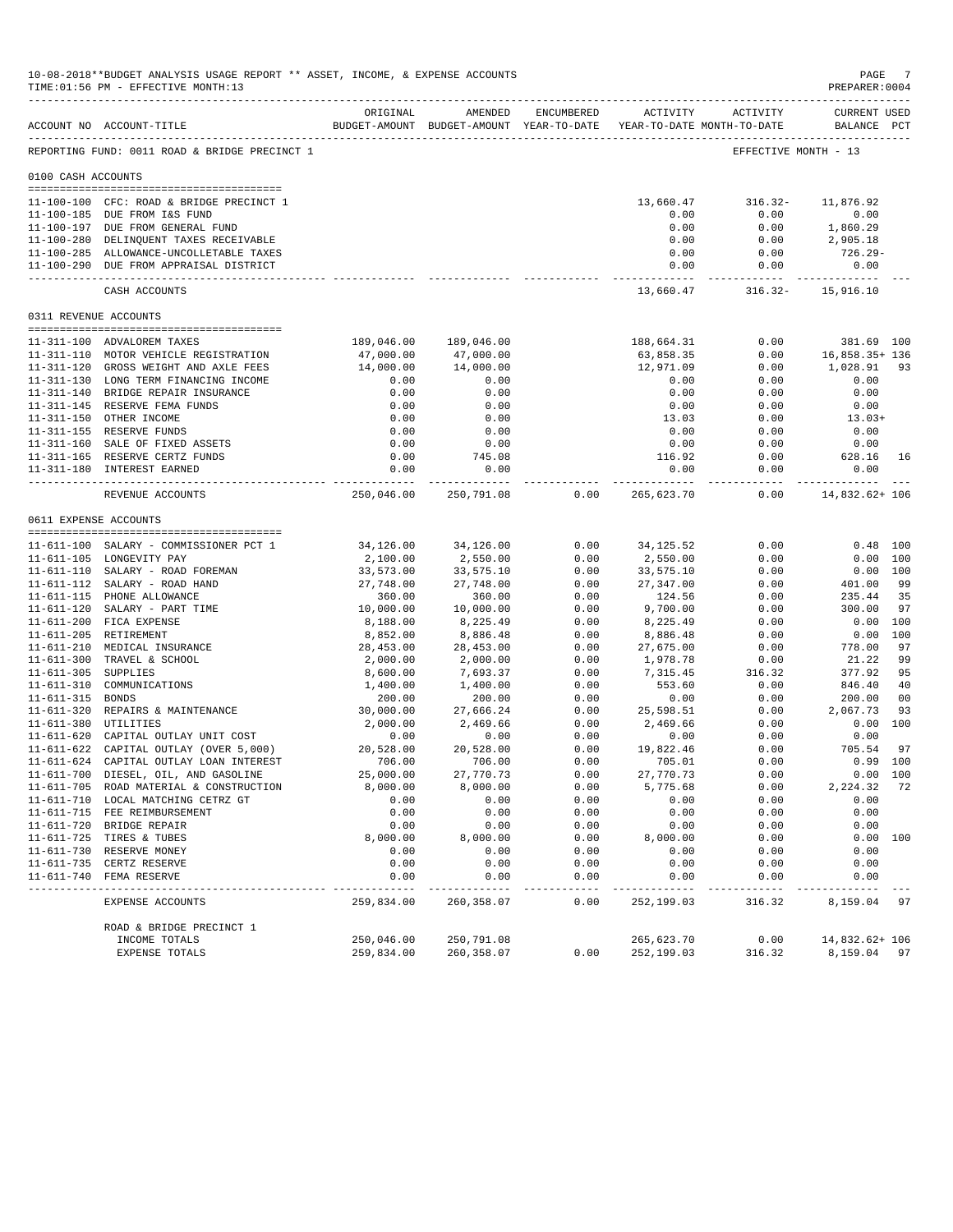|                     | 10-08-2018**BUDGET ANALYSIS USAGE REPORT ** ASSET, INCOME, & EXPENSE ACCOUNTS<br>TIME: 01:56 PM - EFFECTIVE MONTH: 13 |                           |                                                                                |               |                            |                       | PAGE<br>PREPARER: 0004      |                |
|---------------------|-----------------------------------------------------------------------------------------------------------------------|---------------------------|--------------------------------------------------------------------------------|---------------|----------------------------|-----------------------|-----------------------------|----------------|
|                     | ACCOUNT NO ACCOUNT-TITLE                                                                                              | ORIGINAL                  | AMENDED<br>BUDGET-AMOUNT BUDGET-AMOUNT YEAR-TO-DATE YEAR-TO-DATE MONTH-TO-DATE | ENCUMBERED    | <b>ACTIVITY</b>            | ACTIVITY              | CURRENT USED<br>BALANCE PCT |                |
|                     | REPORTING FUND: 0011 ROAD & BRIDGE PRECINCT 1                                                                         |                           |                                                                                |               |                            |                       | EFFECTIVE MONTH - 13        |                |
| 0100 CASH ACCOUNTS  |                                                                                                                       |                           |                                                                                |               |                            |                       |                             |                |
|                     | 11-100-100 CFC: ROAD & BRIDGE PRECINCT 1                                                                              |                           |                                                                                |               | 13,660.47                  | $316.32-$             | 11,876.92                   |                |
|                     | 11-100-185 DUE FROM I&S FUND                                                                                          |                           |                                                                                |               | 0.00                       | 0.00                  | 0.00                        |                |
|                     | 11-100-197 DUE FROM GENERAL FUND                                                                                      |                           |                                                                                |               | 0.00                       | 0.00                  | 1,860.29                    |                |
|                     | 11-100-280 DELINQUENT TAXES RECEIVABLE                                                                                |                           |                                                                                |               | 0.00                       | 0.00                  | 2,905.18<br>726.29-         |                |
|                     | 11-100-285 ALLOWANCE-UNCOLLETABLE TAXES<br>11-100-290 DUE FROM APPRAISAL DISTRICT                                     |                           |                                                                                |               | 0.00<br>0.00               | 0.00<br>0.00          | 0.00                        |                |
|                     | CASH ACCOUNTS                                                                                                         |                           |                                                                                |               | -------------<br>13,660.47 | $316.32 -$            | 15,916.10                   |                |
|                     | 0311 REVENUE ACCOUNTS                                                                                                 |                           |                                                                                |               |                            |                       |                             |                |
|                     |                                                                                                                       |                           |                                                                                |               |                            |                       |                             |                |
|                     | 11-311-100 ADVALOREM TAXES                                                                                            | 189,046.00                | 189,046.00                                                                     |               | 188,664.31                 | 0.00                  | 381.69 100                  |                |
|                     | 11-311-110 MOTOR VEHICLE REGISTRATION<br>11-311-120 GROSS WEIGHT AND AXLE FEES                                        | 47,000.00<br>14,000.00    | 47,000.00<br>14,000.00                                                         |               | 63,858.35<br>12,971.09     | 0.00<br>0.00          | 16,858.35+ 136<br>1,028.91  | 93             |
|                     | 11-311-130 LONG TERM FINANCING INCOME                                                                                 | 0.00                      | 0.00                                                                           |               | 0.00                       | 0.00                  | 0.00                        |                |
|                     | 11-311-140 BRIDGE REPAIR INSURANCE                                                                                    | 0.00                      | 0.00                                                                           |               | 0.00                       | 0.00                  | 0.00                        |                |
|                     | 11-311-145 RESERVE FEMA FUNDS                                                                                         | 0.00                      | 0.00                                                                           |               | 0.00                       | 0.00                  | 0.00                        |                |
|                     | 11-311-150 OTHER INCOME                                                                                               | 0.00                      | 0.00                                                                           |               | 13.03                      | 0.00                  | $13.03+$                    |                |
|                     | 11-311-155 RESERVE FUNDS                                                                                              | 0.00                      | 0.00                                                                           |               | 0.00                       | 0.00                  | 0.00                        |                |
|                     | 11-311-160 SALE OF FIXED ASSETS                                                                                       | 0.00                      | 0.00                                                                           |               | 0.00                       | 0.00                  | 0.00                        |                |
|                     | 11-311-165 RESERVE CERTZ FUNDS                                                                                        | 0.00                      | 745.08                                                                         |               | 116.92                     | 0.00                  | 628.16                      | 16             |
|                     | 11-311-180 INTEREST EARNED                                                                                            | 0.00                      | 0.00<br>-------------                                                          |               | 0.00<br>--------------     | 0.00<br>------------- | 0.00<br>-------------       |                |
|                     | REVENUE ACCOUNTS                                                                                                      | 250,046.00                | 250,791.08                                                                     | 0.00          | 265,623.70                 | 0.00                  | 14,832.62+ 106              |                |
|                     | 0611 EXPENSE ACCOUNTS                                                                                                 |                           |                                                                                |               |                            |                       |                             |                |
|                     | 11-611-100 SALARY - COMMISSIONER PCT 1                                                                                | 34,126.00                 | 34,126.00                                                                      | 0.00          | 34,125.52                  | 0.00                  |                             | $0.48$ 100     |
|                     | 11-611-105 LONGEVITY PAY                                                                                              | 2,100.00                  | 2,550.00                                                                       | 0.00          | 2,550.00                   | 0.00                  |                             | 0.00 100       |
|                     | 11-611-110 SALARY - ROAD FOREMAN                                                                                      | 33,573.00                 | 33,575.10                                                                      | 0.00          | 33,575.10                  | 0.00                  |                             | 0.00 100       |
|                     | 11-611-112 SALARY - ROAD HAND                                                                                         | 27,748.00                 | 27,748.00                                                                      | 0.00          | 27,347.00                  | 0.00                  | 401.00                      | -99            |
|                     | 11-611-115 PHONE ALLOWANCE                                                                                            | 360.00                    | 360.00                                                                         | 0.00          | 124.56                     | 0.00                  | 235.44                      | 35             |
|                     | 11-611-120 SALARY - PART TIME                                                                                         | 10,000.00                 | 10,000.00                                                                      | 0.00          | 9,700.00                   | 0.00                  | 300.00                      | 97             |
|                     | 11-611-200 FICA EXPENSE                                                                                               | 8,188.00                  | 8,225.49                                                                       | 0.00          | 8,225.49                   | 0.00                  |                             | 0.00 100       |
|                     | 11-611-205 RETIREMENT                                                                                                 | 8,852.00                  | 8,886.48                                                                       | 0.00          | 8,886.48                   | 0.00                  |                             | 0.00 100       |
|                     | 11-611-210 MEDICAL INSURANCE                                                                                          | 28,453.00                 | 28,453.00                                                                      | 0.00          | 27,675.00                  | 0.00                  | 778.00                      | 97             |
| 11-611-305 SUPPLIES | 11-611-300 TRAVEL & SCHOOL                                                                                            | 2,000.00<br>8,600.00      | 2,000.00<br>7,693.37                                                           | 0.00<br>0.00  | 1,978.78<br>7,315.45       | 0.00<br>316.32        | 21.22<br>377.92             | 99<br>95       |
|                     | 11-611-310 COMMUNICATIONS                                                                                             | 1,400.00                  | 1,400.00                                                                       | 0.00          | 553.60                     | 0.00                  | 846.40                      | 40             |
| 11-611-315 BONDS    |                                                                                                                       | 200.00                    | 200.00                                                                         | 0.00          | 0.00                       | 0.00                  | 200.00                      | 0 <sup>0</sup> |
|                     | 11-611-320 REPAIRS & MAINTENANCE                                                                                      | 30,000.00                 | 27,666.24                                                                      | 0.00          | 25,598.51                  | 0.00                  | 2,067.73                    | 93             |
|                     | 11-611-380 UTILITIES                                                                                                  | 2,000.00                  | 2,469.66                                                                       | 0.00          | 2,469.66                   | 0.00                  |                             | 0.00 100       |
|                     | 11-611-620 CAPITAL OUTLAY UNIT COST                                                                                   | 0.00                      | 0.00                                                                           | 0.00          | 0.00                       | 0.00                  | 0.00                        |                |
|                     | 11-611-622 CAPITAL OUTLAY (OVER 5,000)                                                                                | 20,528.00                 | 20,528.00                                                                      | 0.00          | 19,822.46                  | 0.00                  | 705.54                      | 97             |
|                     | 11-611-624 CAPITAL OUTLAY LOAN INTEREST                                                                               | 706.00                    | 706.00                                                                         | 0.00          | 705.01                     | 0.00                  | $0.99$ 100                  |                |
|                     | 11-611-700 DIESEL, OIL, AND GASOLINE                                                                                  | 25,000.00                 | 27,770.73                                                                      | 0.00          | 27,770.73                  | 0.00                  |                             | 0.00 100       |
|                     | 11-611-705 ROAD MATERIAL & CONSTRUCTION                                                                               | 8,000.00                  | 8,000.00                                                                       | 0.00          | 5,775.68                   | 0.00                  | 2,224.32                    | 72             |
|                     | 11-611-710 LOCAL MATCHING CETRZ GT                                                                                    | 0.00                      | 0.00                                                                           | 0.00          | 0.00                       | 0.00                  | 0.00                        |                |
|                     | 11-611-715 FEE REIMBURSEMENT<br>11-611-720 BRIDGE REPAIR                                                              | 0.00<br>0.00              | 0.00<br>0.00                                                                   | 0.00<br>0.00  | 0.00<br>0.00               | 0.00<br>0.00          | 0.00<br>0.00                |                |
|                     | 11-611-725 TIRES & TUBES                                                                                              | 8,000.00                  | 8,000.00                                                                       | 0.00          | 8,000.00                   | 0.00                  |                             | 0.00 100       |
|                     | 11-611-730 RESERVE MONEY                                                                                              | 0.00                      | 0.00                                                                           | 0.00          | 0.00                       | 0.00                  | 0.00                        |                |
|                     | 11-611-735 CERTZ RESERVE                                                                                              | 0.00                      | 0.00                                                                           | 0.00          | 0.00                       | 0.00                  | 0.00                        |                |
|                     | 11-611-740 FEMA RESERVE                                                                                               | 0.00                      | 0.00                                                                           | 0.00          | 0.00                       | 0.00                  | 0.00                        |                |
|                     | EXPENSE ACCOUNTS                                                                                                      | $- - - - -$<br>259,834.00 | 260,358.07                                                                     | $---$<br>0.00 | 252,199.03                 | 316.32                | 8,159.04                    | 97             |
|                     | ROAD & BRIDGE PRECINCT 1                                                                                              |                           |                                                                                |               |                            |                       |                             |                |
|                     | INCOME TOTALS                                                                                                         | 250,046.00                | 250,791.08                                                                     |               | 265,623.70                 | 0.00                  | 14,832.62+ 106              |                |
|                     | EXPENSE TOTALS                                                                                                        | 259,834.00                | 260,358.07                                                                     | 0.00          | 252,199.03                 | 316.32                | 8,159.04 97                 |                |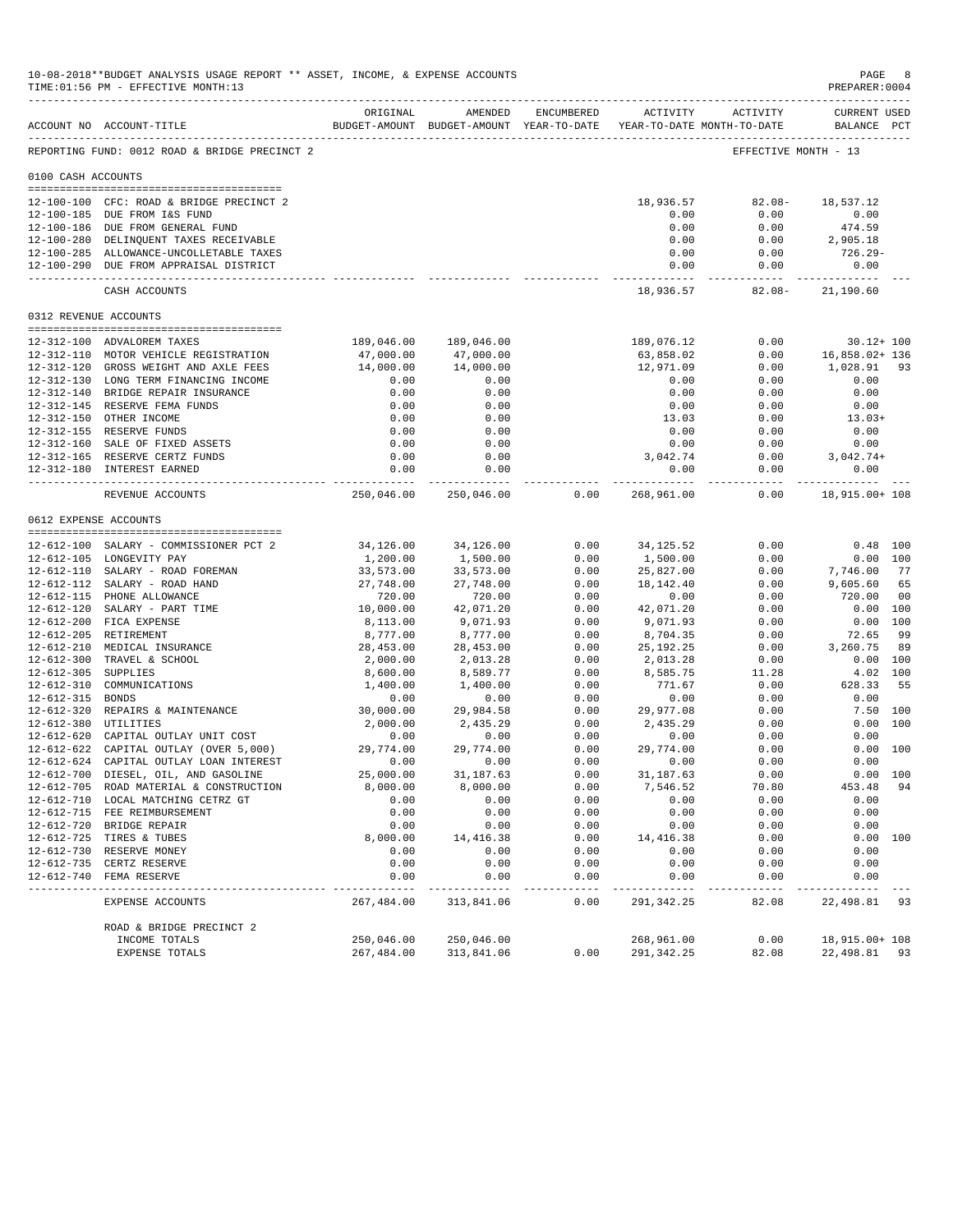|                       | 10-08-2018**BUDGET ANALYSIS USAGE REPORT ** ASSET, INCOME, & EXPENSE ACCOUNTS<br>TIME: 01:56 PM - EFFECTIVE MONTH: 13 |                         |                                                     |               |                      |                                                 | PAGE<br>PREPARER: 0004      | 8              |
|-----------------------|-----------------------------------------------------------------------------------------------------------------------|-------------------------|-----------------------------------------------------|---------------|----------------------|-------------------------------------------------|-----------------------------|----------------|
|                       | ACCOUNT NO ACCOUNT-TITLE                                                                                              | ORIGINAL                | AMENDED<br>BUDGET-AMOUNT BUDGET-AMOUNT YEAR-TO-DATE | ENCUMBERED    |                      | ACTIVITY ACTIVITY<br>YEAR-TO-DATE MONTH-TO-DATE | CURRENT USED<br>BALANCE PCT |                |
|                       | REPORTING FUND: 0012 ROAD & BRIDGE PRECINCT 2                                                                         |                         |                                                     |               |                      |                                                 | EFFECTIVE MONTH - 13        |                |
| 0100 CASH ACCOUNTS    |                                                                                                                       |                         |                                                     |               |                      |                                                 |                             |                |
|                       | 12-100-100 CFC: ROAD & BRIDGE PRECINCT 2                                                                              |                         |                                                     |               | 18,936.57            | $82.08 -$                                       | 18,537.12                   |                |
|                       | 12-100-185 DUE FROM I&S FUND<br>12-100-186 DUE FROM GENERAL FUND                                                      |                         |                                                     |               | 0.00<br>0.00         | 0.00                                            | 0.00                        |                |
|                       | 12-100-280 DELINQUENT TAXES RECEIVABLE                                                                                |                         |                                                     |               | 0.00                 | 0.00<br>0.00                                    | 474.59<br>2,905.18          |                |
|                       | 12-100-285 ALLOWANCE-UNCOLLETABLE TAXES                                                                               |                         |                                                     |               | 0.00                 | 0.00                                            | 726.29-                     |                |
|                       | 12-100-290 DUE FROM APPRAISAL DISTRICT                                                                                |                         |                                                     |               | 0.00<br>.            | 0.00                                            | 0.00                        |                |
|                       | CASH ACCOUNTS                                                                                                         |                         |                                                     |               | 18,936.57            | $82.08 -$                                       | 21,190.60                   |                |
| 0312 REVENUE ACCOUNTS |                                                                                                                       |                         |                                                     |               |                      |                                                 |                             |                |
|                       | 12-312-100 ADVALOREM TAXES                                                                                            | 189,046.00              | 189,046.00                                          |               | 189,076.12           | 0.00                                            | $30.12 + 100$               |                |
|                       | 12-312-110 MOTOR VEHICLE REGISTRATION                                                                                 | 47,000.00               | 47,000.00                                           |               | 63,858.02            | 0.00                                            | 16,858.02+ 136              |                |
|                       | 12-312-120 GROSS WEIGHT AND AXLE FEES                                                                                 | 14,000.00               | 14,000.00                                           |               | 12,971.09            | 0.00                                            | 1,028.91                    | 93             |
|                       | 12-312-130 LONG TERM FINANCING INCOME                                                                                 | 0.00                    | 0.00                                                |               | 0.00                 | 0.00                                            | 0.00                        |                |
|                       | 12-312-140 BRIDGE REPAIR INSURANCE                                                                                    | 0.00                    | 0.00                                                |               | 0.00                 | 0.00                                            | 0.00                        |                |
|                       | 12-312-145 RESERVE FEMA FUNDS                                                                                         | 0.00                    | 0.00                                                |               | 0.00                 | 0.00                                            | 0.00                        |                |
|                       | 12-312-150 OTHER INCOME                                                                                               | 0.00                    | 0.00                                                |               | 13.03                | 0.00                                            | $13.03+$                    |                |
|                       | 12-312-155 RESERVE FUNDS                                                                                              | 0.00                    | 0.00                                                |               | 0.00                 | 0.00                                            | 0.00                        |                |
|                       | 12-312-160 SALE OF FIXED ASSETS                                                                                       | 0.00                    | 0.00                                                |               | 0.00                 | 0.00                                            | 0.00                        |                |
|                       | 12-312-165 RESERVE CERTZ FUNDS<br>12-312-180 INTEREST EARNED                                                          | 0.00<br>0.00            | 0.00<br>0.00                                        |               | 3,042.74<br>0.00     | 0.00<br>0.00                                    | $3,042.74+$<br>0.00         |                |
|                       |                                                                                                                       | .                       | ------------                                        |               | ____________         | ------------                                    | ___________                 |                |
|                       | REVENUE ACCOUNTS                                                                                                      | 250,046.00              | 250,046.00                                          | 0.00          | 268,961.00           | 0.00                                            | 18,915.00+ 108              |                |
| 0612 EXPENSE ACCOUNTS |                                                                                                                       |                         |                                                     |               |                      |                                                 |                             |                |
|                       | 12-612-100 SALARY - COMMISSIONER PCT 2                                                                                | 34,126.00               | 34,126.00                                           | 0.00          | 34, 125.52           | 0.00                                            | $0.48$ 100                  |                |
|                       | 12-612-105 LONGEVITY PAY                                                                                              | 1,200.00                | 1,500.00                                            | 0.00          | 1,500.00             | 0.00                                            |                             | 0.00 100       |
|                       | 12-612-110 SALARY - ROAD FOREMAN                                                                                      | 33,573.00               | 33,573.00                                           | 0.00          | 25,827.00            | 0.00                                            | 7,746.00                    | 77             |
|                       | 12-612-112 SALARY - ROAD HAND                                                                                         | 27,748.00               | 27,748.00                                           | 0.00          | 18, 142. 40          | 0.00                                            | 9,605.60                    | 65             |
|                       | 12-612-115 PHONE ALLOWANCE                                                                                            | 720.00                  | 720.00                                              | 0.00          | 0.00                 | 0.00                                            | 720.00                      | 0 <sub>0</sub> |
|                       | 12-612-120 SALARY - PART TIME                                                                                         | 10,000.00               | 42,071.20                                           | 0.00          | 42,071.20            | 0.00                                            | 0.00 100                    |                |
|                       | 12-612-200 FICA EXPENSE                                                                                               | 8,113.00                | 9,071.93                                            | 0.00          | 9,071.93             | 0.00                                            | 0.00 100                    |                |
|                       | 12-612-205 RETIREMENT                                                                                                 | 8,777.00                | 8,777.00                                            | 0.00          | 8,704.35             | 0.00                                            | 72.65                       | 99             |
|                       | 12-612-210 MEDICAL INSURANCE                                                                                          | 28,453.00               | 28,453.00                                           | 0.00          | 25, 192. 25          | 0.00                                            | 3,260.75                    | 89             |
| $12 - 612 - 305$      | 12-612-300 TRAVEL & SCHOOL<br>SUPPLIES                                                                                | 2,000.00<br>8,600.00    | 2,013.28<br>8,589.77                                | 0.00<br>0.00  | 2,013.28<br>8,585.75 | 0.00<br>11.28                                   | 0.00 100                    | 4.02 100       |
| 12-612-310            | COMMUNICATIONS                                                                                                        | 1,400.00                | 1,400.00                                            | 0.00          | 771.67               | 0.00                                            | 628.33                      | 55             |
| 12-612-315 BONDS      |                                                                                                                       | 0.00                    | 0.00                                                | 0.00          | 0.00                 | 0.00                                            | 0.00                        |                |
|                       | 12-612-320 REPAIRS & MAINTENANCE                                                                                      | 30,000.00               | 29,984.58                                           | 0.00          | 29,977.08            | 0.00                                            | 7.50 100                    |                |
| 12-612-380 UTILITIES  |                                                                                                                       | 2,000.00                | 2,435.29                                            | 0.00          | 2,435.29             | 0.00                                            |                             | 0.00 100       |
|                       | 12-612-620 CAPITAL OUTLAY UNIT COST                                                                                   | 0.00                    | 0.00                                                | 0.00          | 0.00                 | 0.00                                            | 0.00                        |                |
|                       | 12-612-622 CAPITAL OUTLAY (OVER 5,000)                                                                                | 29,774.00               | 29,774.00                                           | 0.00          | 29,774.00            | 0.00                                            |                             | 0.00 100       |
|                       | 12-612-624 CAPITAL OUTLAY LOAN INTEREST                                                                               | 0.00                    | 0.00                                                | 0.00          | 0.00                 | 0.00                                            | 0.00                        |                |
|                       | 12-612-700 DIESEL, OIL, AND GASOLINE                                                                                  | 25,000.00               | 31,187.63                                           | 0.00          | 31, 187.63           | 0.00                                            |                             | 0.00 100       |
|                       | 12-612-705 ROAD MATERIAL & CONSTRUCTION                                                                               | 8,000.00                | 8,000.00                                            | 0.00          | 7,546.52             | 70.80                                           | 453.48                      | 94             |
|                       | 12-612-710 LOCAL MATCHING CETRZ GT                                                                                    | 0.00                    | 0.00                                                | 0.00          | 0.00                 | 0.00                                            | 0.00                        |                |
|                       | 12-612-715 FEE REIMBURSEMENT<br>12-612-720 BRIDGE REPAIR                                                              | 0.00<br>0.00            | 0.00<br>0.00                                        | 0.00<br>0.00  | 0.00<br>0.00         | 0.00<br>0.00                                    | 0.00<br>0.00                |                |
|                       | 12-612-725 TIRES & TUBES                                                                                              | 8,000.00                | 14, 416.38                                          | 0.00          | 14, 416.38           | 0.00                                            |                             | 0.00 100       |
|                       | 12-612-730 RESERVE MONEY                                                                                              | 0.00                    | 0.00                                                | 0.00          | 0.00                 | 0.00                                            | 0.00                        |                |
|                       | 12-612-735 CERTZ RESERVE                                                                                              | 0.00                    | 0.00                                                | 0.00          | 0.00                 | 0.00                                            | 0.00                        |                |
|                       | 12-612-740 FEMA RESERVE                                                                                               | 0.00                    | 0.00                                                | 0.00          | 0.00                 | 0.00                                            | 0.00                        |                |
|                       | EXPENSE ACCOUNTS                                                                                                      | ---------<br>267,484.00 | 313,841.06                                          | $---$<br>0.00 | 291,342.25           | 82.08                                           | 22,498.81                   | 93             |
|                       | ROAD & BRIDGE PRECINCT 2                                                                                              |                         |                                                     |               |                      |                                                 |                             |                |
|                       | INCOME TOTALS                                                                                                         | 250,046.00              | 250,046.00                                          |               | 268,961.00           | 0.00                                            | 18,915.00+ 108              |                |
|                       | <b>EXPENSE TOTALS</b>                                                                                                 | 267,484.00              | 313,841.06                                          | 0.00          | 291,342.25           | 82.08                                           | 22, 498.81 93               |                |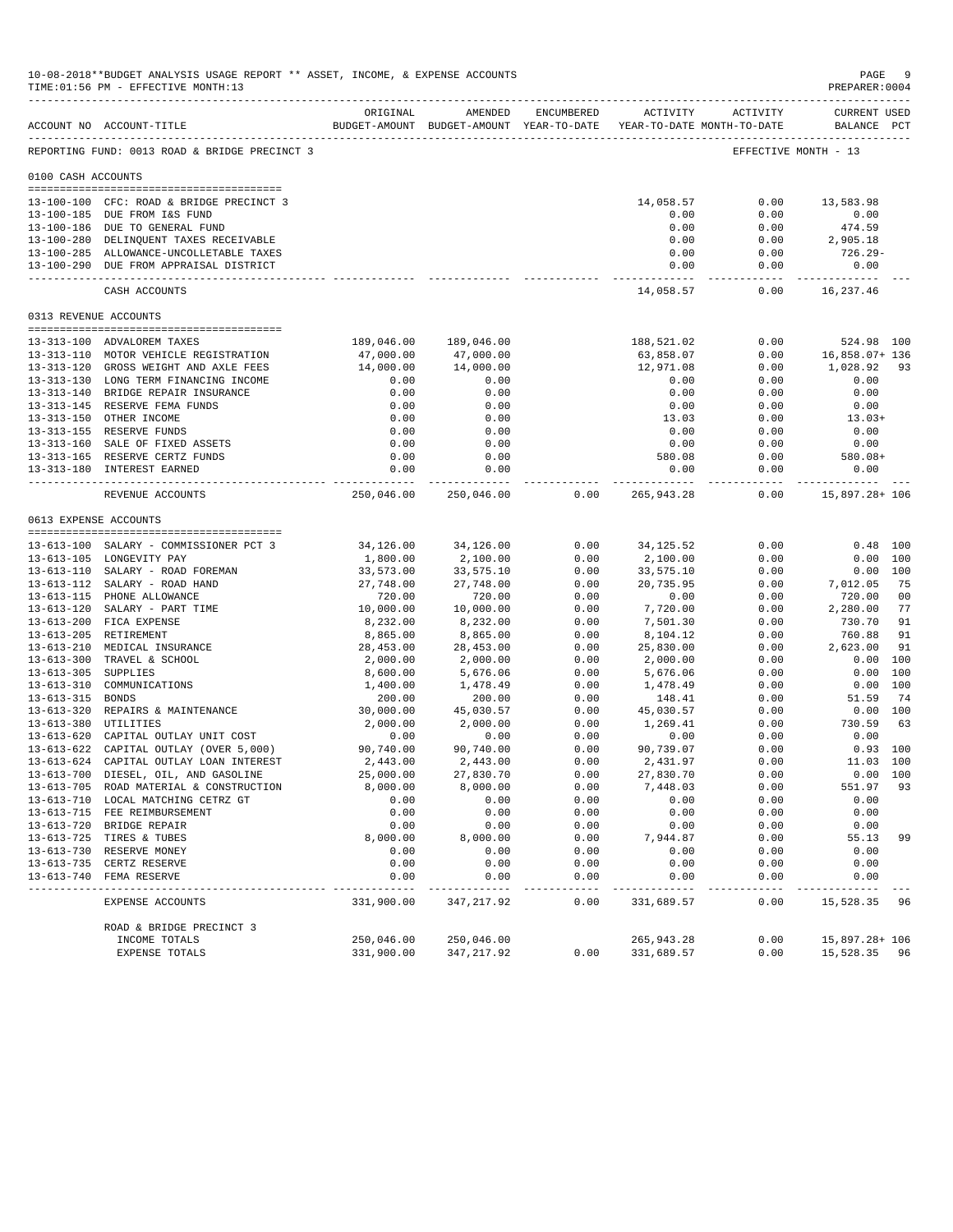|                       | 10-08-2018**BUDGET ANALYSIS USAGE REPORT ** ASSET, INCOME, & EXPENSE ACCOUNTS<br>TIME: 01:56 PM - EFFECTIVE MONTH: 13 |                         |                                                                                |              |                            |                      | PAGE<br>PREPARER: 0004       | -9                   |
|-----------------------|-----------------------------------------------------------------------------------------------------------------------|-------------------------|--------------------------------------------------------------------------------|--------------|----------------------------|----------------------|------------------------------|----------------------|
|                       | ACCOUNT NO ACCOUNT-TITLE                                                                                              | ORIGINAL                | AMENDED<br>BUDGET-AMOUNT BUDGET-AMOUNT YEAR-TO-DATE YEAR-TO-DATE MONTH-TO-DATE | ENCUMBERED   |                            | ACTIVITY ACTIVITY    | CURRENT USED<br>BALANCE PCT  |                      |
|                       | REPORTING FUND: 0013 ROAD & BRIDGE PRECINCT 3                                                                         |                         |                                                                                |              |                            |                      | EFFECTIVE MONTH - 13         |                      |
| 0100 CASH ACCOUNTS    |                                                                                                                       |                         |                                                                                |              |                            |                      |                              |                      |
|                       | 13-100-100 CFC: ROAD & BRIDGE PRECINCT 3                                                                              |                         |                                                                                |              | 14,058.57                  | 0.00                 | 13,583.98                    |                      |
|                       | 13-100-185 DUE FROM I&S FUND                                                                                          |                         |                                                                                |              | 0.00                       | 0.00                 | 0.00                         |                      |
|                       | 13-100-186 DUE TO GENERAL FUND                                                                                        |                         |                                                                                |              | 0.00                       | 0.00                 | 474.59                       |                      |
|                       | 13-100-280 DELINQUENT TAXES RECEIVABLE                                                                                |                         |                                                                                |              | 0.00                       | 0.00                 | 2,905.18                     |                      |
|                       | 13-100-285 ALLOWANCE-UNCOLLETABLE TAXES<br>13-100-290 DUE FROM APPRAISAL DISTRICT                                     |                         |                                                                                |              | 0.00<br>0.00               | 0.00<br>0.00         | 726.29-<br>0.00              |                      |
|                       | CASH ACCOUNTS                                                                                                         |                         |                                                                                |              | -------------<br>14,058.57 | 0.00                 | 16,237.46                    |                      |
| 0313 REVENUE ACCOUNTS |                                                                                                                       |                         |                                                                                |              |                            |                      |                              |                      |
|                       |                                                                                                                       |                         |                                                                                |              |                            |                      |                              |                      |
|                       | 13-313-100 ADVALOREM TAXES<br>13-313-110 MOTOR VEHICLE REGISTRATION                                                   | 189,046.00<br>47,000.00 | 189,046.00<br>47,000.00                                                        |              | 188,521.02<br>63,858.07    | 0.00<br>0.00         | 524.98 100<br>16,858.07+ 136 |                      |
|                       | 13-313-120 GROSS WEIGHT AND AXLE FEES                                                                                 | 14,000.00               | 14,000.00                                                                      |              | 12,971.08                  | 0.00                 | 1,028.92                     | 93                   |
|                       | 13-313-130 LONG TERM FINANCING INCOME                                                                                 | 0.00                    | 0.00                                                                           |              | 0.00                       | 0.00                 | 0.00                         |                      |
|                       | 13-313-140 BRIDGE REPAIR INSURANCE                                                                                    | 0.00                    | 0.00                                                                           |              | 0.00                       | 0.00                 | 0.00                         |                      |
|                       | 13-313-145 RESERVE FEMA FUNDS                                                                                         | 0.00                    | 0.00                                                                           |              | 0.00                       | 0.00                 | 0.00                         |                      |
|                       | 13-313-150 OTHER INCOME                                                                                               | 0.00                    | 0.00                                                                           |              | 13.03                      | 0.00                 | $13.03+$                     |                      |
|                       | 13-313-155 RESERVE FUNDS                                                                                              | 0.00                    | 0.00                                                                           |              | 0.00                       | 0.00                 | 0.00                         |                      |
|                       | 13-313-160 SALE OF FIXED ASSETS                                                                                       | 0.00                    | 0.00                                                                           |              | 0.00                       | 0.00                 | 0.00                         |                      |
|                       | 13-313-165 RESERVE CERTZ FUNDS                                                                                        | 0.00                    | 0.00                                                                           |              | 580.08                     | 0.00                 | 580.08+                      |                      |
|                       | 13-313-180 INTEREST EARNED                                                                                            | 0.00                    | 0.00<br>______________                                                         |              | 0.00<br>-------------      | 0.00<br>------------ | 0.00<br>--------------       |                      |
|                       | REVENUE ACCOUNTS                                                                                                      | 250,046.00              | 250,046.00                                                                     | 0.00         | 265,943.28                 | 0.00                 | 15,897.28+ 106               |                      |
| 0613 EXPENSE ACCOUNTS |                                                                                                                       |                         |                                                                                |              |                            |                      |                              |                      |
|                       | 13-613-100 SALARY - COMMISSIONER PCT 3                                                                                | 34,126.00               | 34,126.00                                                                      | 0.00         | 34, 125.52                 | 0.00                 |                              | $0.48$ 100           |
|                       | 13-613-105 LONGEVITY PAY                                                                                              | 1,800.00                | 2,100.00                                                                       | 0.00         | 2,100.00                   | 0.00                 |                              | 0.00 100             |
|                       | 13-613-110 SALARY - ROAD FOREMAN                                                                                      | 33,573.00               | 33,575.10                                                                      | 0.00         | 33,575.10                  | 0.00                 |                              | 0.00 100             |
|                       | 13-613-112 SALARY - ROAD HAND                                                                                         | 27,748.00               | 27,748.00                                                                      | 0.00         | 20,735.95                  | 0.00                 | 7,012.05                     | 75                   |
|                       | 13-613-115 PHONE ALLOWANCE                                                                                            | 720.00                  | 720.00                                                                         | 0.00         | 0.00                       | 0.00                 | 720.00                       | 0 <sub>0</sub>       |
|                       | 13-613-120 SALARY - PART TIME                                                                                         | 10,000.00               | 10,000.00                                                                      | 0.00         | 7,720.00                   | 0.00                 | 2,280.00                     | 77                   |
|                       | 13-613-200 FICA EXPENSE                                                                                               | 8,232.00                | 8,232.00                                                                       | 0.00         | 7,501.30                   | 0.00                 | 730.70                       | 91                   |
|                       | 13-613-205 RETIREMENT                                                                                                 | 8,865.00                | 8,865.00                                                                       | 0.00         | 8,104.12                   | 0.00                 | 760.88                       | 91                   |
|                       | 13-613-210 MEDICAL INSURANCE                                                                                          | 28,453.00               | 28,453.00                                                                      | 0.00         | 25,830.00                  | 0.00                 | 2,623.00                     | 91                   |
| 13-613-305 SUPPLIES   | 13-613-300 TRAVEL & SCHOOL                                                                                            | 2,000.00<br>8,600.00    | 2,000.00<br>5,676.06                                                           | 0.00<br>0.00 | 2,000.00<br>5,676.06       | 0.00<br>0.00         |                              | 0.00 100<br>0.00 100 |
|                       | 13-613-310 COMMUNICATIONS                                                                                             | 1,400.00                | 1,478.49                                                                       | 0.00         | 1,478.49                   | 0.00                 |                              | 0.00 100             |
| 13-613-315 BONDS      |                                                                                                                       | 200.00                  | 200.00                                                                         | 0.00         | 148.41                     | 0.00                 | 51.59                        | 74                   |
|                       | 13-613-320 REPAIRS & MAINTENANCE                                                                                      | 30,000.00               | 45,030.57                                                                      | 0.00         | 45,030.57                  | 0.00                 |                              | 0.00 100             |
| 13-613-380 UTILITIES  |                                                                                                                       | 2,000.00                | 2,000.00                                                                       | 0.00         | 1,269.41                   | 0.00                 | 730.59                       | 63                   |
|                       | 13-613-620 CAPITAL OUTLAY UNIT COST                                                                                   | 0.00                    | 0.00                                                                           | 0.00         | 0.00                       | 0.00                 | 0.00                         |                      |
|                       | 13-613-622 CAPITAL OUTLAY (OVER 5,000)                                                                                | 90,740.00               | 90,740.00                                                                      | 0.00         | 90,739.07                  | 0.00                 |                              | $0.93$ 100           |
|                       | 13-613-624 CAPITAL OUTLAY LOAN INTEREST                                                                               | 2,443.00                | 2,443.00                                                                       | 0.00         | 2,431.97                   | 0.00                 | 11.03 100                    |                      |
|                       | 13-613-700 DIESEL, OIL, AND GASOLINE                                                                                  | 25,000.00               | 27,830.70                                                                      | 0.00         | 27,830.70                  | 0.00                 |                              | 0.00 100             |
|                       | 13-613-705 ROAD MATERIAL & CONSTRUCTION<br>13-613-710 LOCAL MATCHING CETRZ GT                                         | 8,000.00                | 8,000.00                                                                       | 0.00         | 7,448.03                   | 0.00                 | 551.97                       | 93                   |
|                       | 13-613-715 FEE REIMBURSEMENT                                                                                          | 0.00<br>0.00            | 0.00<br>0.00                                                                   | 0.00<br>0.00 | 0.00<br>0.00               | 0.00<br>0.00         | 0.00<br>0.00                 |                      |
|                       | 13-613-720 BRIDGE REPAIR                                                                                              | 0.00                    | 0.00                                                                           | 0.00         | 0.00                       | 0.00                 | 0.00                         |                      |
|                       | 13-613-725 TIRES & TUBES                                                                                              | 8,000.00                | 8,000.00                                                                       | 0.00         | 7,944.87                   | 0.00                 | 55.13                        | 99                   |
|                       | 13-613-730 RESERVE MONEY                                                                                              | 0.00                    | 0.00                                                                           | 0.00         | 0.00                       | 0.00                 | 0.00                         |                      |
| $13 - 613 - 735$      | CERTZ RESERVE                                                                                                         | 0.00                    | 0.00                                                                           | 0.00         | 0.00                       | 0.00                 | 0.00                         |                      |
|                       | 13-613-740 FEMA RESERVE                                                                                               | 0.00<br>----            | 0.00                                                                           | 0.00         | 0.00                       | 0.00                 | 0.00                         |                      |
|                       | EXPENSE ACCOUNTS                                                                                                      | 331,900.00              | 347,217.92                                                                     | 0.00         | 331,689.57                 | 0.00                 | 15,528.35                    | 96                   |
|                       | ROAD & BRIDGE PRECINCT 3                                                                                              |                         |                                                                                |              |                            |                      |                              |                      |
|                       | INCOME TOTALS                                                                                                         | 250,046.00              | 250,046.00                                                                     |              | 265, 943. 28               | 0.00                 | 15,897.28+ 106               |                      |
|                       | EXPENSE TOTALS                                                                                                        | 331,900.00              | 347,217.92                                                                     | 0.00         | 331,689.57                 | 0.00                 | 15,528.35 96                 |                      |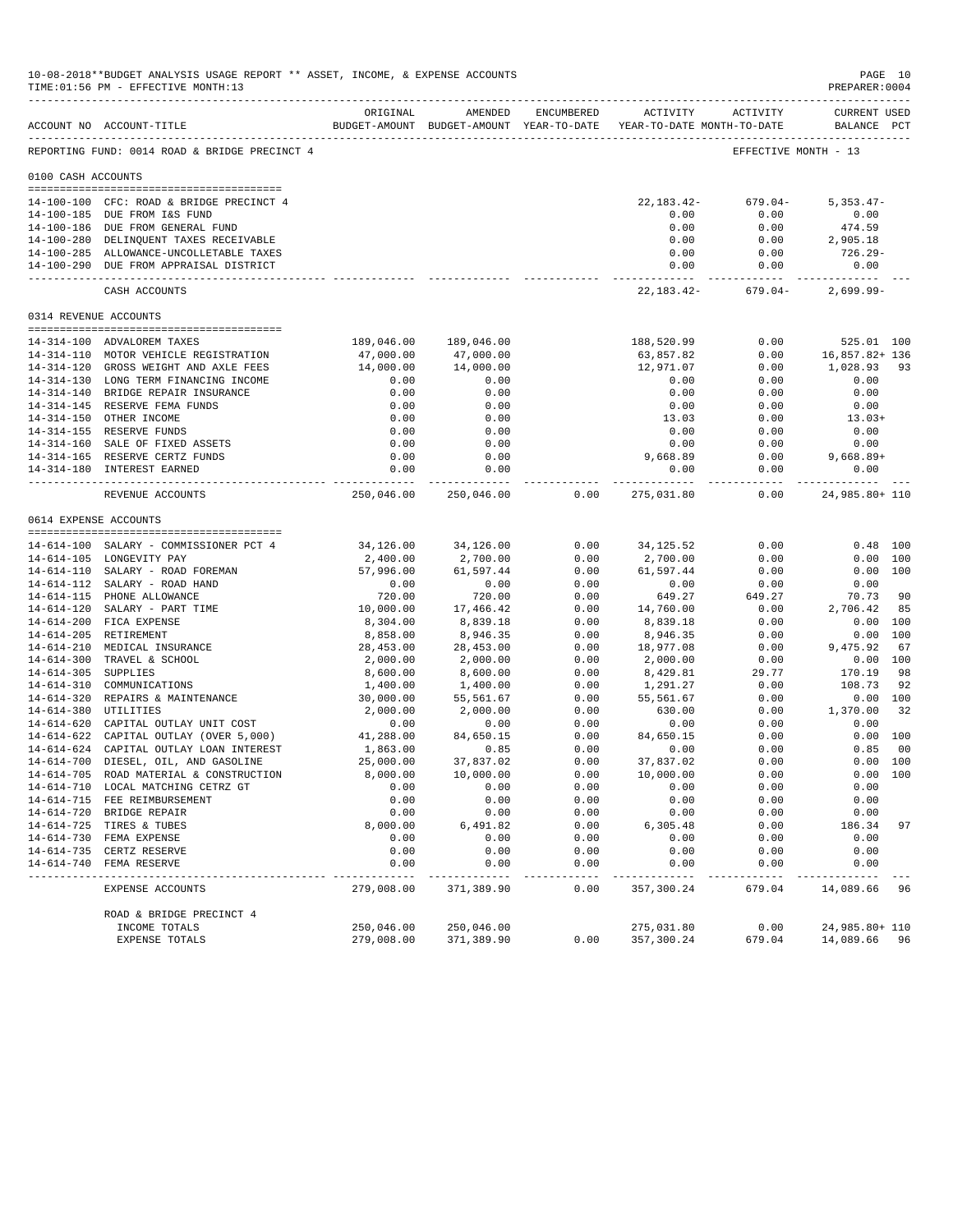|                     | 10-08-2018**BUDGET ANALYSIS USAGE REPORT ** ASSET, INCOME, & EXPENSE ACCOUNTS<br>TIME: 01:56 PM - EFFECTIVE MONTH: 13 |                     |                                    |              |                                                                     |                      | PAGE 10<br>PREPARER: 0004    |     |
|---------------------|-----------------------------------------------------------------------------------------------------------------------|---------------------|------------------------------------|--------------|---------------------------------------------------------------------|----------------------|------------------------------|-----|
|                     |                                                                                                                       | ORIGINAL            | AMENDED                            |              | ENCUMBERED ACTIVITY ACTIVITY                                        |                      | CURRENT USED                 |     |
|                     | ACCOUNT NO ACCOUNT-TITLE                                                                                              |                     |                                    |              | BUDGET-AMOUNT BUDGET-AMOUNT YEAR-TO-DATE YEAR-TO-DATE MONTH-TO-DATE |                      | BALANCE PCT                  |     |
|                     | REPORTING FUND: 0014 ROAD & BRIDGE PRECINCT 4                                                                         |                     |                                    |              |                                                                     | EFFECTIVE MONTH - 13 |                              |     |
| 0100 CASH ACCOUNTS  |                                                                                                                       |                     |                                    |              |                                                                     |                      |                              |     |
|                     | 14-100-100 CFC: ROAD & BRIDGE PRECINCT 4                                                                              |                     |                                    |              | 22,183.42-                                                          | 679.04-              | $5,353.47-$                  |     |
|                     | 14-100-185 DUE FROM I&S FUND                                                                                          |                     |                                    |              | 0.00                                                                | 0.00                 | 0.00                         |     |
|                     | 14-100-186 DUE FROM GENERAL FUND                                                                                      |                     |                                    |              | 0.00                                                                | 0.00                 | 474.59                       |     |
|                     | 14-100-280 DELINQUENT TAXES RECEIVABLE                                                                                |                     |                                    |              | 0.00                                                                | 0.00                 | 2,905.18                     |     |
|                     | 14-100-285 ALLOWANCE-UNCOLLETABLE TAXES                                                                               |                     |                                    |              | 0.00                                                                | 0.00                 | 726.29-                      |     |
|                     | 14-100-290 DUE FROM APPRAISAL DISTRICT                                                                                |                     |                                    |              | 0.00<br>------------                                                | 0.00<br>-----------  | 0.00<br>------------         |     |
|                     | CASH ACCOUNTS                                                                                                         |                     |                                    |              | 22,183.42-                                                          | $679.04-$            | $2,699.99-$                  |     |
|                     | 0314 REVENUE ACCOUNTS                                                                                                 |                     |                                    |              |                                                                     |                      |                              |     |
|                     |                                                                                                                       |                     |                                    |              |                                                                     |                      |                              |     |
|                     | 14-314-100 ADVALOREM TAXES<br>14-314-110 MOTOR VEHICLE REGISTRATION                                                   | 47,000.00           | 189,046.00 189,046.00<br>47,000.00 |              | 188,520.99<br>63,857.82                                             | 0.00<br>0.00         | 525.01 100<br>16,857.82+ 136 |     |
|                     | 14-314-120 GROSS WEIGHT AND AXLE FEES                                                                                 | 14,000.00           | 14,000.00                          |              | 12,971.07                                                           | 0.00                 | 1,028.93                     | 93  |
|                     | 14-314-130 LONG TERM FINANCING INCOME                                                                                 | 0.00                | 0.00                               |              | 0.00                                                                | 0.00                 | 0.00                         |     |
|                     | 14-314-140 BRIDGE REPAIR INSURANCE                                                                                    | 0.00                | 0.00                               |              | 0.00                                                                | 0.00                 | 0.00                         |     |
|                     | 14-314-145 RESERVE FEMA FUNDS                                                                                         | 0.00                | 0.00                               |              | 0.00                                                                | 0.00                 | 0.00                         |     |
|                     | 14-314-150 OTHER INCOME                                                                                               | 0.00                | 0.00                               |              | 13.03                                                               | 0.00                 | $13.03+$                     |     |
|                     | 14-314-155 RESERVE FUNDS                                                                                              | 0.00                | 0.00                               |              | 0.00                                                                | 0.00                 | 0.00                         |     |
|                     | 14-314-160 SALE OF FIXED ASSETS                                                                                       | 0.00                | 0.00                               |              | 0.00                                                                | 0.00                 | 0.00                         |     |
|                     | 14-314-165 RESERVE CERTZ FUNDS                                                                                        | 0.00                | 0.00                               |              | 9,668.89                                                            | 0.00                 | $9,668.89+$                  |     |
|                     | 14-314-180 INTEREST EARNED                                                                                            | 0.00<br>----------- | 0.00<br>------------               |              | 0.00                                                                | 0.00                 | 0.00<br>----------           |     |
|                     | REVENUE ACCOUNTS                                                                                                      |                     | 250,046.00 250,046.00              | 0.00         | 275,031.80                                                          | 0.00                 | 24,985.80+ 110               |     |
|                     | 0614 EXPENSE ACCOUNTS                                                                                                 |                     |                                    |              |                                                                     |                      |                              |     |
|                     |                                                                                                                       |                     |                                    |              |                                                                     |                      |                              |     |
|                     | 14-614-100 SALARY - COMMISSIONER PCT 4                                                                                | 34,126.00           | 34,126.00                          | 0.00         | 34,125.52                                                           | 0.00                 | $0.48$ 100                   |     |
|                     | 14-614-105 LONGEVITY PAY                                                                                              | 2,400.00            | 2,700.00                           | 0.00         | 2,700.00                                                            | 0.00                 | 0.00 100                     |     |
|                     | 14-614-110 SALARY - ROAD FOREMAN<br>14-614-112 SALARY - ROAD HAND                                                     | 57,996.00<br>0.00   | 61,597.44<br>0.00                  | 0.00<br>0.00 | 61,597.44                                                           | 0.00                 | 0.00 100<br>0.00             |     |
|                     | 14-614-115 PHONE ALLOWANCE                                                                                            | 720.00              | 720.00                             | 0.00         | 0.00<br>649.27                                                      | 0.00<br>649.27       | 70.73                        | -90 |
|                     | 14-614-120 SALARY - PART TIME                                                                                         | 10,000.00           | 17,466.42                          | 0.00         | 14,760.00                                                           | 0.00                 | 2,706.42                     | 85  |
|                     | 14-614-200 FICA EXPENSE                                                                                               | 8,304.00            | 8,839.18                           | 0.00         | 8,839.18                                                            | 0.00                 | 0.00 100                     |     |
|                     | 14-614-205 RETIREMENT                                                                                                 | 8,858.00            | 8,946.35                           | 0.00         | 8,946.35                                                            | 0.00                 | 0.00 100                     |     |
|                     | 14-614-210 MEDICAL INSURANCE                                                                                          | 28,453.00           | 28,453.00                          | 0.00         | 18,977.08                                                           | 0.00                 | 9,475.92 67                  |     |
|                     | 14-614-300 TRAVEL & SCHOOL                                                                                            | 2,000.00            | 2,000.00                           | 0.00         | 2,000.00                                                            | 0.00                 | 0.00 100                     |     |
| 14-614-305 SUPPLIES |                                                                                                                       | 8,600.00            | 8,600.00                           | 0.00         | 8,429.81                                                            | 29.77                | 170.19                       | -98 |
|                     | 14-614-310 COMMUNICATIONS                                                                                             | 1,400.00            | 1,400.00                           | 0.00         | 1,291.27                                                            | 0.00                 | 108.73                       | 92  |
|                     | 14-614-320 REPAIRS & MAINTENANCE                                                                                      | 30,000.00           | 55,561.67                          | 0.00         | 55,561.67                                                           | 0.00                 | 0.00 100                     |     |
|                     | 14-614-380 UTILITIES                                                                                                  | 2,000.00            | 2,000.00                           | 0.00         | 630.00                                                              | 0.00                 | 1,370.00                     | 32  |
|                     | 14-614-620 CAPITAL OUTLAY UNIT COST                                                                                   | 0.00                | 0.00                               | 0.00         | 0.00                                                                | 0.00                 | 0.00                         |     |
|                     | 14-614-622 CAPITAL OUTLAY (OVER 5,000)                                                                                | 41,288.00           | 84,650.15                          | 0.00         | 84,650.15                                                           | 0.00                 | 0.00 100                     |     |
|                     | 14-614-624 CAPITAL OUTLAY LOAN INTEREST                                                                               | 1,863.00            | 0.85                               | 0.00         | 0.00                                                                | 0.00                 | 0.85                         | 00  |
|                     | 14-614-700 DIESEL, OIL, AND GASOLINE                                                                                  | 25,000.00           | 37,837.02                          | 0.00         | 37,837.02                                                           | 0.00                 | 0.00 100                     |     |
|                     | 14-614-705 ROAD MATERIAL & CONSTRUCTION                                                                               | 8,000.00            | 10,000.00                          | 0.00         | 10,000.00                                                           | 0.00                 | 0.00 100                     |     |
|                     | 14-614-710 LOCAL MATCHING CETRZ GT<br>14-614-715 FEE REIMBURSEMENT                                                    | 0.00<br>0.00        | 0.00<br>0.00                       | 0.00<br>0.00 | 0.00<br>0.00                                                        | 0.00<br>0.00         | 0.00<br>0.00                 |     |
|                     | 14-614-720 BRIDGE REPAIR                                                                                              | 0.00                | 0.00                               | 0.00         | 0.00                                                                | 0.00                 | 0.00                         |     |
|                     | 14-614-725 TIRES & TUBES                                                                                              | 8,000.00            | 6,491.82                           | 0.00         | 6,305.48                                                            | 0.00                 | 186.34                       | 97  |
|                     | 14-614-730 FEMA EXPENSE                                                                                               | 0.00                | 0.00                               | 0.00         | 0.00                                                                | 0.00                 | 0.00                         |     |
|                     | 14-614-735 CERTZ RESERVE                                                                                              | 0.00                | 0.00                               | 0.00         | 0.00                                                                | 0.00                 | 0.00                         |     |
| $14 - 614 - 740$    | FEMA RESERVE                                                                                                          | 0.00                | 0.00                               | 0.00         | 0.00                                                                | 0.00                 | 0.00                         |     |
|                     | EXPENSE ACCOUNTS                                                                                                      | 279,008.00          | 371,389.90                         | 0.00         | 357,300.24                                                          | 679.04               | 14,089.66                    | 96  |
|                     | ROAD & BRIDGE PRECINCT 4                                                                                              |                     |                                    |              |                                                                     |                      |                              |     |
|                     | INCOME TOTALS                                                                                                         | 250,046.00          | 250,046.00                         |              | 275,031.80                                                          | 0.00                 | 24,985.80+ 110               |     |
|                     | EXPENSE TOTALS                                                                                                        | 279,008.00          | 371,389.90                         | 0.00         | 357,300.24                                                          | 679.04               | 14,089.66 96                 |     |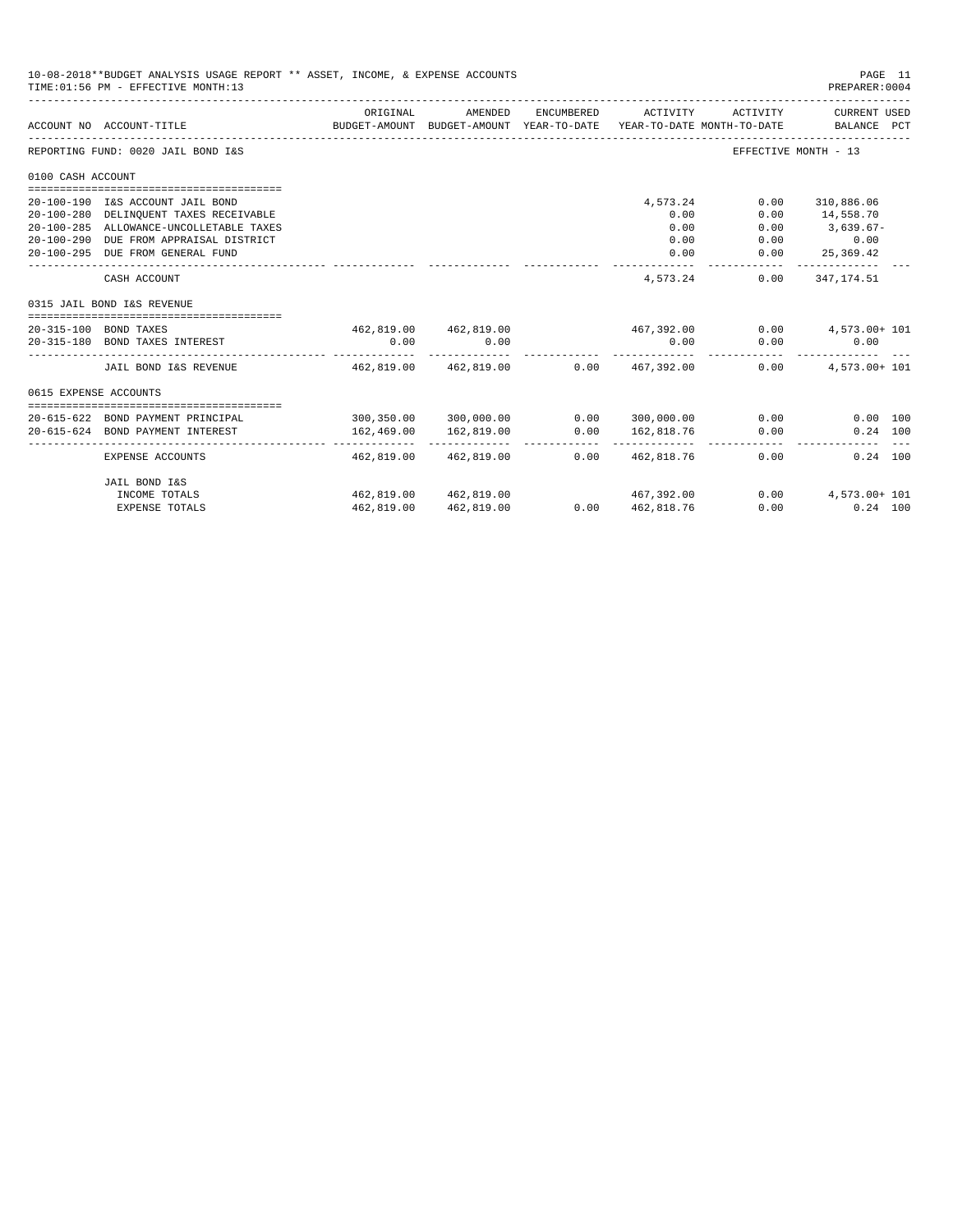| 10-08-2018**BUDGET ANALYSIS USAGE REPORT ** ASSET, INCOME, & EXPENSE ACCOUNTS<br>TIME: 01:56 PM - EFFECTIVE MONTH: 13 |                                         |             |                                      |            |                                                                                 |                      |                             | PAGE 11<br>PREPARER:0004 |
|-----------------------------------------------------------------------------------------------------------------------|-----------------------------------------|-------------|--------------------------------------|------------|---------------------------------------------------------------------------------|----------------------|-----------------------------|--------------------------|
|                                                                                                                       | ACCOUNT NO ACCOUNT-TITLE                | ORIGINAL    | AMENDED                              | ENCUMBERED | ACTIVITY<br>BUDGET-AMOUNT BUDGET-AMOUNT YEAR-TO-DATE YEAR-TO-DATE MONTH-TO-DATE | ACTIVITY             | CURRENT USED<br>BALANCE PCT |                          |
|                                                                                                                       | REPORTING FUND: 0020 JAIL BOND I&S      |             |                                      |            |                                                                                 | EFFECTIVE MONTH - 13 |                             |                          |
| 0100 CASH ACCOUNT                                                                                                     |                                         |             |                                      |            |                                                                                 |                      |                             |                          |
|                                                                                                                       |                                         |             |                                      |            |                                                                                 |                      |                             |                          |
|                                                                                                                       | 20-100-190 I&S ACCOUNT JAIL BOND        |             |                                      |            | 4,573.24                                                                        | 0.00                 | 310,886.06                  |                          |
|                                                                                                                       | 20-100-280 DELINQUENT TAXES RECEIVABLE  |             |                                      |            | 0.00                                                                            | 0.00                 | 14,558.70                   |                          |
|                                                                                                                       | 20-100-285 ALLOWANCE-UNCOLLETABLE TAXES |             |                                      |            | 0.00                                                                            | 0.00                 | $3,639.67-$                 |                          |
|                                                                                                                       | 20-100-290 DUE FROM APPRAISAL DISTRICT  |             |                                      |            | 0.00                                                                            | 0.00                 | 0.00                        |                          |
|                                                                                                                       | 20-100-295 DUE FROM GENERAL FUND        |             |                                      |            | 0.00                                                                            | 0.00<br>-----------  | 25,369.42<br>_____________  |                          |
|                                                                                                                       | CASH ACCOUNT                            |             |                                      |            | 4,573.24                                                                        | 0.00                 | 347,174.51                  |                          |
|                                                                                                                       | 0315 JAIL BOND I&S REVENUE              |             |                                      |            |                                                                                 |                      |                             |                          |
|                                                                                                                       | 20-315-100 BOND TAXES                   |             |                                      |            | 462,819.00 462,819.00 467,392.00                                                |                      | $0.00$ $4,573.00+101$       |                          |
|                                                                                                                       | 20-315-180 BOND TAXES INTEREST          | 0.00        | 0.00                                 |            | 0.00                                                                            |                      | $0.00$ 0.00                 |                          |
|                                                                                                                       | JAIL BOND I&S REVENUE                   |             |                                      |            | 462.819.00  462.819.00  0.00  467.392.00                                        |                      | $0.00$ $4.573.00+101$       |                          |
| 0615 EXPENSE ACCOUNTS                                                                                                 |                                         |             |                                      |            |                                                                                 |                      |                             |                          |
|                                                                                                                       | 20-615-622 BOND PAYMENT PRINCIPAL       |             |                                      |            | $300, 350.00$ $300, 000.00$ $0.00$ $300, 000.00$                                | 0.00                 | 0.00 100                    |                          |
|                                                                                                                       | 20-615-624 BOND PAYMENT INTEREST        | 162,469.00  | 162,819.00                           | 0.00       | 162,818.76                                                                      | 0.00                 | $0.24$ 100                  |                          |
|                                                                                                                       | EXPENSE ACCOUNTS                        | --------- . | -----------<br>462.819.00 462.819.00 | 0.00       | 462.818.76                                                                      | $0.00$ and $0.00$    | $0.24$ 100                  |                          |
|                                                                                                                       | JAIL BOND I&S                           |             |                                      |            |                                                                                 |                      |                             |                          |
|                                                                                                                       | INCOME TOTALS                           |             | 462,819.00 462,819.00                |            | 467,392.00                                                                      |                      | $0.00$ $4,573.00+101$       |                          |
|                                                                                                                       | <b>EXPENSE TOTALS</b>                   | 462,819.00  | 462,819.00                           | 0.00       | 462,818.76                                                                      | 0.00                 | $0.24$ 100                  |                          |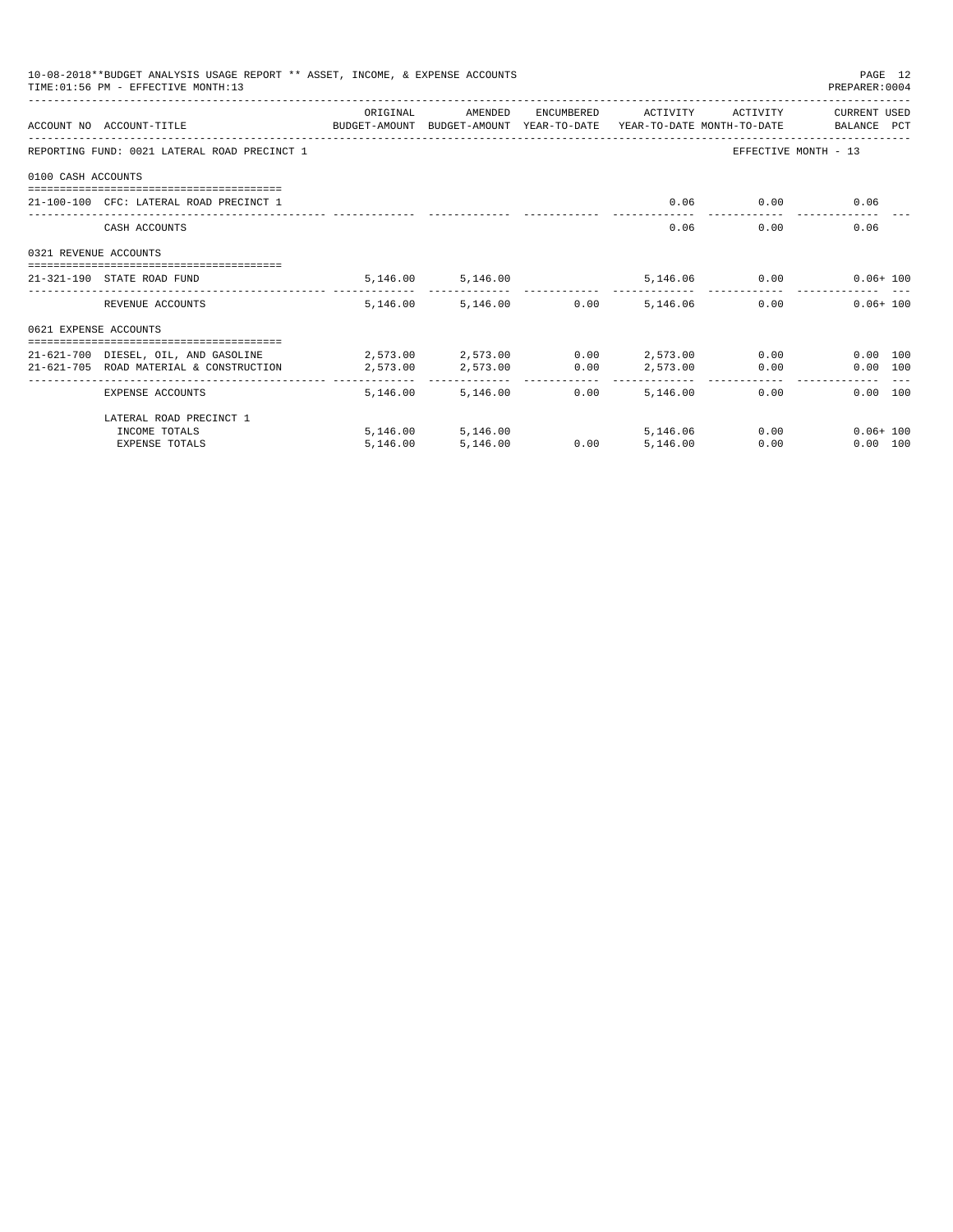|                       | 10-08-2018**BUDGET ANALYSIS USAGE REPORT ** ASSET, INCOME, & EXPENSE ACCOUNTS<br>TIME: 01:56 PM - EFFECTIVE MONTH: 13 |          |                                     |                      |            |          | PAGE 12<br>PREPARER: 0004         |
|-----------------------|-----------------------------------------------------------------------------------------------------------------------|----------|-------------------------------------|----------------------|------------|----------|-----------------------------------|
|                       | ACCOUNT NO ACCOUNT-TITLE COMPUTE BUDGET-AMOUNT BUDGET-AMOUNT YEAR-TO-DATE YEAR-TO-DATE MONTH-TO-DATE BALANCE PCT      | ORIGINAL | AMENDED                             | ENCUMBERED           | ACTIVITY   | ACTIVITY | CURRENT USED                      |
|                       | REPORTING FUND: 0021 LATERAL ROAD PRECINCT 1                                                                          |          |                                     |                      |            |          | EFFECTIVE MONTH - 13              |
| 0100 CASH ACCOUNTS    |                                                                                                                       |          |                                     |                      |            |          |                                   |
|                       | $21-100-100$ CFC: LATERAL ROAD PRECINCT 1                                                                             |          |                                     |                      | 0.06       | 0.00     | 0.06                              |
|                       | CASH ACCOUNTS                                                                                                         |          |                                     |                      | 0.06       |          | 0.00<br>0.06                      |
| 0321 REVENUE ACCOUNTS |                                                                                                                       |          |                                     |                      |            |          |                                   |
|                       | 21-321-190 STATE ROAD FUND                                                                                            |          | 5, 146.00 5, 146.00                 |                      |            |          | 5,146.06   0.00   0.06+100        |
|                       | REVENUE ACCOUNTS                                                                                                      |          | 5,146.00 5,146.00 0.00              |                      | 5,146.06   |          | $0.06 + 100$<br>0.00              |
| 0621 EXPENSE ACCOUNTS |                                                                                                                       |          |                                     |                      |            |          |                                   |
|                       | 21-621-700 DIESEL, OIL, AND GASOLINE $2,573.00$ $2,573.00$ $0.00$ $2,573.00$ $0.00$                                   |          |                                     |                      |            |          | $0.00$ 100                        |
|                       | 21-621-705 ROAD MATERIAL & CONSTRUCTION                                                                               | 2,573.00 | 2,573.00                            | 0.00                 | 2,573.00   | 0.00     | 0.00 100                          |
|                       | EXPENSE ACCOUNTS                                                                                                      | .        | ------------<br>5, 146.00 5, 146.00 | ------------<br>0.00 | 5,146,00   | 0.00     | 0.00 100                          |
|                       | LATERAL ROAD PRECINCT 1                                                                                               |          |                                     |                      |            |          |                                   |
|                       | INCOME TOTALS                                                                                                         |          | 5,146.00 5,146.00                   |                      | 5, 146, 06 |          | $0.00$ and $0.00$<br>$0.06 + 100$ |
|                       | <b>EXPENSE TOTALS</b>                                                                                                 | 5.146.00 | 5,146.00                            | 0.00                 | 5.146.00   | 0.00     | 0.00 100                          |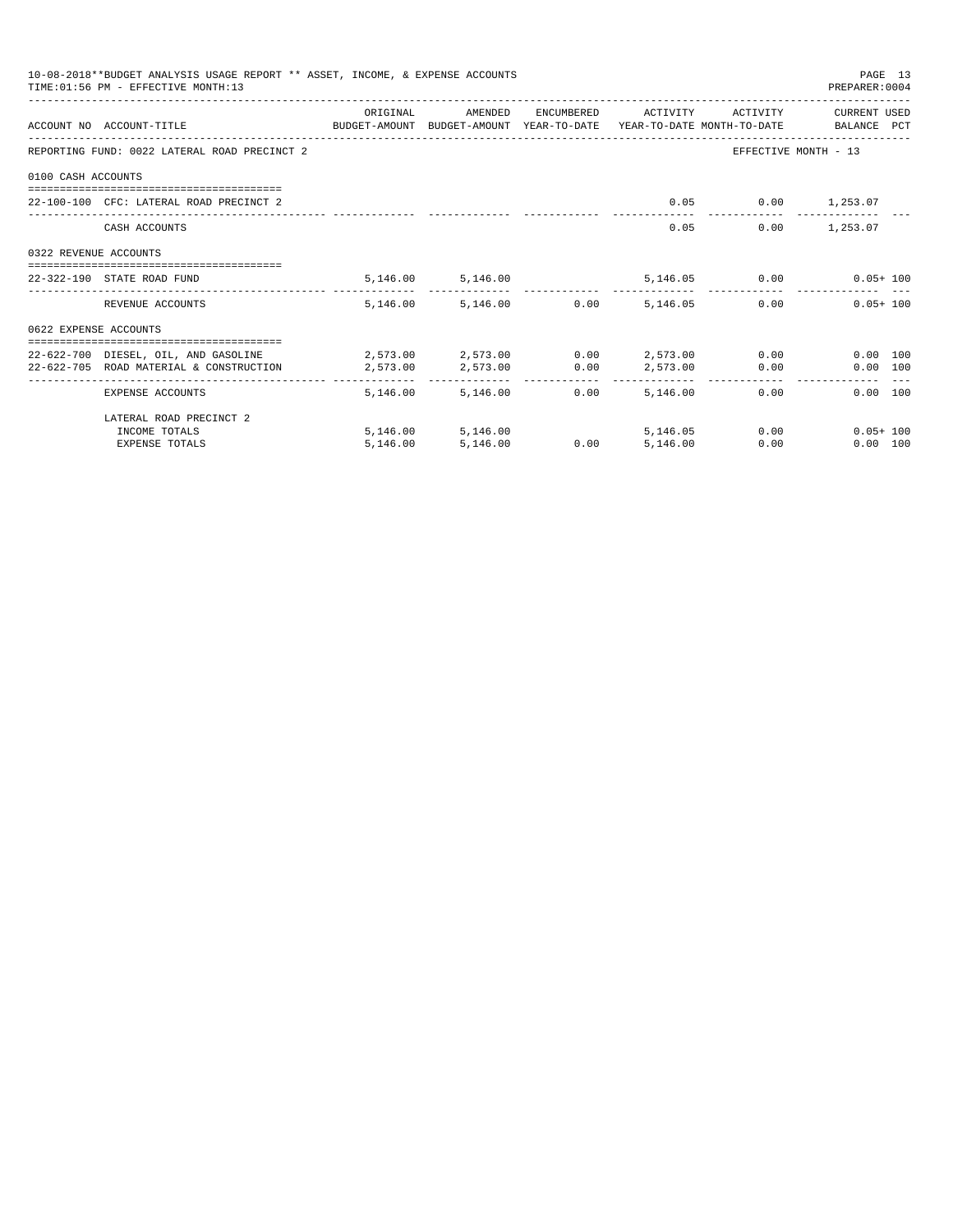|                       | 10-08-2018**BUDGET ANALYSIS USAGE REPORT ** ASSET, INCOME, & EXPENSE ACCOUNTS<br>TIME: 01:56 PM - EFFECTIVE MONTH: 13 |           |                                     |      |                     |                 | PAGE 13<br>PREPARER: 0004  |
|-----------------------|-----------------------------------------------------------------------------------------------------------------------|-----------|-------------------------------------|------|---------------------|-----------------|----------------------------|
|                       | ACCOUNT NO ACCOUNT-TITLE CONTROL SUDGET-AMOUNT BUDGET-AMOUNT YEAR-TO-DATE YEAR-TO-DATE MONTH-TO-DATE BALANCE PCT      | ORIGINAL  | AMENDED                             |      | ENCUMBERED ACTIVITY | ACTIVITY        | CURRENT USED               |
|                       | REPORTING FUND: 0022 LATERAL ROAD PRECINCT 2                                                                          |           |                                     |      |                     |                 | EFFECTIVE MONTH - 13       |
| 0100 CASH ACCOUNTS    |                                                                                                                       |           |                                     |      |                     |                 |                            |
|                       | 22-100-100 CFC: LATERAL ROAD PRECINCT 2                                                                               |           |                                     |      | 0.05                | $0.00$ 1,253.07 |                            |
|                       | CASH ACCOUNTS                                                                                                         |           |                                     |      |                     | 0.05            | $0.00$ 1,253.07            |
| 0322 REVENUE ACCOUNTS |                                                                                                                       |           |                                     |      |                     |                 |                            |
|                       | 22-322-190 STATE ROAD FUND                                                                                            |           | 5,146.00 5,146.00                   |      |                     |                 | 5,146.05   0.00   0.05+100 |
|                       | REVENUE ACCOUNTS                                                                                                      |           | 5,146.00 5,146.00 0.00              |      | 5,146.05            |                 | 0.00<br>$0.05 + 100$       |
| 0622 EXPENSE ACCOUNTS |                                                                                                                       |           |                                     |      |                     |                 |                            |
|                       | 22-622-700 DIESEL, OIL, AND GASOLINE $2,573.00$ $2,573.00$ $0.00$ $2,573.00$ $0.00$                                   |           |                                     |      |                     |                 | 0.00 100                   |
|                       | 22-622-705 ROAD MATERIAL & CONSTRUCTION                                                                               | 2,573.00  | 2,573.00                            | 0.00 |                     | 2,573.00 0.00   | 0.00 100                   |
|                       | EXPENSE ACCOUNTS                                                                                                      | --------- | ------------ -<br>5.146.00 5.146.00 | 0.00 | .<br>5,146.00       | 0.00            | 0.00 100                   |
|                       | LATERAL ROAD PRECINCT 2                                                                                               |           |                                     |      |                     |                 |                            |
|                       | INCOME TOTALS                                                                                                         |           | 5,146.00 5,146.00                   |      | 5, 146, 05          |                 | 0.00<br>$0.05 + 100$       |
|                       | <b>EXPENSE TOTALS</b>                                                                                                 | 5.146.00  | 5,146.00                            | 0.00 | 5.146.00            | 0.00            | 0.00 100                   |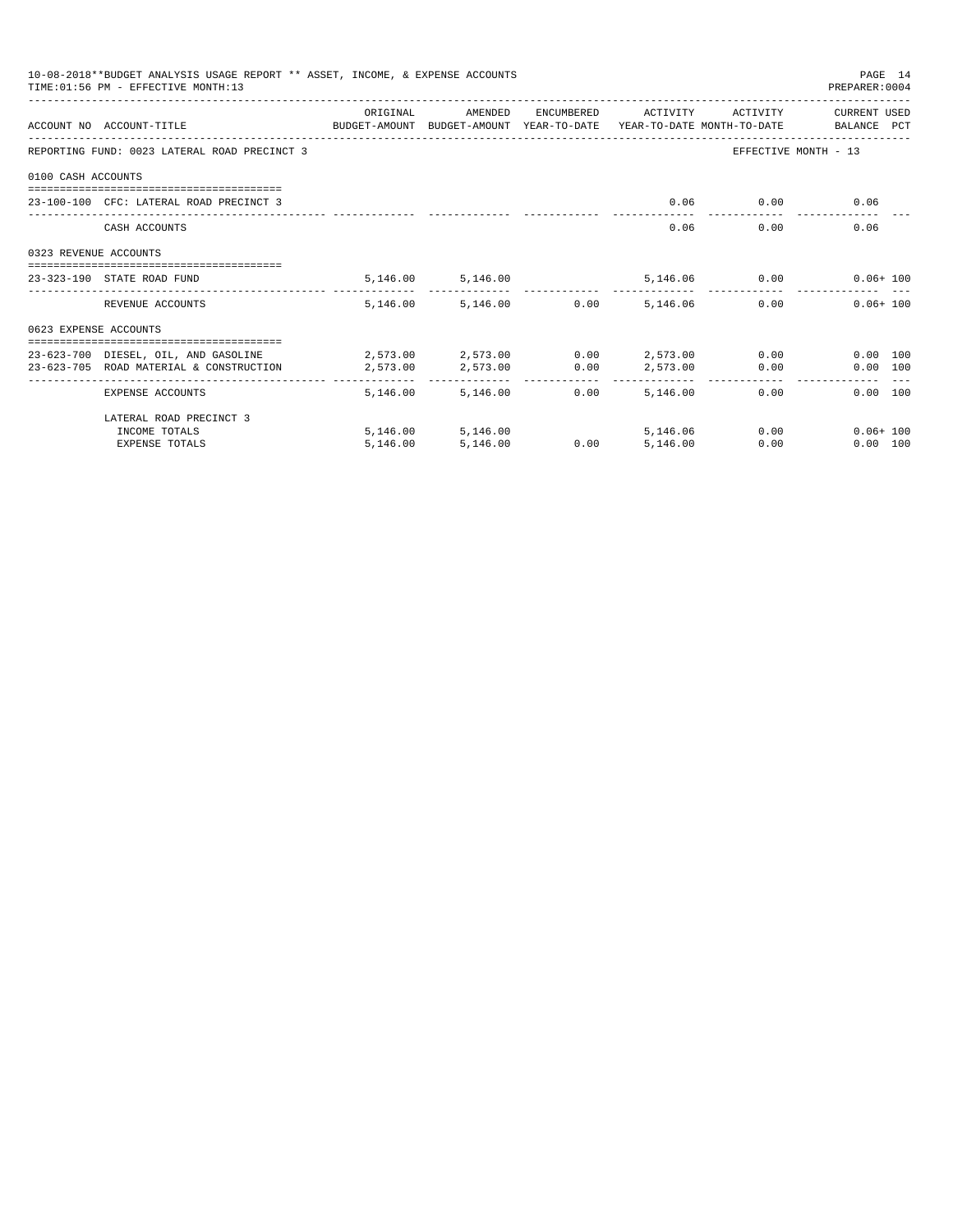| 10-08-2018**BUDGET ANALYSIS USAGE REPORT ** ASSET, INCOME, & EXPENSE ACCOUNTS<br>PAGE 14<br>TIME: 01:56 PM - EFFECTIVE MONTH: 13<br>PREPARER: 0004 |                                                                                                                  |          |                                 |                      |                             |          |                                                                                                                                                                                                                                     |  |  |
|----------------------------------------------------------------------------------------------------------------------------------------------------|------------------------------------------------------------------------------------------------------------------|----------|---------------------------------|----------------------|-----------------------------|----------|-------------------------------------------------------------------------------------------------------------------------------------------------------------------------------------------------------------------------------------|--|--|
|                                                                                                                                                    | ACCOUNT NO ACCOUNT-TITLE CONTROL SUDGET-AMOUNT BUDGET-AMOUNT YEAR-TO-DATE YEAR-TO-DATE MONTH-TO-DATE BALANCE PCT | ORIGINAL | AMENDED                         | ENCUMBERED           | ACTIVITY                    | ACTIVITY | CURRENT USED                                                                                                                                                                                                                        |  |  |
|                                                                                                                                                    | REPORTING FUND: 0023 LATERAL ROAD PRECINCT 3                                                                     |          |                                 |                      |                             |          | EFFECTIVE MONTH - 13                                                                                                                                                                                                                |  |  |
| 0100 CASH ACCOUNTS                                                                                                                                 |                                                                                                                  |          |                                 |                      |                             |          |                                                                                                                                                                                                                                     |  |  |
|                                                                                                                                                    | 23-100-100 CFC: LATERAL ROAD PRECINCT 3                                                                          |          |                                 |                      | 0.06                        |          | $0.00$ and $0.00$ and $0.00$ and $0.00$ and $0.00$ and $0.00$ and $0.00$ and $0.00$ and $0.00$ and $0.00$ and $0.00$ and $0.00$ and $0.00$ and $0.00$ and $0.00$ and $0.00$ and $0.00$ and $0.00$ and $0.00$ and $0.00$ and<br>0.06 |  |  |
|                                                                                                                                                    | CASH ACCOUNTS                                                                                                    |          |                                 |                      | 0.06                        | 0.00     | 0.06                                                                                                                                                                                                                                |  |  |
| 0323 REVENUE ACCOUNTS                                                                                                                              |                                                                                                                  |          |                                 |                      |                             |          |                                                                                                                                                                                                                                     |  |  |
|                                                                                                                                                    | ====================================<br>23-323-190 STATE ROAD FUND                                               |          | 5, 146.00 5, 146.00             |                      |                             |          | 5,146.06   0.00   0.06+100                                                                                                                                                                                                          |  |  |
|                                                                                                                                                    | REVENUE ACCOUNTS                                                                                                 |          | 5,146.00 5,146.00               | 0.00                 | 5, 146, 06                  |          | 0.00<br>$0.06 + 100$                                                                                                                                                                                                                |  |  |
| 0623 EXPENSE ACCOUNTS                                                                                                                              |                                                                                                                  |          |                                 |                      |                             |          |                                                                                                                                                                                                                                     |  |  |
|                                                                                                                                                    | 23-623-700 DIESEL, OIL, AND GASOLINE 2,573.00 2,573.00<br>23-623-705 ROAD MATERIAL & CONSTRUCTION                | 2,573.00 | 2,573.00                        | 0.00                 | $0.00$ 2,573.00<br>2,573.00 | 0.00     | 0.00<br>0.00 100<br>0.00 100                                                                                                                                                                                                        |  |  |
|                                                                                                                                                    | EXPENSE ACCOUNTS                                                                                                 | -------  | . <u>.</u><br>5.146.00 5.146.00 | ------------<br>0.00 | ------------<br>5,146,00    | 0.00     | 0.00 100                                                                                                                                                                                                                            |  |  |
|                                                                                                                                                    | LATERAL ROAD PRECINCT 3                                                                                          |          |                                 |                      |                             |          |                                                                                                                                                                                                                                     |  |  |
|                                                                                                                                                    | INCOME TOTALS                                                                                                    |          | 5,146.00 5,146.00               |                      | 5,146.06                    |          | $0.00$ and $0.00$<br>$0.06 + 100$                                                                                                                                                                                                   |  |  |
|                                                                                                                                                    | <b>EXPENSE TOTALS</b>                                                                                            | 5,146.00 | 5,146.00                        | 0.00                 | 5.146.00                    | 0.00     | 0.00 100                                                                                                                                                                                                                            |  |  |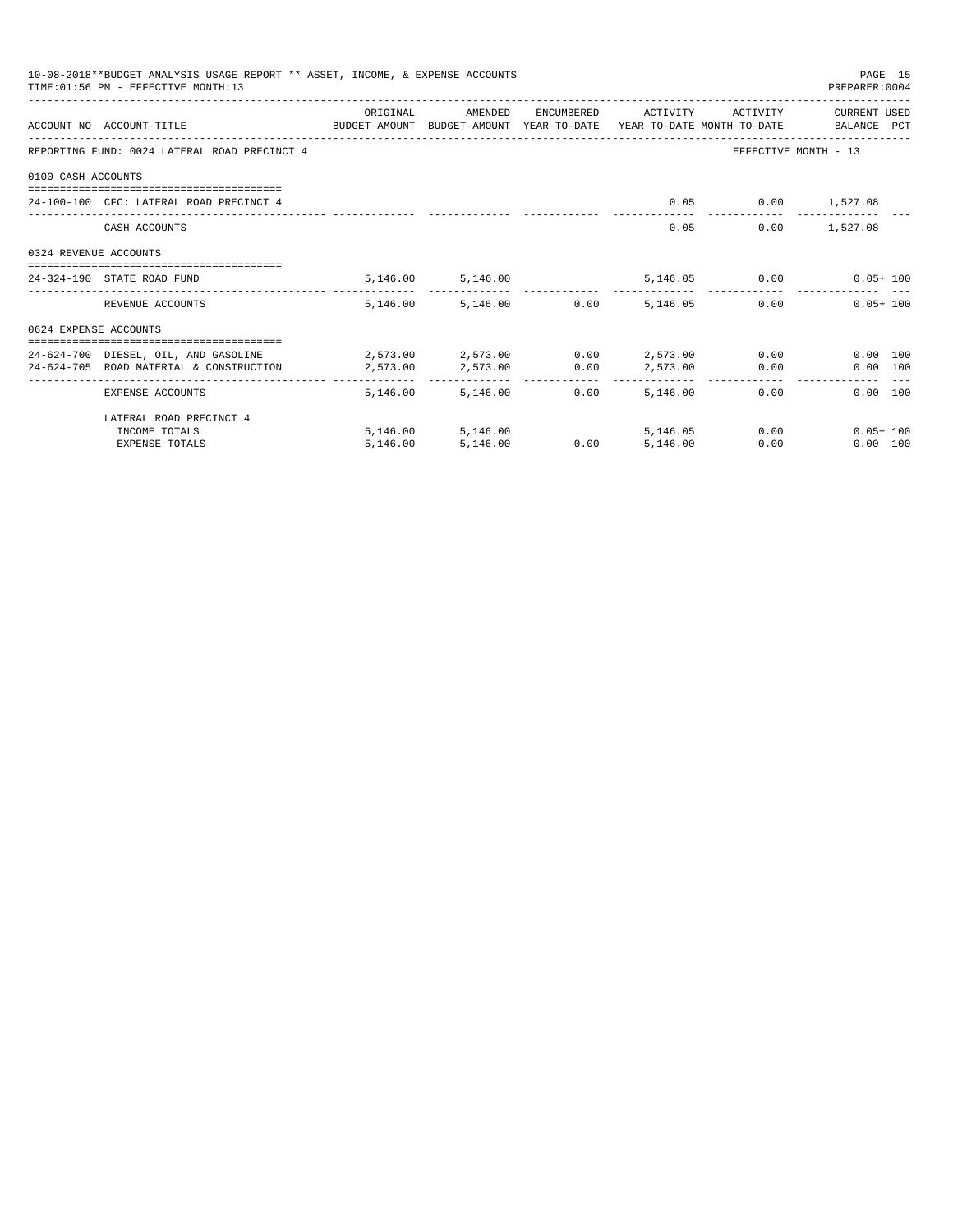|                       | 10-08-2018**BUDGET ANALYSIS USAGE REPORT ** ASSET, INCOME, & EXPENSE ACCOUNTS<br>TIME: 01:56 PM - EFFECTIVE MONTH: 13 |                                                |                                   |                      |            |                 | PAGE 15<br>PREPARER: 0004 |
|-----------------------|-----------------------------------------------------------------------------------------------------------------------|------------------------------------------------|-----------------------------------|----------------------|------------|-----------------|---------------------------|
|                       |                                                                                                                       | ORIGINAL                                       | AMENDED                           | ENCUMBERED           | ACTIVITY   | ACTIVITY        | CURRENT USED              |
|                       | ACCOUNT NO ACCOUNT-TITLE COMPUTE BUDGET-AMOUNT BUDGET-AMOUNT YEAR-TO-DATE YEAR-TO-DATE MONTH-TO-DATE BALANCE PCT      |                                                |                                   |                      |            |                 |                           |
|                       | REPORTING FUND: 0024 LATERAL ROAD PRECINCT 4                                                                          |                                                |                                   |                      |            |                 | EFFECTIVE MONTH - 13      |
| 0100 CASH ACCOUNTS    |                                                                                                                       |                                                |                                   |                      |            |                 |                           |
|                       | 24-100-100 CEC: LATERAL ROAD PRECINCT 4                                                                               |                                                |                                   |                      | 0.05       | $0.00$ 1,527.08 |                           |
|                       | CASH ACCOUNTS                                                                                                         |                                                |                                   |                      | 0.05       |                 | $0.00$ 1,527.08           |
| 0324 REVENUE ACCOUNTS |                                                                                                                       |                                                |                                   |                      |            |                 |                           |
|                       | --------------------------------------<br>24-324-190 STATE ROAD FUND                                                  |                                                | 5, 146.00 5, 146.00               |                      |            |                 | 5,146.05 0.00 0.05+100    |
|                       | REVENUE ACCOUNTS                                                                                                      |                                                | 5,146.00 5,146.00 0.00            |                      | 5,146.05   |                 | $0.05 + 100$<br>0.00      |
| 0624 EXPENSE ACCOUNTS |                                                                                                                       |                                                |                                   |                      |            |                 |                           |
|                       | 24-624-700 DIESEL, OIL, AND GASOLINE                                                                                  | $2.573.00$ $2.573.00$ $0.00$ $2.573.00$ $0.00$ |                                   |                      |            |                 | $0.00$ 100                |
|                       | 24-624-705 ROAD MATERIAL & CONSTRUCTION                                                                               | 2,573.00                                       | 2,573.00                          | 0.00                 | 2,573.00   | 0.00            | 0.00 100                  |
|                       | EXPENSE ACCOUNTS                                                                                                      | --------                                       | ------------<br>5,146.00 5,146.00 | ------------<br>0.00 | 5,146,00   | 0.00            | 0.00 100                  |
|                       | LATERAL ROAD PRECINCT 4                                                                                               |                                                |                                   |                      |            |                 |                           |
|                       | INCOME TOTALS                                                                                                         |                                                | 5, 146, 00 5, 146, 00             |                      | 5, 146, 05 |                 | 0.00<br>$0.05 + 100$      |
|                       | <b>EXPENSE TOTALS</b>                                                                                                 | 5.146.00                                       | 5,146.00                          | 0.00                 | 5.146.00   | 0.00            | 0.00 100                  |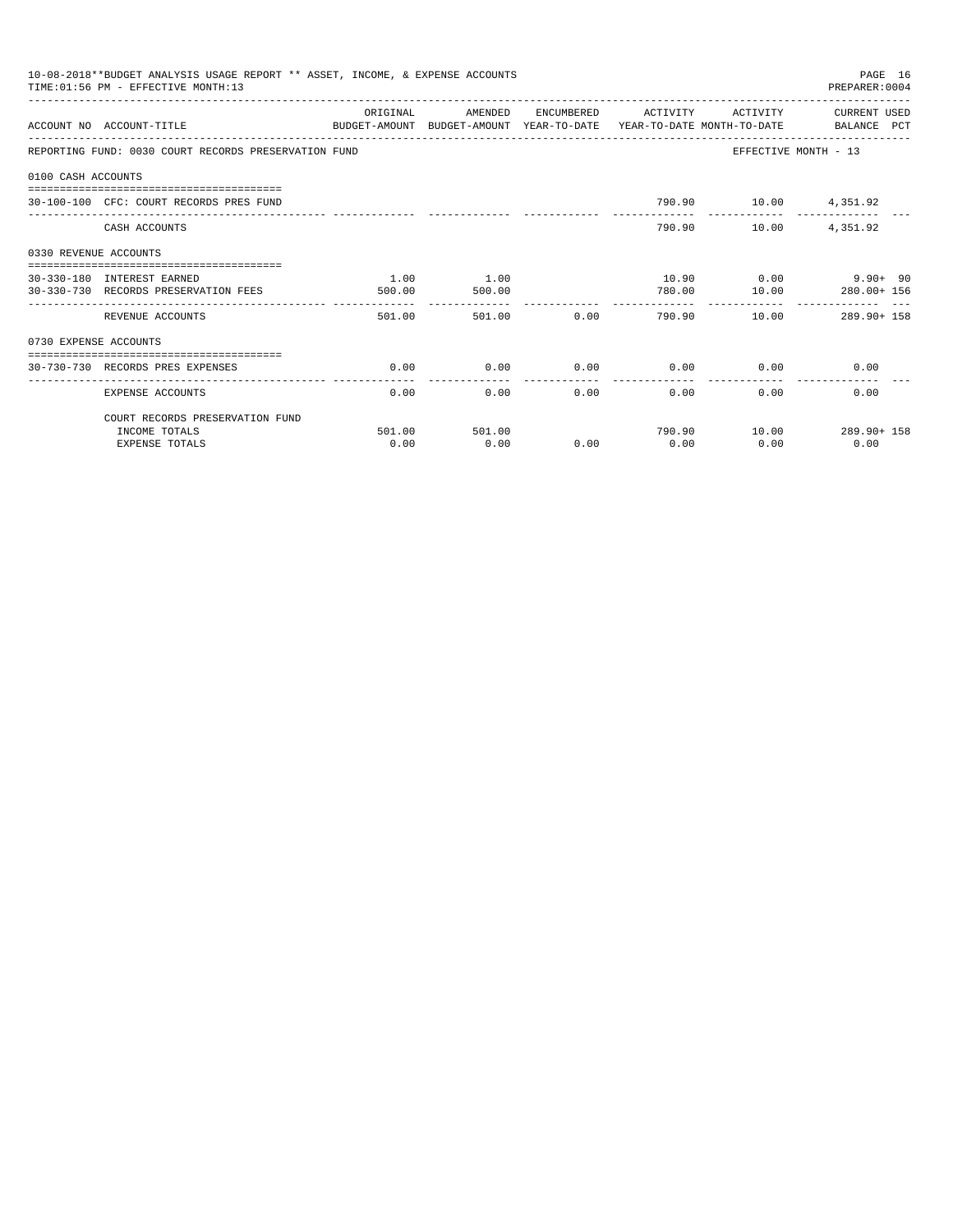|                       | 10-08-2018**BUDGET ANALYSIS USAGE REPORT ** ASSET, INCOME, & EXPENSE ACCOUNTS<br>TIME: 01:56 PM - EFFECTIVE MONTH:13 |          |         |               |                       |                             | PAGE 16<br>PREPARER: 0004            |
|-----------------------|----------------------------------------------------------------------------------------------------------------------|----------|---------|---------------|-----------------------|-----------------------------|--------------------------------------|
|                       | ACCOUNT NO ACCOUNT-TITLE<br>BUDGET-AMOUNT BUDGET-AMOUNT YEAR-TO-DATE YEAR-TO-DATE MONTH-TO-DATE BALANCE PCT          | ORIGINAL | AMENDED |               | ENCUMBERED ACTIVITY   | ACTIVITY                    | CURRENT USED                         |
|                       | REPORTING FUND: 0030 COURT RECORDS PRESERVATION FUND                                                                 |          |         |               |                       | EFFECTIVE MONTH - 13        |                                      |
| 0100 CASH ACCOUNTS    |                                                                                                                      |          |         |               |                       |                             |                                      |
|                       | 30-100-100 CFC: COURT RECORDS PRES FUND                                                                              |          |         |               |                       | 790.90 10.00 4,351.92       |                                      |
|                       | CASH ACCOUNTS                                                                                                        |          |         |               |                       | 790.90 10.00                | 4,351.92                             |
| 0330 REVENUE ACCOUNTS |                                                                                                                      |          |         |               |                       |                             |                                      |
|                       | 30-330-180 INTEREST EARNED                                                                                           | 1.00     | 1.00    |               |                       |                             | $10.90$ $0.00$ $9.90+$ 90            |
|                       | 30-330-730 RECORDS PRESERVATION FEES                                                                                 | 500.00   | 500.00  |               | 780.00                | 10.00                       | 280.00+ 156                          |
|                       | REVENUE ACCOUNTS                                                                                                     | 501.00   | 501.00  |               |                       |                             | $0.00$ $790.90$ $10.00$ $289.90+158$ |
| 0730 EXPENSE ACCOUNTS |                                                                                                                      |          |         |               |                       |                             |                                      |
|                       | ===============================<br>30-730-730 RECORDS PRES EXPENSES                                                  | 0.00     | 0.00    |               |                       | $0.00$ $0.00$ $0.00$ $0.00$ | 0.00                                 |
|                       | EXPENSE ACCOUNTS                                                                                                     | 0.00     | 0.00    | ------------- | -------------<br>0.00 | $0.00$ and $0.00$<br>0.00   | 0.00                                 |
|                       | COURT RECORDS PRESERVATION FUND                                                                                      |          |         |               |                       |                             |                                      |
|                       | INCOME TOTALS                                                                                                        | 501.00   | 501.00  |               |                       |                             | 790.90    10.00    289.90+ 158       |
|                       | <b>EXPENSE TOTALS</b>                                                                                                | 0.00     | 0.00    | 0.00          | 0.00                  | 0.00                        | 0.00                                 |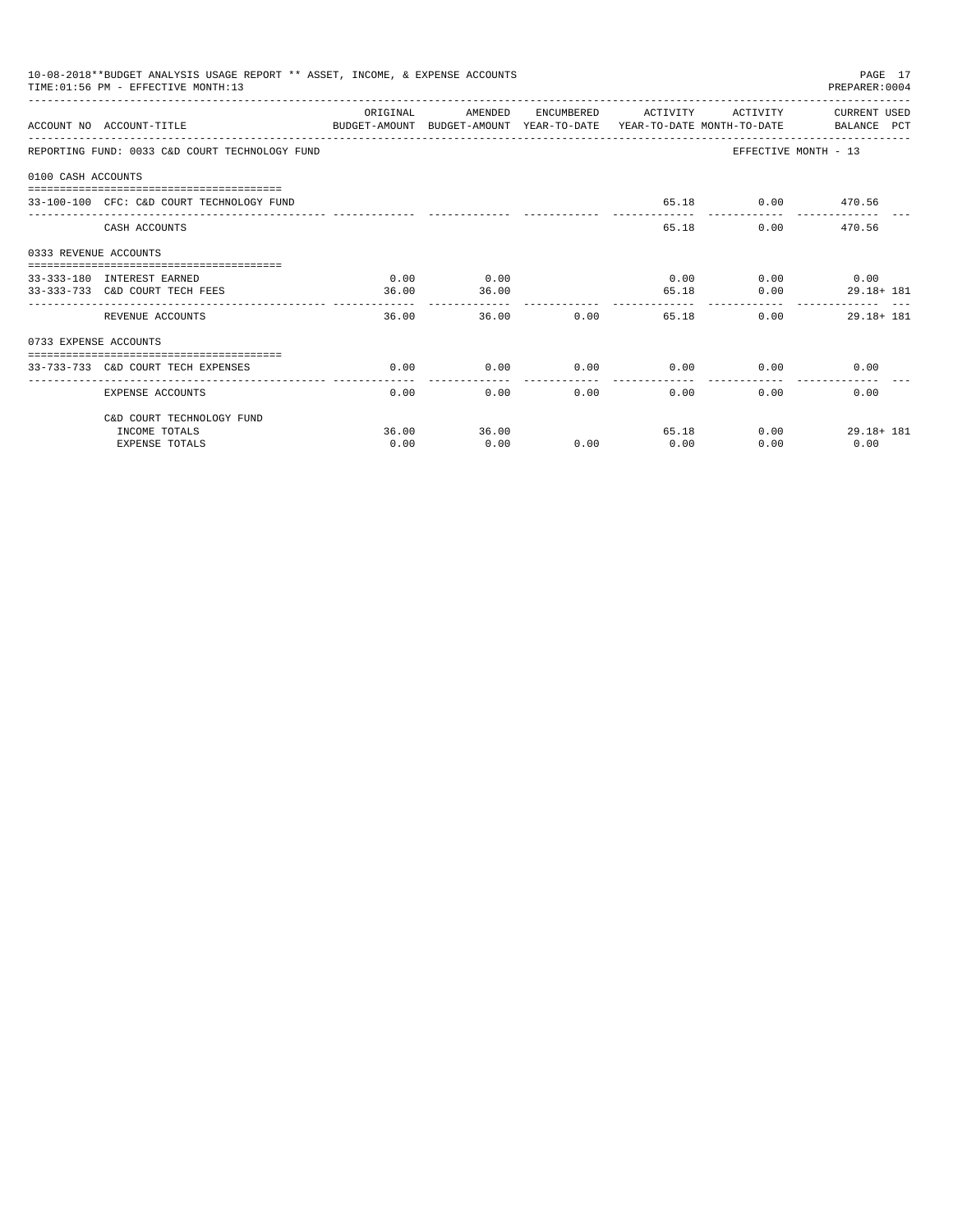|                       | 10-08-2018**BUDGET ANALYSIS USAGE REPORT ** ASSET, INCOME, & EXPENSE ACCOUNTS<br>TIME: 01:56 PM - EFFECTIVE MONTH: 13 |          |         |                 |                     |                             | PAGE 17<br>PREPARER: 0004 |
|-----------------------|-----------------------------------------------------------------------------------------------------------------------|----------|---------|-----------------|---------------------|-----------------------------|---------------------------|
|                       | ACCOUNT NO ACCOUNT-TITLE<br>BUDGET-AMOUNT BUDGET-AMOUNT YEAR-TO-DATE YEAR-TO-DATE MONTH-TO-DATE BALANCE PCT           | ORIGINAL | AMENDED |                 | ENCUMBERED ACTIVITY |                             | ACTIVITY CURRENT USED     |
|                       |                                                                                                                       |          |         |                 |                     |                             |                           |
|                       | REPORTING FUND: 0033 C&D COURT TECHNOLOGY FUND                                                                        |          |         |                 |                     |                             | EFFECTIVE MONTH - 13      |
| 0100 CASH ACCOUNTS    |                                                                                                                       |          |         |                 |                     |                             |                           |
|                       | 33-100-100 CFC: C&D COURT TECHNOLOGY FUND                                                                             |          |         |                 |                     | 65.18 0.00 470.56           |                           |
|                       | CASH ACCOUNTS                                                                                                         |          |         |                 |                     | 65.18                       | 0.00 470.56               |
| 0333 REVENUE ACCOUNTS |                                                                                                                       |          |         |                 |                     |                             |                           |
|                       | 33-333-180 INTEREST EARNED                                                                                            | 0.00     | 0.00    |                 |                     | $0.00$ $0.00$ $0.00$ $0.00$ |                           |
|                       | 33-333-733 C&D COURT TECH FEES                                                                                        | 36.00    | 36.00   |                 |                     | 65.18                       | 0.00<br>29.18+ 181        |
|                       | REVENUE ACCOUNTS                                                                                                      | 36.00    |         | 36.00           | 0.00                | 65.18                       | 0.00<br>$29.18 + 181$     |
| 0733 EXPENSE ACCOUNTS |                                                                                                                       |          |         |                 |                     |                             |                           |
|                       | 33-733-733 C&D COURT TECH EXPENSES                                                                                    | 0.00     | 0.00    | $0.00$ 0.00     |                     |                             | 0.00<br>0.00              |
|                       |                                                                                                                       |          |         | --------------- | -------------       |                             |                           |
|                       | EXPENSE ACCOUNTS                                                                                                      | 0.00     |         | 0.00            | 0.00                | 0.00                        | 0.00<br>0.00              |
|                       | C&D COURT TECHNOLOGY FUND                                                                                             |          |         |                 |                     |                             |                           |
|                       | INCOME TOTALS                                                                                                         | 36.00    | 36.00   |                 |                     | 65.18                       | 0.00<br>$29.18 + 181$     |
|                       | <b>EXPENSE TOTALS</b>                                                                                                 | 0.00     | 0.00    | 0.00            | 0.00                | 0.00                        | 0.00                      |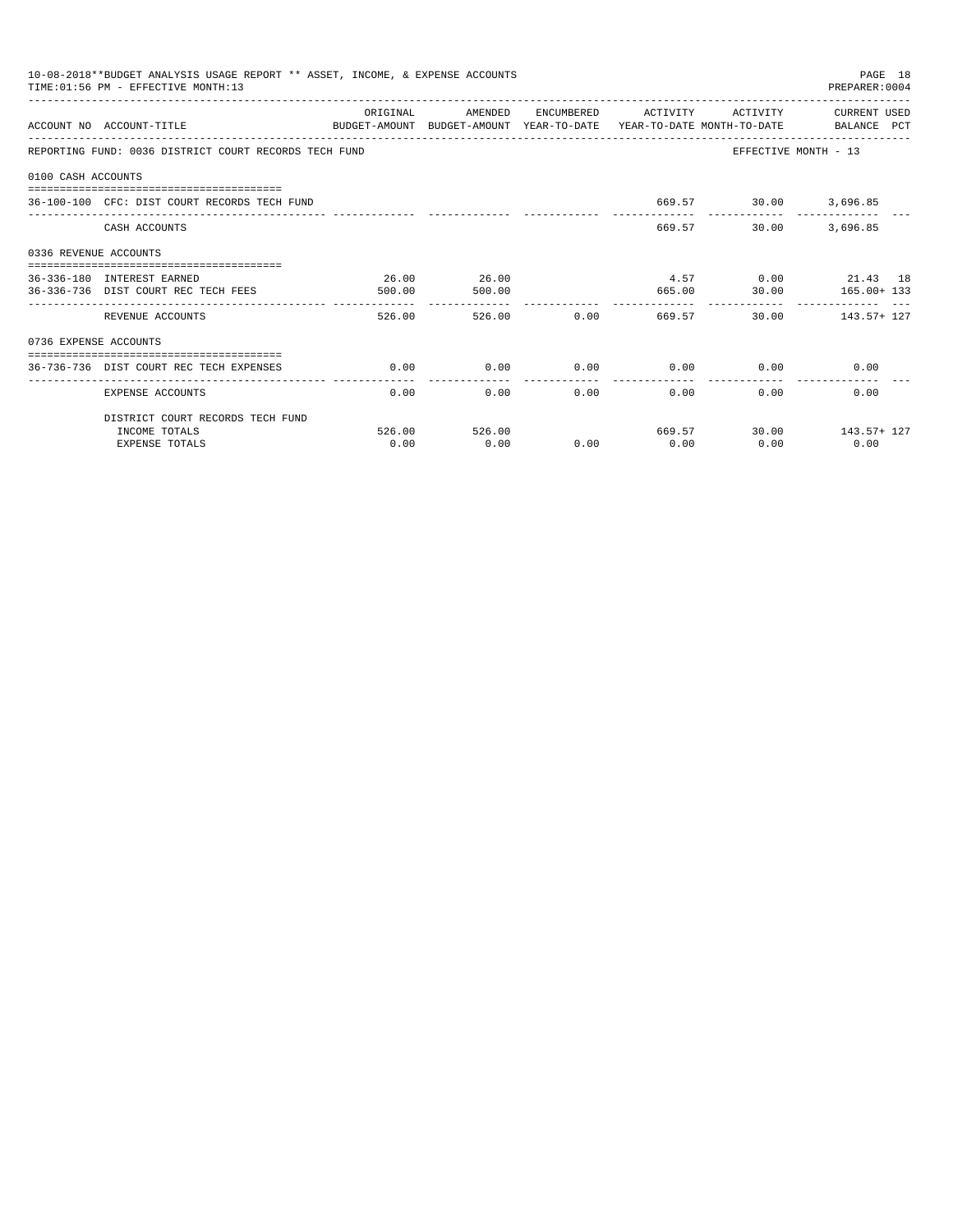|                       | 10-08-2018**BUDGET ANALYSIS USAGE REPORT ** ASSET, INCOME, & EXPENSE ACCOUNTS<br>TIME: 01:56 PM - EFFECTIVE MONTH:13 |          |               |        |                       |                             | PAGE 18<br>PREPARER: 0004 |
|-----------------------|----------------------------------------------------------------------------------------------------------------------|----------|---------------|--------|-----------------------|-----------------------------|---------------------------|
|                       | ACCOUNT NO ACCOUNT-TITLE<br>BUDGET-AMOUNT BUDGET-AMOUNT YEAR-TO-DATE YEAR-TO-DATE MONTH-TO-DATE BALANCE PCT          | ORIGINAL | AMENDED       |        | ENCUMBERED ACTIVITY   | ACTIVITY                    | CURRENT USED              |
|                       | REPORTING FUND: 0036 DISTRICT COURT RECORDS TECH FUND                                                                |          |               |        |                       | EFFECTIVE MONTH - 13        |                           |
| 0100 CASH ACCOUNTS    |                                                                                                                      |          |               |        |                       |                             |                           |
|                       | 36-100-100 CFC: DIST COURT RECORDS TECH FUND                                                                         |          |               |        |                       | 669.57 30.00 3,696.85       |                           |
|                       | CASH ACCOUNTS                                                                                                        |          |               |        | 669.57                | 30.00                       | 3,696.85                  |
| 0336 REVENUE ACCOUNTS |                                                                                                                      |          |               |        |                       |                             |                           |
|                       | 36-336-180 INTEREST EARNED                                                                                           | 26.00    | 26.00         |        |                       |                             | 4.57 0.00 21.43 18        |
|                       | 36-336-736 DIST COURT REC TECH FEES                                                                                  | 500.00   | 500.00        |        | .                     |                             | 665.00 30.00 165.00+ 133  |
|                       | REVENUE ACCOUNTS                                                                                                     | 526.00   |               | 526.00 | $0.00$ 669.57         |                             | 30.00 143.57+ 127         |
| 0736 EXPENSE ACCOUNTS |                                                                                                                      |          |               |        |                       |                             |                           |
|                       | 36-736-736 DIST COURT REC TECH EXPENSES                                                                              | 0.00     | 0.00          |        |                       | $0.00$ $0.00$ $0.00$ $0.00$ | 0.00                      |
|                       | EXPENSE ACCOUNTS                                                                                                     | 0.00     |               | 0.00   | -------------<br>0.00 | $0.00$ and $0.00$           | 0.00<br>0.00              |
|                       | DISTRICT COURT RECORDS TECH FUND                                                                                     |          |               |        |                       |                             |                           |
|                       | INCOME TOTALS                                                                                                        |          | 526.00 526.00 |        |                       |                             | 669.57 30.00 143.57+ 127  |
|                       | <b>EXPENSE TOTALS</b>                                                                                                | 0.00     | 0.00          | 0.00   | 0.00                  | 0.00                        | 0.00                      |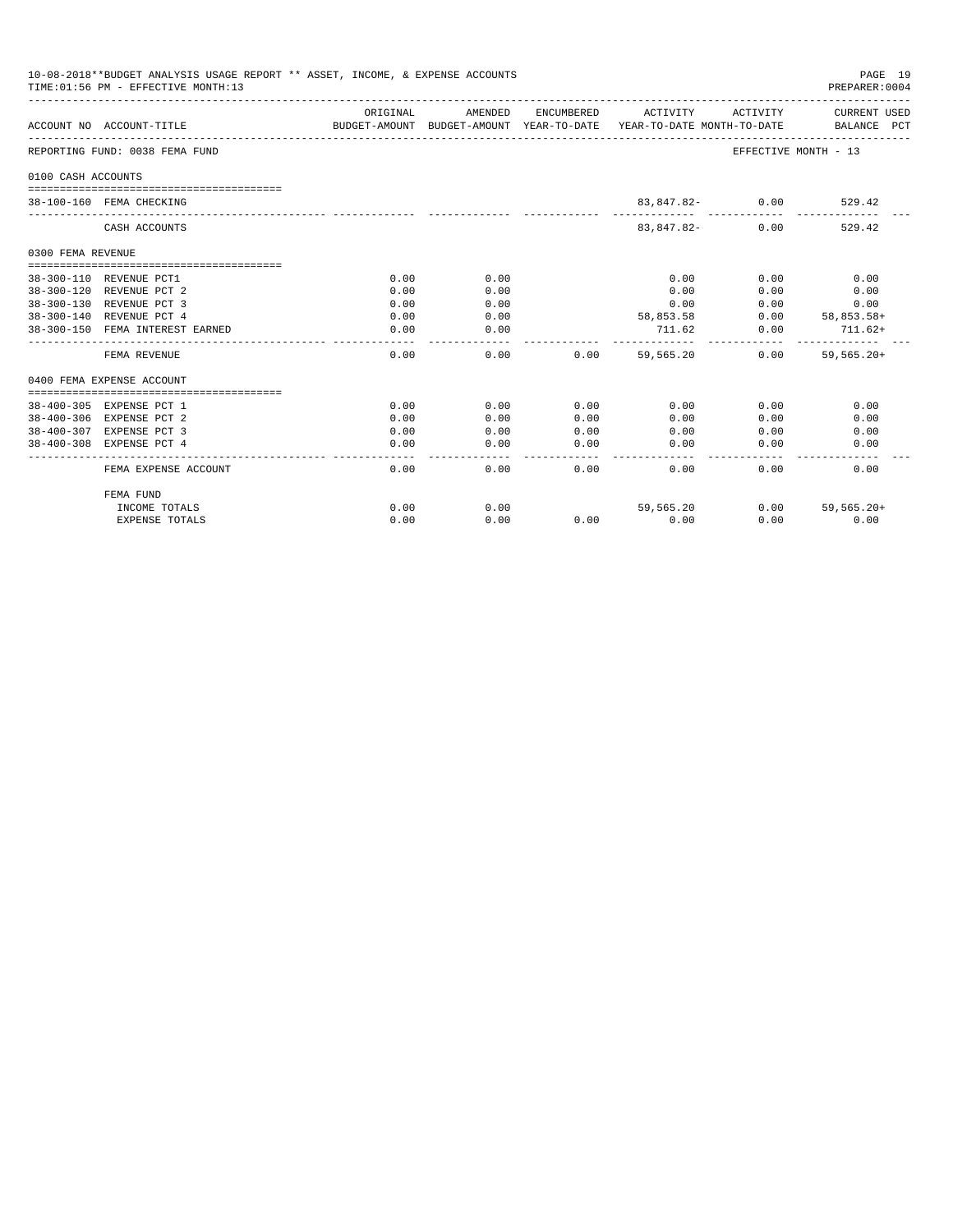|                    | 10-08-2018**BUDGET ANALYSIS USAGE REPORT ** ASSET, INCOME, & EXPENSE ACCOUNTS<br>TIME: 01:56 PM - EFFECTIVE MONTH: 13 |          |         |               |                                                                                                                              |                      | PAGE 19<br>PREPARER:0004 |
|--------------------|-----------------------------------------------------------------------------------------------------------------------|----------|---------|---------------|------------------------------------------------------------------------------------------------------------------------------|----------------------|--------------------------|
|                    | ACCOUNT NO ACCOUNT-TITLE                                                                                              | ORIGINAL | AMENDED |               | ENCUMBERED ACTIVITY ACTIVITY CURRENT USED<br>BUDGET-AMOUNT BUDGET-AMOUNT YEAR-TO-DATE YEAR-TO-DATE MONTH-TO-DATE BALANCE PCT |                      |                          |
|                    | REPORTING FUND: 0038 FEMA FUND                                                                                        |          |         |               |                                                                                                                              | EFFECTIVE MONTH - 13 |                          |
| 0100 CASH ACCOUNTS |                                                                                                                       |          |         |               |                                                                                                                              |                      |                          |
|                    | 38-100-160 FEMA CHECKING                                                                                              |          |         |               | 83,847.82- 0.00                                                                                                              |                      | 529.42                   |
|                    | CASH ACCOUNTS                                                                                                         |          |         |               | 83,847.82-                                                                                                                   | 0.00                 | 529.42                   |
| 0300 FEMA REVENUE  |                                                                                                                       |          |         |               |                                                                                                                              |                      |                          |
|                    |                                                                                                                       |          |         |               |                                                                                                                              |                      |                          |
|                    | 38-300-110 REVENUE PCT1                                                                                               | 0.00     | 0.00    |               | 0.00                                                                                                                         | 0.00                 | 0.00                     |
|                    | 38-300-120 REVENUE PCT 2                                                                                              | 0.00     | 0.00    |               | 0.00                                                                                                                         | 0.00                 | 0.00                     |
|                    | 38-300-130 REVENUE PCT 3                                                                                              | 0.00     | 0.00    |               | 0.00                                                                                                                         | 0.00                 | 0.00                     |
|                    | 38-300-140 REVENUE PCT 4                                                                                              | 0.00     | 0.00    |               | 58,853.58                                                                                                                    |                      | $0.00$ $58,853.58+$      |
|                    | 38-300-150 FEMA INTEREST EARNED                                                                                       | 0.00     | 0.00    |               | $711.62$ 0.00 $711.62+$                                                                                                      |                      |                          |
|                    | FEMA REVENUE                                                                                                          | 0.00     |         | 0.00          | $0.00$ 59.565.20                                                                                                             |                      | $0.00$ 59.565.20+        |
|                    | 0400 FEMA EXPENSE ACCOUNT                                                                                             |          |         |               |                                                                                                                              |                      |                          |
|                    | 38-400-305 EXPENSE PCT 1                                                                                              | 0.00     | 0.00    | 0.00          | 0.00                                                                                                                         | 0.00                 | 0.00                     |
|                    | 38-400-306 EXPENSE PCT 2                                                                                              | 0.00     | 0.00    | 0.00          | 0.00                                                                                                                         | 0.00                 | 0.00                     |
|                    | 38-400-307 EXPENSE PCT 3                                                                                              | 0.00     | 0.00    | 0.00          | 0.00                                                                                                                         | 0.00                 | 0.00                     |
|                    | 38-400-308 EXPENSE PCT 4                                                                                              | 0.00     | 0.00    | 0.00<br>----- | 0.00                                                                                                                         | 0.00                 | 0.00                     |
|                    | FEMA EXPENSE ACCOUNT                                                                                                  | 0.00     | 0.00    | 0.00          | 0.00                                                                                                                         | 0.00                 | 0.00                     |
|                    | FEMA FUND                                                                                                             |          |         |               |                                                                                                                              |                      |                          |
|                    | INCOME TOTALS                                                                                                         | 0.00     | 0.00    |               | 59,565,20                                                                                                                    |                      | $0.00$ 59.565.20+        |
|                    | EXPENSE TOTALS                                                                                                        | 0.00     | 0.00    |               | $0.00$ 0.00                                                                                                                  | 0.00                 | 0.00                     |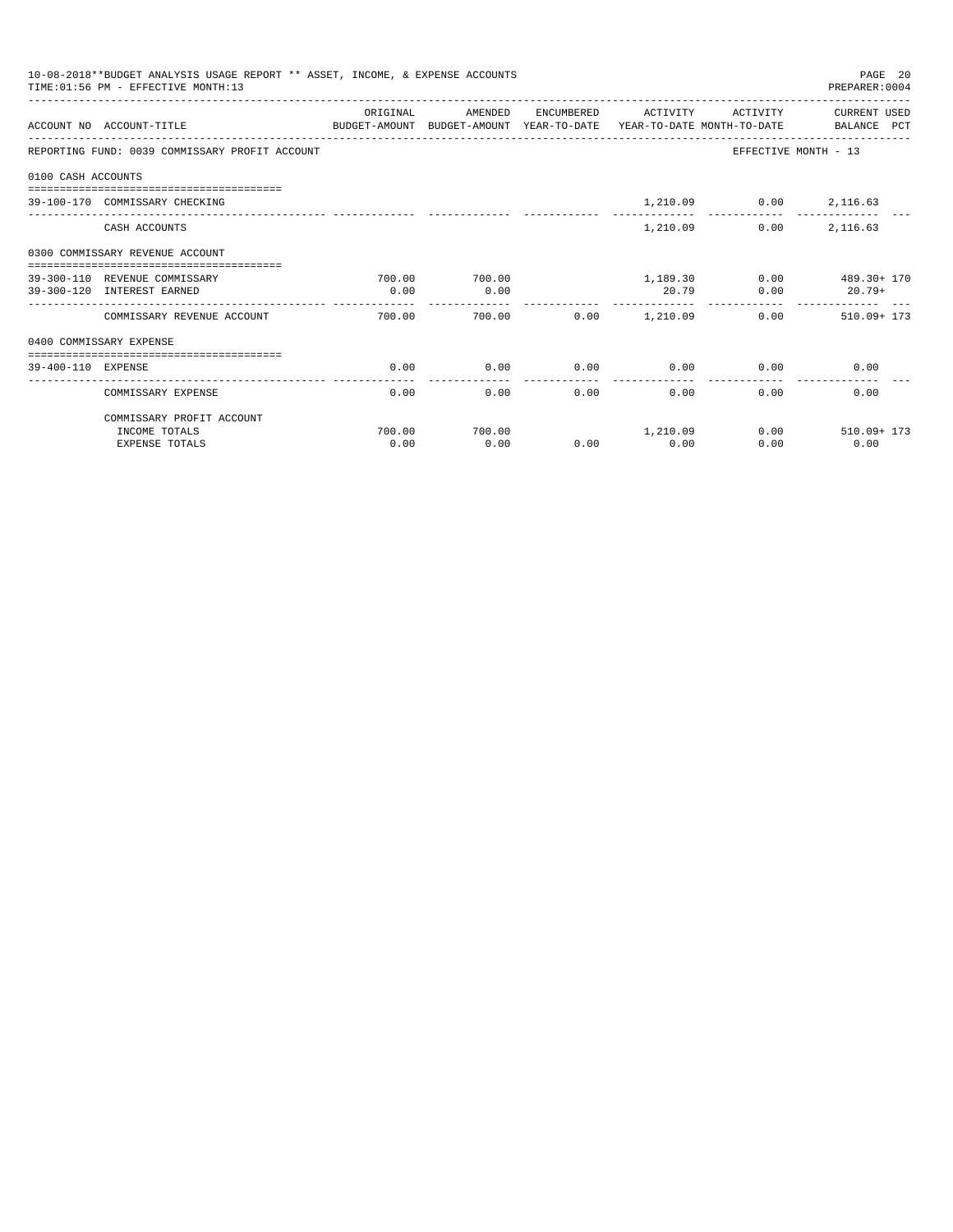|                    | 10-08-2018**BUDGET ANALYSIS USAGE REPORT ** ASSET, INCOME, & EXPENSE ACCOUNTS<br>TIME: 01:56 PM - EFFECTIVE MONTH: 13 |          |         |               |                      |                        | PAGE 20<br>PREPARER: 0004      |
|--------------------|-----------------------------------------------------------------------------------------------------------------------|----------|---------|---------------|----------------------|------------------------|--------------------------------|
|                    |                                                                                                                       | ORIGINAL | AMENDED |               | ENCUMBERED ACTIVITY  | ACTIVITY               | CURRENT USED                   |
|                    | ACCOUNT NO ACCOUNT-TITLE<br>BUDGET-AMOUNT BUDGET-AMOUNT YEAR-TO-DATE YEAR-TO-DATE MONTH-TO-DATE BALANCE PCT           |          |         |               |                      |                        |                                |
|                    | REPORTING FUND: 0039 COMMISSARY PROFIT ACCOUNT                                                                        |          |         |               |                      |                        | EFFECTIVE MONTH - 13           |
| 0100 CASH ACCOUNTS |                                                                                                                       |          |         |               |                      |                        |                                |
|                    | 39-100-170 COMMISSARY CHECKING                                                                                        |          |         |               |                      | 1,210.09 0.00 2,116.63 |                                |
|                    | CASH ACCOUNTS                                                                                                         |          |         |               | 1,210.09             | 0.00                   | 2,116.63                       |
|                    | 0300 COMMISSARY REVENUE ACCOUNT                                                                                       |          |         |               |                      |                        |                                |
|                    | 39-300-110 REVENUE COMMISSARY                                                                                         | 700.00   | 700.00  |               |                      |                        | $1.189.30$ $0.00$ $489.30+170$ |
|                    | 39-300-120 INTEREST EARNED                                                                                            | 0.00     | 0.00    |               | 20.79                | 0.00                   | $20.79+$                       |
|                    | COMMISSARY REVENUE ACCOUNT                                                                                            | 700.00   | 700.00  |               | $0.00$ 1,210.09      |                        | $0.00$ 510.09+173              |
|                    | 0400 COMMISSARY EXPENSE                                                                                               |          |         |               |                      |                        |                                |
| 39-400-110 EXPENSE |                                                                                                                       | 0.00     | 0.00    | 0.00          | 0.00                 |                        | 0.00<br>0.00                   |
|                    | COMMISSARY EXPENSE                                                                                                    | 0.00     | 0.00    | ------------- | ------------<br>0.00 | 0.00<br>0.00           | 0.00                           |
|                    | COMMISSARY PROFIT ACCOUNT                                                                                             |          |         |               |                      |                        |                                |
|                    | INCOME TOTALS                                                                                                         | 700.00   | 700.00  |               | 1, 210, 09           |                        | 0.00<br>$510.09 + 173$         |
|                    | <b>EXPENSE TOTALS</b>                                                                                                 | 0.00     | 0.00    | 0.00          | 0.00                 | 0.00                   | 0.00                           |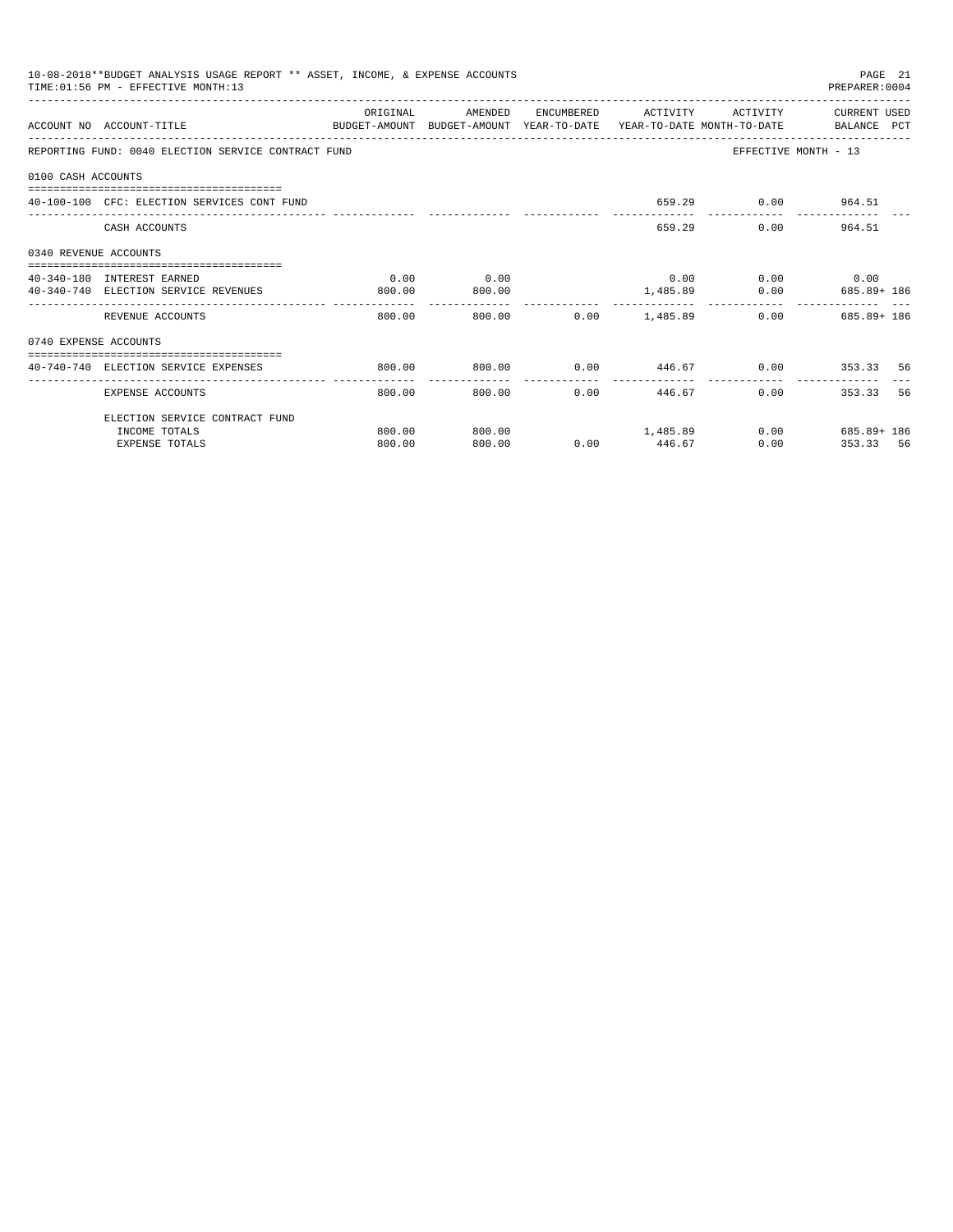|                       | 10-08-2018**BUDGET ANALYSIS USAGE REPORT ** ASSET, INCOME, & EXPENSE ACCOUNTS<br>TIME: 01:56 PM - EFFECTIVE MONTH:13 |          |         |                          |                                      |                             | PAGE 21<br>PREPARER: 0004          |
|-----------------------|----------------------------------------------------------------------------------------------------------------------|----------|---------|--------------------------|--------------------------------------|-----------------------------|------------------------------------|
|                       | ACCOUNT NO ACCOUNT-TITLE<br>BUDGET-AMOUNT BUDGET-AMOUNT YEAR-TO-DATE YEAR-TO-DATE MONTH-TO-DATE BALANCE PCT          | ORIGINAL | AMENDED |                          | ENCUMBERED ACTIVITY                  | ACTIVITY                    | CURRENT USED                       |
|                       | REPORTING FUND: 0040 ELECTION SERVICE CONTRACT FUND                                                                  |          |         |                          |                                      |                             | EFFECTIVE MONTH - 13               |
| 0100 CASH ACCOUNTS    |                                                                                                                      |          |         |                          |                                      |                             |                                    |
|                       | 40-100-100 CFC: ELECTION SERVICES CONT FUND                                                                          |          |         |                          |                                      | 659.29 0.00 964.51          |                                    |
|                       | CASH ACCOUNTS                                                                                                        |          |         |                          |                                      | 659.29                      | $0.00$ 964.51                      |
| 0340 REVENUE ACCOUNTS |                                                                                                                      |          |         |                          |                                      |                             |                                    |
|                       | 40-340-180 INTEREST EARNED                                                                                           | 0.00     | 0.00    |                          |                                      | $0.00$ $0.00$ $0.00$ $0.00$ |                                    |
|                       | 40-340-740 ELECTION SERVICE REVENUES                                                                                 | 800.00   | 800.00  | --------------           |                                      |                             | 1,485.89   0.00   685.89+ 186      |
|                       | REVENUE ACCOUNTS                                                                                                     | 800.00   |         | 800.00   0.00   1.485.89 |                                      |                             | $0.00$ 685.89+186                  |
| 0740 EXPENSE ACCOUNTS |                                                                                                                      |          |         |                          |                                      |                             |                                    |
|                       | 40-740-740 ELECTION SERVICE EXPENSES                                                                                 | 800.00   | 800.00  |                          |                                      |                             | $0.00$ $446.67$ $0.00$ $353.33$ 56 |
|                       | EXPENSE ACCOUNTS                                                                                                     | 800.00   | 800.00  |                          | ---------------<br>$0.00$ and $0.00$ | ------------<br>446.67      | 56<br>0.00<br>353.33               |
|                       | ELECTION SERVICE CONTRACT FUND                                                                                       |          |         |                          |                                      |                             |                                    |
|                       | INCOME TOTALS                                                                                                        | 800.00   | 800.00  | 1,485.89                 |                                      |                             | $0.00$ 685.89+ 186                 |
|                       | <b>EXPENSE TOTALS</b>                                                                                                | 800.00   | 800.00  |                          | $0.00$ 446.67                        | 0.00                        | 353.33 56                          |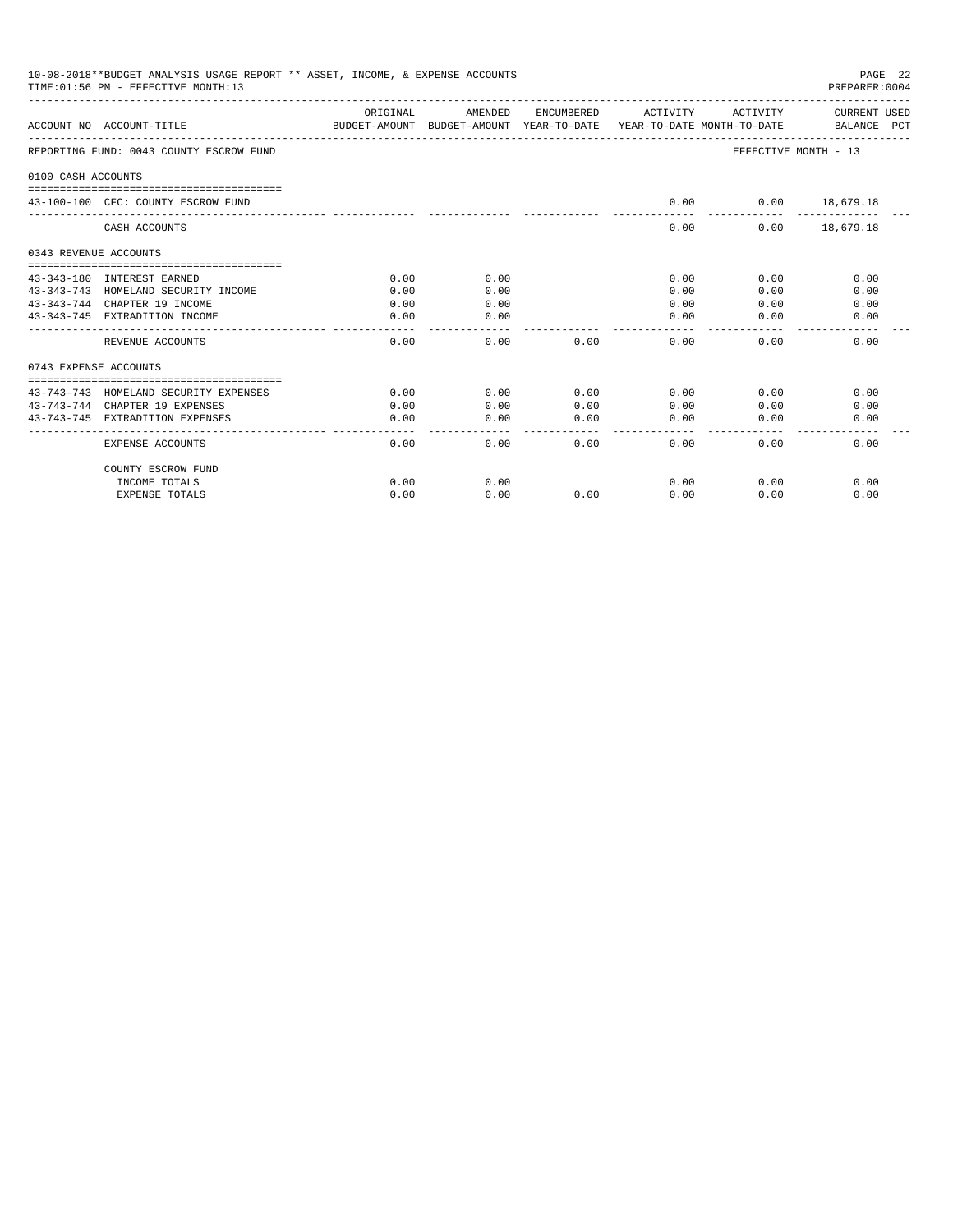|                       | 10-08-2018**BUDGET ANALYSIS USAGE REPORT ** ASSET, INCOME, & EXPENSE ACCOUNTS<br>TIME: 01:56 PM - EFFECTIVE MONTH: 13 |              |              |              |                                                                                 |                             | PAGE 22<br>PREPARER: 0004   |
|-----------------------|-----------------------------------------------------------------------------------------------------------------------|--------------|--------------|--------------|---------------------------------------------------------------------------------|-----------------------------|-----------------------------|
|                       | ACCOUNT NO ACCOUNT-TITLE                                                                                              | ORIGINAL     | AMENDED      | ENCUMBERED   | ACTIVITY<br>BUDGET-AMOUNT BUDGET-AMOUNT YEAR-TO-DATE YEAR-TO-DATE MONTH-TO-DATE | ACTIVITY                    | CURRENT USED<br>BALANCE PCT |
|                       | REPORTING FUND: 0043 COUNTY ESCROW FUND                                                                               |              |              |              |                                                                                 | <b>EFFECTIVE MONTH - 13</b> |                             |
| 0100 CASH ACCOUNTS    |                                                                                                                       |              |              |              |                                                                                 |                             |                             |
|                       |                                                                                                                       |              |              |              |                                                                                 |                             |                             |
|                       | 43-100-100 CFC: COUNTY ESCROW FUND                                                                                    |              |              |              | 0.00                                                                            |                             | $0.00$ 18,679.18            |
|                       | CASH ACCOUNTS                                                                                                         |              |              |              | 0.00                                                                            |                             | $0.00$ 18,679.18            |
| 0343 REVENUE ACCOUNTS |                                                                                                                       |              |              |              |                                                                                 |                             |                             |
|                       |                                                                                                                       |              |              |              |                                                                                 |                             |                             |
|                       | 43-343-180 INTEREST EARNED<br>43-343-743 HOMELAND SECURITY INCOME                                                     | 0.00<br>0.00 | 0.00<br>0.00 |              | 0.00<br>0.00                                                                    | 0.00<br>0.00                | 0.00<br>0.00                |
|                       | 43-343-744 CHAPTER 19 INCOME                                                                                          | 0.00         | 0.00         |              | 0.00                                                                            | 0.00                        | 0.00                        |
|                       | 43-343-745 EXTRADITION INCOME                                                                                         | 0.00         | 0.00         |              | 0.00                                                                            | 0.00                        | 0.00                        |
|                       | REVENUE ACCOUNTS                                                                                                      | 0.00         | 0.00         | 0.00         | 0.00                                                                            | 0.00                        | 0.00                        |
| 0743 EXPENSE ACCOUNTS |                                                                                                                       |              |              |              |                                                                                 |                             |                             |
|                       |                                                                                                                       |              |              |              |                                                                                 |                             |                             |
|                       | 43-743-743 HOMELAND SECURITY EXPENSES                                                                                 | 0.00         | 0.00         | 0.00         | 0.00                                                                            | 0.00                        | 0.00                        |
|                       | 43-743-744 CHAPTER 19 EXPENSES<br>43-743-745 EXTRADITION EXPENSES                                                     | 0.00         | 0.00         | 0.00<br>0.00 | 0.00<br>0.00                                                                    | 0.00                        | 0.00                        |
|                       |                                                                                                                       | 0.00         | 0.00         |              |                                                                                 | 0.00                        | 0.00                        |
|                       | EXPENSE ACCOUNTS                                                                                                      | 0.00         | 0.00         | 0.00         | 0.00                                                                            | 0.00                        | 0.00                        |
|                       | COUNTY ESCROW FUND                                                                                                    |              |              |              |                                                                                 |                             |                             |
|                       | INCOME TOTALS                                                                                                         | 0.00         | 0.00         |              | 0.00                                                                            | 0.00                        | 0.00                        |
|                       | <b>EXPENSE TOTALS</b>                                                                                                 | 0.00         | 0.00         | 0.00         | 0.00                                                                            | 0.00                        | 0.00                        |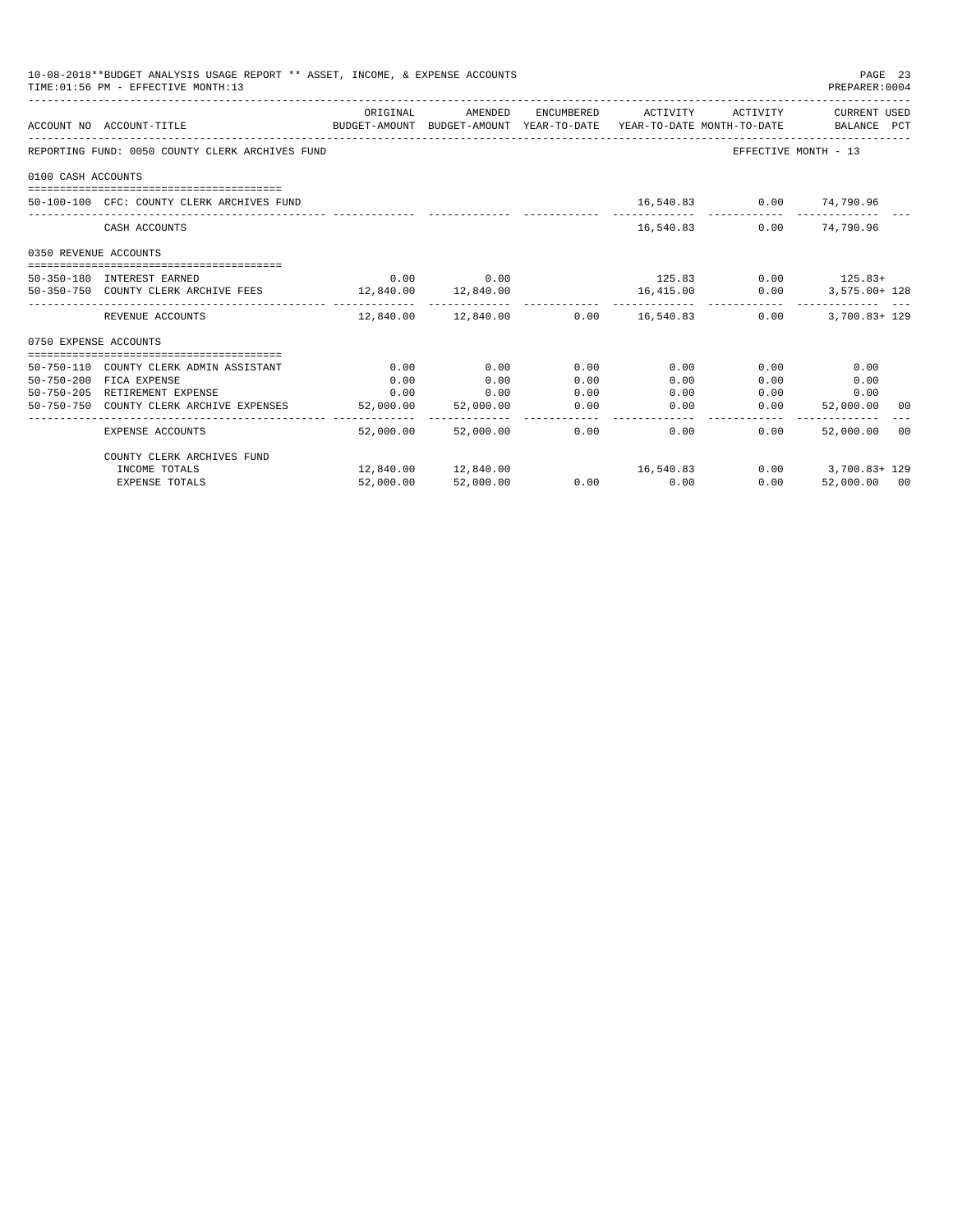| 10-08-2018**BUDGET ANALYSIS USAGE REPORT ** ASSET, INCOME, & EXPENSE ACCOUNTS<br>TIME: 01:56 PM - EFFECTIVE MONTH: 13<br>PREPARER: 0004 |                                                                                                             |              |                     |      |                                            |                                        |                       |  |  |
|-----------------------------------------------------------------------------------------------------------------------------------------|-------------------------------------------------------------------------------------------------------------|--------------|---------------------|------|--------------------------------------------|----------------------------------------|-----------------------|--|--|
|                                                                                                                                         | ACCOUNT NO ACCOUNT-TITLE<br>BUDGET-AMOUNT BUDGET-AMOUNT YEAR-TO-DATE YEAR-TO-DATE MONTH-TO-DATE BALANCE PCT | ORIGINAL     | AMENDED             |      | ENCUMBERED ACTIVITY ACTIVITY CURRENT USED  |                                        |                       |  |  |
|                                                                                                                                         | REPORTING FUND: 0050 COUNTY CLERK ARCHIVES FUND                                                             |              |                     |      |                                            | EFFECTIVE MONTH - 13                   |                       |  |  |
| 0100 CASH ACCOUNTS                                                                                                                      |                                                                                                             |              |                     |      |                                            |                                        |                       |  |  |
|                                                                                                                                         | 50-100-100 CFC: COUNTY CLERK ARCHIVES FUND                                                                  |              |                     |      |                                            | 16,540.83 0.00 74,790.96               |                       |  |  |
|                                                                                                                                         | CASH ACCOUNTS                                                                                               |              |                     |      | 16,540.83                                  |                                        | $0.00$ $74.790.96$    |  |  |
| 0350 REVENUE ACCOUNTS                                                                                                                   |                                                                                                             |              |                     |      |                                            |                                        |                       |  |  |
|                                                                                                                                         | 50-350-180 INTEREST EARNED                                                                                  |              | $0.00$ 0.00         |      | $125.83$ 0.00 $125.83+$                    |                                        |                       |  |  |
|                                                                                                                                         | 50-350-750 COUNTY CLERK ARCHIVE FEES 12,840.00 12,840.00                                                    |              |                     |      | 16,415.00 0.00                             |                                        | 3,575.00+ 128         |  |  |
|                                                                                                                                         | REVENUE ACCOUNTS                                                                                            |              |                     |      | $12.840.00$ $12.840.00$ $0.00$ $16.540.83$ | 0.00                                   | $3.700.83 + 129$      |  |  |
| 0750 EXPENSE ACCOUNTS                                                                                                                   |                                                                                                             |              |                     |      |                                            |                                        |                       |  |  |
|                                                                                                                                         | 50-750-110 COUNTY CLERK ADMIN ASSISTANT                                                                     |              | 0.00                | 0.00 | 0.00                                       |                                        |                       |  |  |
|                                                                                                                                         | 50-750-200 FICA EXPENSE                                                                                     | 0.00<br>0.00 | 0.00                | 0.00 | 0.00                                       | 0.00<br>0.00                           | 0.00<br>0.00          |  |  |
|                                                                                                                                         | 50-750-205 RETIREMENT EXPENSE                                                                               | 0.00         | 0.00                | 0.00 | 0.00                                       | 0.00                                   | 0.00                  |  |  |
|                                                                                                                                         | 50-750-750 COUNTY CLERK ARCHIVE EXPENSES                                                                    | 52,000.00    | 52,000.00           | 0.00 | 0.00                                       | 0.00                                   | 52,000.00 00          |  |  |
|                                                                                                                                         | EXPENSE ACCOUNTS                                                                                            |              | 52,000.00 52,000.00 | 0.00 | 0.00                                       | ------------ -------------<br>$0.00 -$ | 52,000.00 00          |  |  |
|                                                                                                                                         | COUNTY CLERK ARCHIVES FUND                                                                                  |              |                     |      |                                            |                                        |                       |  |  |
|                                                                                                                                         | INCOME TOTALS                                                                                               |              |                     |      |                                            |                                        | $0.00$ $3,700.83+129$ |  |  |
|                                                                                                                                         | EXPENSE TOTALS                                                                                              |              | 52,000.00 52,000.00 |      | $0.00$ 0.00                                | 0.00                                   | 52,000.00 00          |  |  |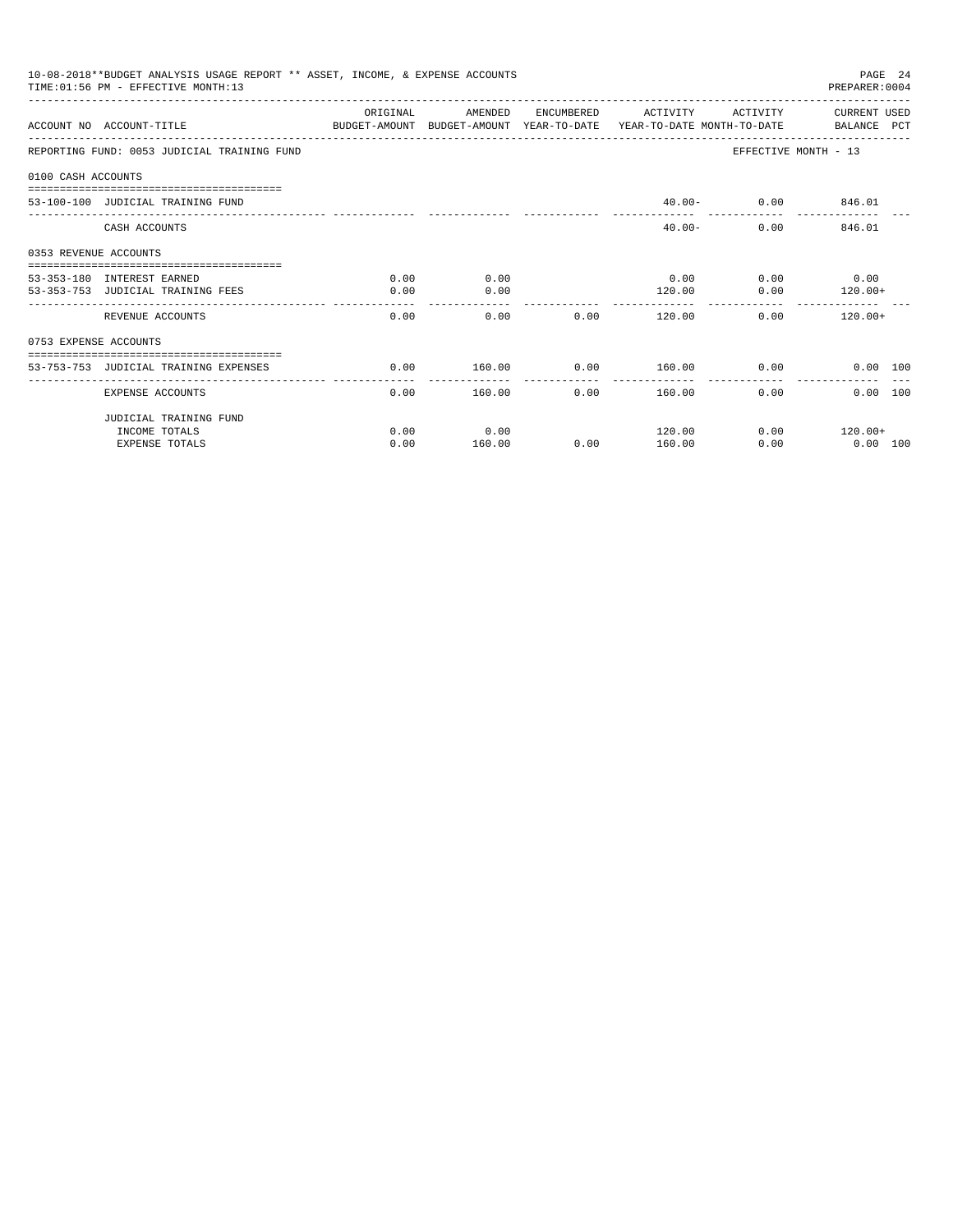|                       | 10-08-2018**BUDGET ANALYSIS USAGE REPORT ** ASSET, INCOME, & EXPENSE ACCOUNTS<br>TIME: 01:56 PM - EFFECTIVE MONTH: 13 |                        |                       |                      |              |                     | PAGE 24<br>PREPARER: 0004   |
|-----------------------|-----------------------------------------------------------------------------------------------------------------------|------------------------|-----------------------|----------------------|--------------|---------------------|-----------------------------|
|                       | ACCOUNT NO ACCOUNT-TITLE<br>BUDGET-AMOUNT BUDGET-AMOUNT YEAR-TO-DATE YEAR-TO-DATE MONTH-TO-DATE BALANCE PCT           | OR TGTNAL              | AMENDED               | ENCUMBERED           | ACTIVITY     | ACTIVITY            | CURRENT USED                |
|                       | REPORTING FUND: 0053 JUDICIAL TRAINING FUND                                                                           |                        |                       |                      |              |                     | EFFECTIVE MONTH - 13        |
| 0100 CASH ACCOUNTS    |                                                                                                                       |                        |                       |                      |              |                     |                             |
|                       | 53-100-100 JUDICIAL TRAINING FUND                                                                                     |                        |                       |                      |              | 40.00 - 0.00 846.01 |                             |
|                       | CASH ACCOUNTS                                                                                                         |                        |                       |                      | $40.00 -$    |                     | $0.00$ and $0.00$<br>846.01 |
| 0353 REVENUE ACCOUNTS |                                                                                                                       |                        |                       |                      |              |                     |                             |
|                       | ====================================<br>53-353-180 INTEREST EARNED                                                    | 0.00                   | 0.00                  |                      | 0.00         |                     | $0.00$ 0.00                 |
|                       | 53-353-753 JUDICIAL TRAINING FEES                                                                                     | 0.00                   | 0.00                  |                      | 120.00       | 0.00                | $120.00+$                   |
|                       | REVENUE ACCOUNTS                                                                                                      | 0.00                   | 0.00                  | 0.00                 | 120.00       |                     | 0.00<br>$120.00+$           |
| 0753 EXPENSE ACCOUNTS |                                                                                                                       |                        |                       |                      |              |                     |                             |
|                       | ------------------------------------<br>53-753-753 JUDICIAL TRAINING EXPENSES                                         | 0.00                   | 160.00                | 0.00                 | 160.00       |                     | 0.00<br>0.00 100            |
|                       | EXPENSE ACCOUNTS                                                                                                      | --------------<br>0.00 | -----------<br>160.00 | ------------<br>0.00 | ------------ | 160.00<br>0.00      | 0.00 100                    |
|                       | JUDICIAL TRAINING FUND                                                                                                |                        |                       |                      |              |                     |                             |
|                       | INCOME TOTALS                                                                                                         | 0.00                   | 0.00                  |                      | 120.00       |                     | $0.00$ 120.00+              |
|                       | <b>EXPENSE TOTALS</b>                                                                                                 | 0.00                   | 160.00                | 0.00                 | 160.00       | 0.00                | $0.00$ 100                  |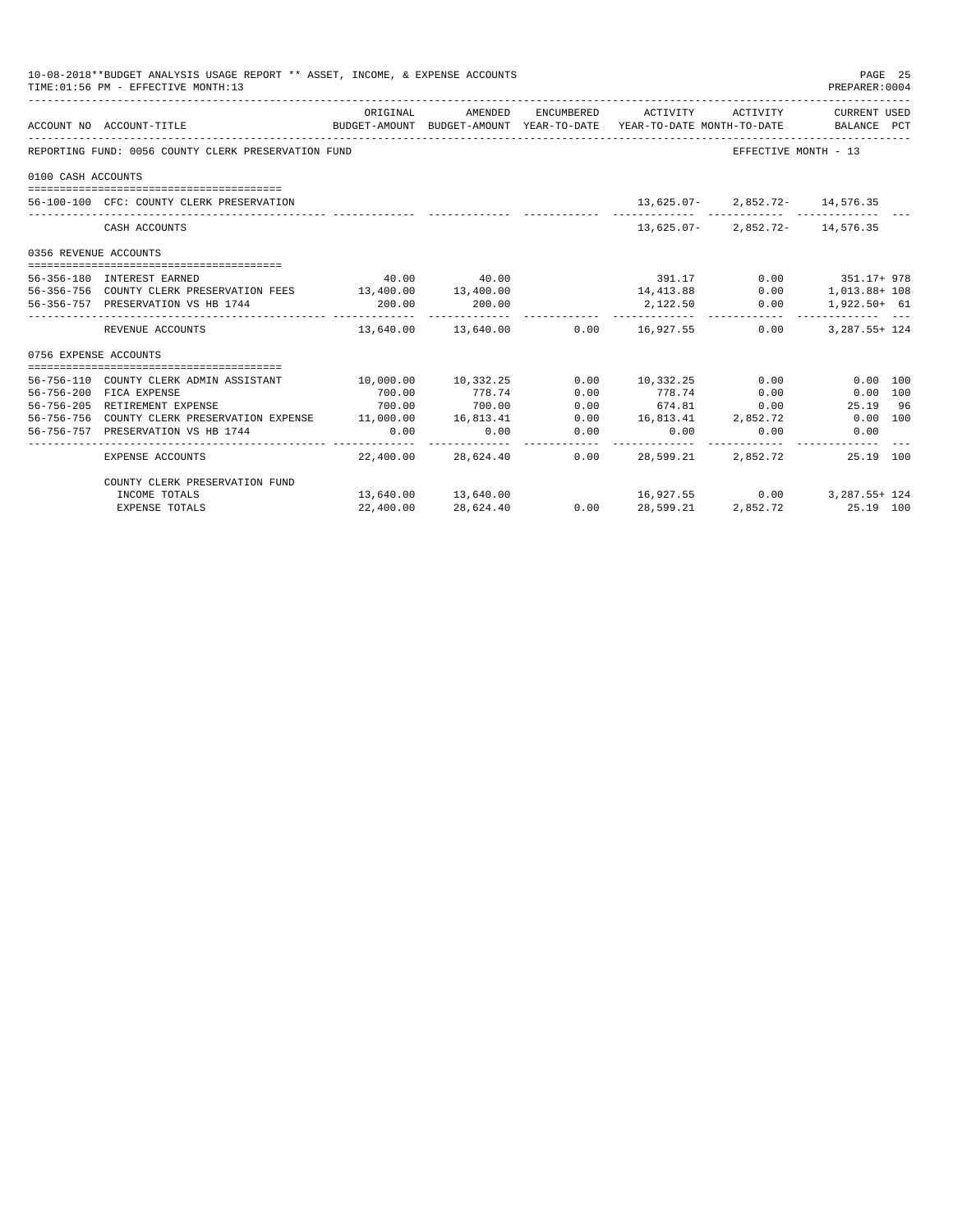| 10-08-2018**BUDGET ANALYSIS USAGE REPORT ** ASSET, INCOME, & EXPENSE ACCOUNTS<br>PAGE 25<br>TIME: 01:56 PM - EFFECTIVE MONTH: 13<br>PREPARER: 0004 |                                                                  |                     |                     |      |                                                                                                        |                                    |                       |  |  |
|----------------------------------------------------------------------------------------------------------------------------------------------------|------------------------------------------------------------------|---------------------|---------------------|------|--------------------------------------------------------------------------------------------------------|------------------------------------|-----------------------|--|--|
|                                                                                                                                                    | ACCOUNT NO ACCOUNT-TITLE                                         | ORIGINAL            | AMENDED             |      | ENCUMBERED ACTIVITY<br>BUDGET-AMOUNT BUDGET-AMOUNT YEAR-TO-DATE YEAR-TO-DATE MONTH-TO-DATE BALANCE PCT |                                    | ACTIVITY CURRENT USED |  |  |
|                                                                                                                                                    | REPORTING FUND: 0056 COUNTY CLERK PRESERVATION FUND              |                     |                     |      |                                                                                                        | EFFECTIVE MONTH - 13               |                       |  |  |
| 0100 CASH ACCOUNTS                                                                                                                                 |                                                                  |                     |                     |      |                                                                                                        |                                    |                       |  |  |
|                                                                                                                                                    |                                                                  |                     |                     |      |                                                                                                        |                                    |                       |  |  |
|                                                                                                                                                    | 56-100-100 CFC: COUNTY CLERK PRESERVATION                        |                     |                     |      |                                                                                                        | $13,625.07 - 2,852.72 - 14,576.35$ |                       |  |  |
|                                                                                                                                                    | CASH ACCOUNTS                                                    |                     |                     |      |                                                                                                        | $13,625.07 - 2,852.72 - 14,576.35$ |                       |  |  |
| 0356 REVENUE ACCOUNTS                                                                                                                              |                                                                  |                     |                     |      |                                                                                                        |                                    |                       |  |  |
|                                                                                                                                                    | 56-356-180 INTEREST EARNED                                       |                     | 40.00 40.00         |      | 391.17 0.00 351.17+ 978                                                                                |                                    |                       |  |  |
|                                                                                                                                                    | 56-356-756 COUNTY CLERK PRESERVATION FEES 13,400.00 13,400.00    |                     |                     |      | $14,413.88$ 0.00 1,013.88 + 108                                                                        |                                    |                       |  |  |
|                                                                                                                                                    | 56-356-757 PRESERVATION VS HB 1744                               | 200.00              | 200.00              |      | 2,122.50 0.00 1,922.50+ 61                                                                             |                                    |                       |  |  |
|                                                                                                                                                    | REVENUE ACCOUNTS                                                 |                     |                     |      | $13,640.00$ $13,640.00$ $0.00$ $16,927.55$ $0.00$                                                      |                                    | 3, 287.55+ 124        |  |  |
| 0756 EXPENSE ACCOUNTS                                                                                                                              |                                                                  |                     |                     |      |                                                                                                        |                                    |                       |  |  |
|                                                                                                                                                    |                                                                  |                     |                     |      |                                                                                                        |                                    |                       |  |  |
|                                                                                                                                                    | 56-756-110 COUNTY CLERK ADMIN ASSISTANT                          | 10,000.00 10,332.25 |                     |      | $0.00$ $10.332.25$ $0.00$                                                                              |                                    | $0.00$ 100            |  |  |
|                                                                                                                                                    | 56-756-200 FICA EXPENSE                                          | 700.00              | 778.74              | 0.00 | 778.74                                                                                                 | 0.00                               | 0.00 100              |  |  |
|                                                                                                                                                    | 56-756-205 RETIREMENT EXPENSE                                    | 700.00              | 700.00              | 0.00 | 674.81                                                                                                 | 0.00                               | 25.19 96              |  |  |
|                                                                                                                                                    | 56-756-756 COUNTY CLERK PRESERVATION EXPENSE 11,000.00 16,813.41 |                     |                     | 0.00 | 16,813.41 2,852.72                                                                                     |                                    | $0.00$ 100            |  |  |
|                                                                                                                                                    | 56-756-757 PRESERVATION VS HB 1744                               | 0.00                | 0.00                | 0.00 |                                                                                                        | 0.00<br>0.00                       | 0.00                  |  |  |
|                                                                                                                                                    | EXPENSE ACCOUNTS                                                 |                     | 22,400.00 28,624.40 |      | 0.00 28,599.21                                                                                         | 2,852.72                           | 25.19 100             |  |  |
|                                                                                                                                                    | COUNTY CLERK PRESERVATION FUND                                   |                     |                     |      |                                                                                                        |                                    |                       |  |  |
|                                                                                                                                                    | INCOME TOTALS                                                    |                     |                     |      | $13,640.00$ $13,640.00$ $16,927.55$                                                                    |                                    | $0.00$ 3, 287.55+ 124 |  |  |
|                                                                                                                                                    | EXPENSE TOTALS                                                   | 22,400.00           | 28,624.40           |      | $0.00$ 28,599.21 2,852.72 25.19 100                                                                    |                                    |                       |  |  |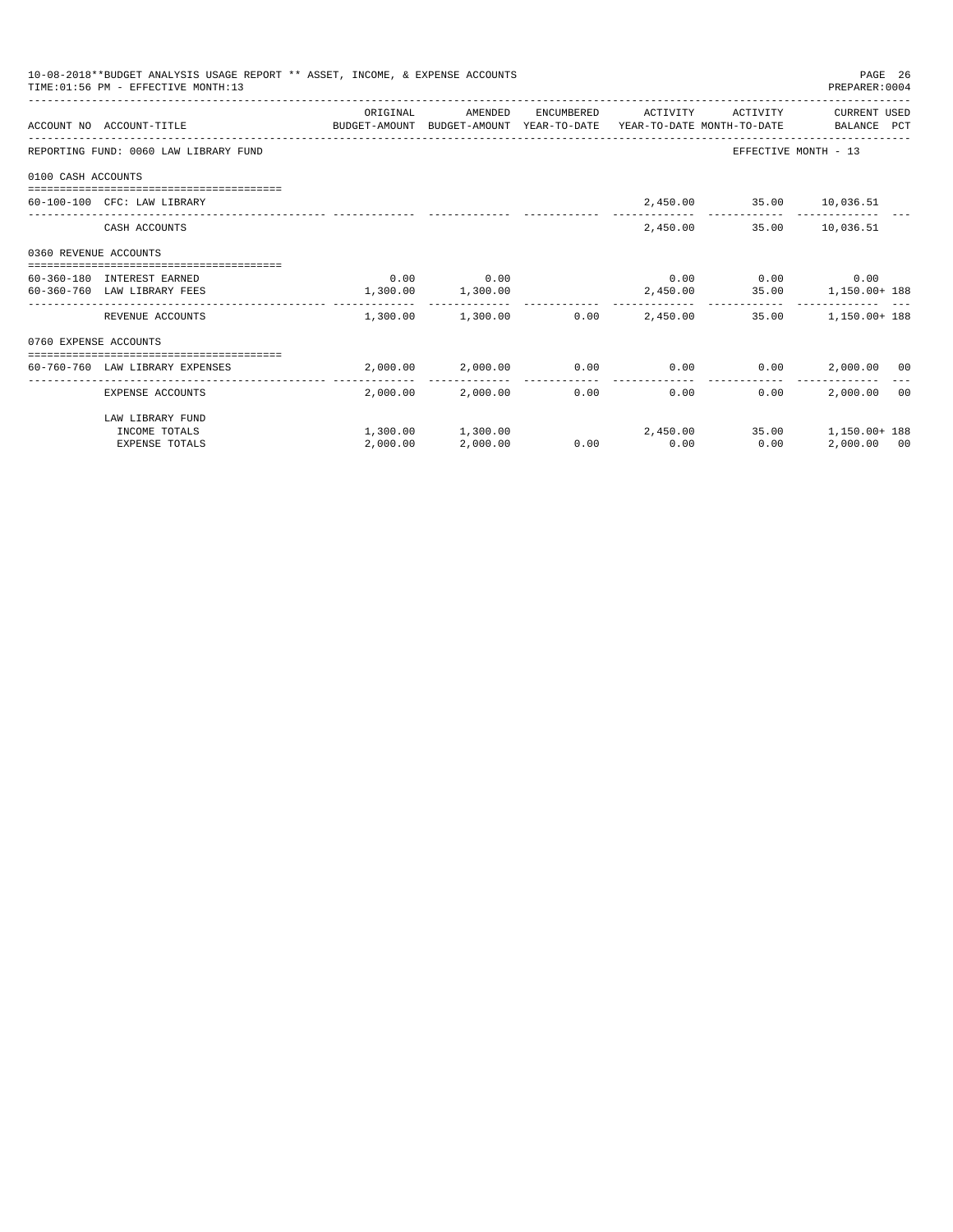|                       | 10-08-2018**BUDGET ANALYSIS USAGE REPORT ** ASSET, INCOME, & EXPENSE ACCOUNTS<br>TIME: 01:56 PM - EFFECTIVE MONTH: 13 |                   |                              |             |                              | PAGE 26<br>PREPARER: 0004                                      |  |
|-----------------------|-----------------------------------------------------------------------------------------------------------------------|-------------------|------------------------------|-------------|------------------------------|----------------------------------------------------------------|--|
|                       | ACCOUNT NO ACCOUNT-TITLE CONTROL PROTECT-AMOUNT BUDGET-AMOUNT YEAR-TO-DATE YEAR-TO-DATE MONTH-TO-DATE BALANCE PCT     | ORIGINAL          | AMENDED                      |             | ENCUMBERED ACTIVITY ACTIVITY | CURRENT USED                                                   |  |
|                       | REPORTING FUND: 0060 LAW LIBRARY FUND                                                                                 |                   |                              |             |                              | EFFECTIVE MONTH - 13                                           |  |
| 0100 CASH ACCOUNTS    |                                                                                                                       |                   |                              |             |                              |                                                                |  |
|                       | 60-100-100 CFC: LAW LIBRARY                                                                                           |                   |                              |             | 2,450.00 35.00 10,036.51     |                                                                |  |
|                       | CASH ACCOUNTS                                                                                                         |                   |                              |             | 2,450.00 35.00 10,036.51     |                                                                |  |
| 0360 REVENUE ACCOUNTS |                                                                                                                       |                   |                              |             |                              |                                                                |  |
|                       | 60-360-180 INTEREST EARNED                                                                                            |                   | $0.00$ 0.00                  |             |                              | $0.00$ $0.00$ $0.00$ $0.00$                                    |  |
|                       | 60-360-760 LAW LIBRARY FEES                                                                                           | 1,300.00 1,300.00 |                              |             |                              | 2,450.00 35.00 1,150.00+188                                    |  |
|                       | REVENUE ACCOUNTS                                                                                                      |                   |                              |             |                              | $1,300.00$ $1,300.00$ $0.00$ $2,450.00$ $35.00$ $1,150.00+188$ |  |
| 0760 EXPENSE ACCOUNTS |                                                                                                                       |                   |                              |             |                              |                                                                |  |
|                       |                                                                                                                       |                   |                              |             |                              |                                                                |  |
|                       | 60-760-760 LAW LIBRARY EXPENSES                                                                                       |                   |                              |             |                              | $2,000.00$ $2,000.00$ $0.00$ $0.00$ $0.00$ $2,000.00$ $00$     |  |
|                       | EXPENSE ACCOUNTS                                                                                                      |                   | $2.000.00$ $2.000.00$ $0.00$ |             | 0.00<br>0.00                 | 2,000,00 00                                                    |  |
|                       | LAW LIBRARY FUND                                                                                                      |                   |                              |             |                              |                                                                |  |
|                       | INCOME TOTALS                                                                                                         |                   |                              |             |                              | $1,300.00$ $1,300.00$ $2,450.00$ $35.00$ $1,150.00+188$        |  |
|                       | <b>EXPENSE TOTALS</b>                                                                                                 | 2,000.00          | 2,000.00                     | $0.00$ 0.00 | 0.00                         | 2,000.00 00                                                    |  |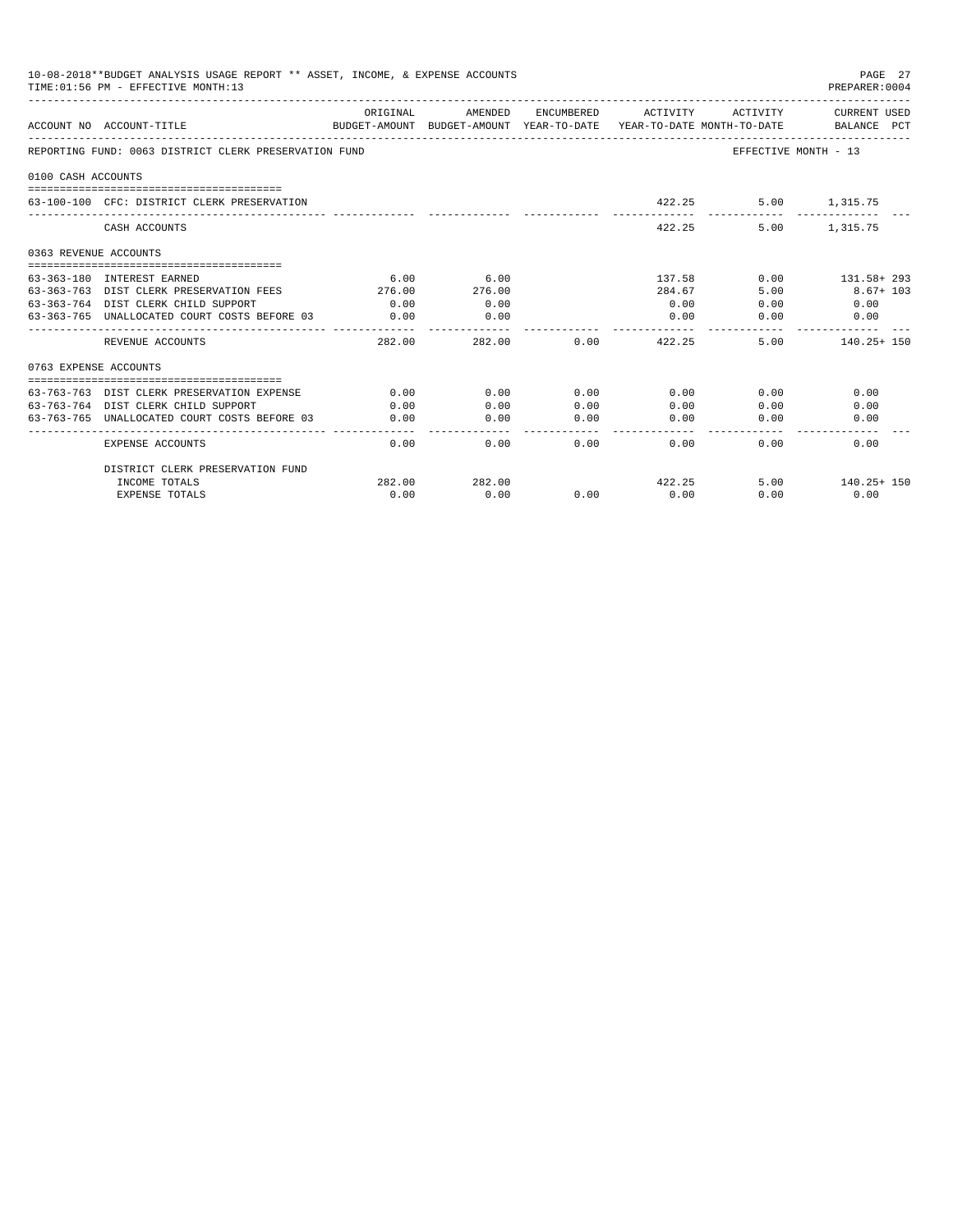|                       | 10-08-2018**BUDGET ANALYSIS USAGE REPORT ** ASSET, INCOME, & EXPENSE ACCOUNTS<br>PAGE 27<br>TIME: 01:56 PM - EFFECTIVE MONTH: 13<br>PREPARER: 0004 |          |                       |                |                     |                      |                                    |  |  |  |  |
|-----------------------|----------------------------------------------------------------------------------------------------------------------------------------------------|----------|-----------------------|----------------|---------------------|----------------------|------------------------------------|--|--|--|--|
|                       | ACCOUNT NO ACCOUNT-TITLE<br>BUDGET-AMOUNT BUDGET-AMOUNT YEAR-TO-DATE  YEAR-TO-DATE MONTH-TO-DATE      BALANCE PCT                                  | ORIGINAL | AMENDED               |                | ENCUMBERED ACTIVITY | ACTIVITY             | CURRENT USED                       |  |  |  |  |
|                       | REPORTING FUND: 0063 DISTRICT CLERK PRESERVATION FUND                                                                                              |          |                       |                |                     | EFFECTIVE MONTH - 13 |                                    |  |  |  |  |
| 0100 CASH ACCOUNTS    |                                                                                                                                                    |          |                       |                |                     |                      |                                    |  |  |  |  |
|                       | 63-100-100 CFC: DISTRICT CLERK PRESERVATION                                                                                                        |          |                       |                |                     | 422.25               | 5.00 1.315.75                      |  |  |  |  |
|                       | CASH ACCOUNTS                                                                                                                                      |          |                       |                | 422.25              | 5.00                 | 1,315.75                           |  |  |  |  |
| 0363 REVENUE ACCOUNTS |                                                                                                                                                    |          |                       |                |                     |                      |                                    |  |  |  |  |
|                       |                                                                                                                                                    |          |                       |                |                     |                      |                                    |  |  |  |  |
|                       | 63-363-180 INTEREST EARNED                                                                                                                         | 6.00     | 6.00                  |                | 137.58              |                      | $0.00$ $131.58 + 293$              |  |  |  |  |
|                       | 63-363-763 DIST CLERK PRESERVATION FEES                                                                                                            | 276.00   | 276.00                |                | 284.67              | 5.00                 | $8.67 + 103$                       |  |  |  |  |
|                       | 63-363-764 DIST CLERK CHILD SUPPORT                                                                                                                | 0.00     | 0.00                  |                | 0.00                | 0.00                 | 0.00                               |  |  |  |  |
|                       | 63-363-765 UNALLOCATED COURT COSTS BEFORE 03                                                                                                       | 0.00     | 0.00                  |                | 0.00                | 0.00                 | 0.00                               |  |  |  |  |
|                       | REVENUE ACCOUNTS                                                                                                                                   | 282.00   | -----------<br>282.00 | 0.00           | --------<br>422.25  |                      | ------------<br>$5.00$ 140.25+ 150 |  |  |  |  |
| 0763 EXPENSE ACCOUNTS |                                                                                                                                                    |          |                       |                |                     |                      |                                    |  |  |  |  |
|                       |                                                                                                                                                    |          |                       |                |                     |                      |                                    |  |  |  |  |
|                       | 63-763-763 DIST CLERK PRESERVATION EXPENSE                                                                                                         | 0.00     | 0.00                  | 0.00           | 0.00                | 0.00                 | 0.00                               |  |  |  |  |
|                       | 63-763-764 DIST CLERK CHILD SUPPORT                                                                                                                | 0.00     | 0.00                  | 0.00           | 0.00                | 0.00                 | 0.00                               |  |  |  |  |
|                       | 63-763-765 UNALLOCATED COURT COSTS BEFORE 03                                                                                                       | 0.00     | 0.00<br>-----------   | 0.00<br>------ | 0.00<br>-------     | 0.00                 | 0.00                               |  |  |  |  |
|                       | <b>EXPENSE ACCOUNTS</b>                                                                                                                            | 0.00     | 0.00                  | $0.00 -$       | $0.00 -$            | $0.00 -$             | 0.00                               |  |  |  |  |
|                       | DISTRICT CLERK PRESERVATION FUND                                                                                                                   |          |                       |                |                     |                      |                                    |  |  |  |  |
|                       | INCOME TOTALS                                                                                                                                      | 282.00   | 282.00                |                | 422.25              |                      | $5.00$ 140.25+ 150                 |  |  |  |  |
|                       | <b>EXPENSE TOTALS</b>                                                                                                                              | 0.00     | 0.00                  | 0.00           | 0.00                | 0.00                 | 0.00                               |  |  |  |  |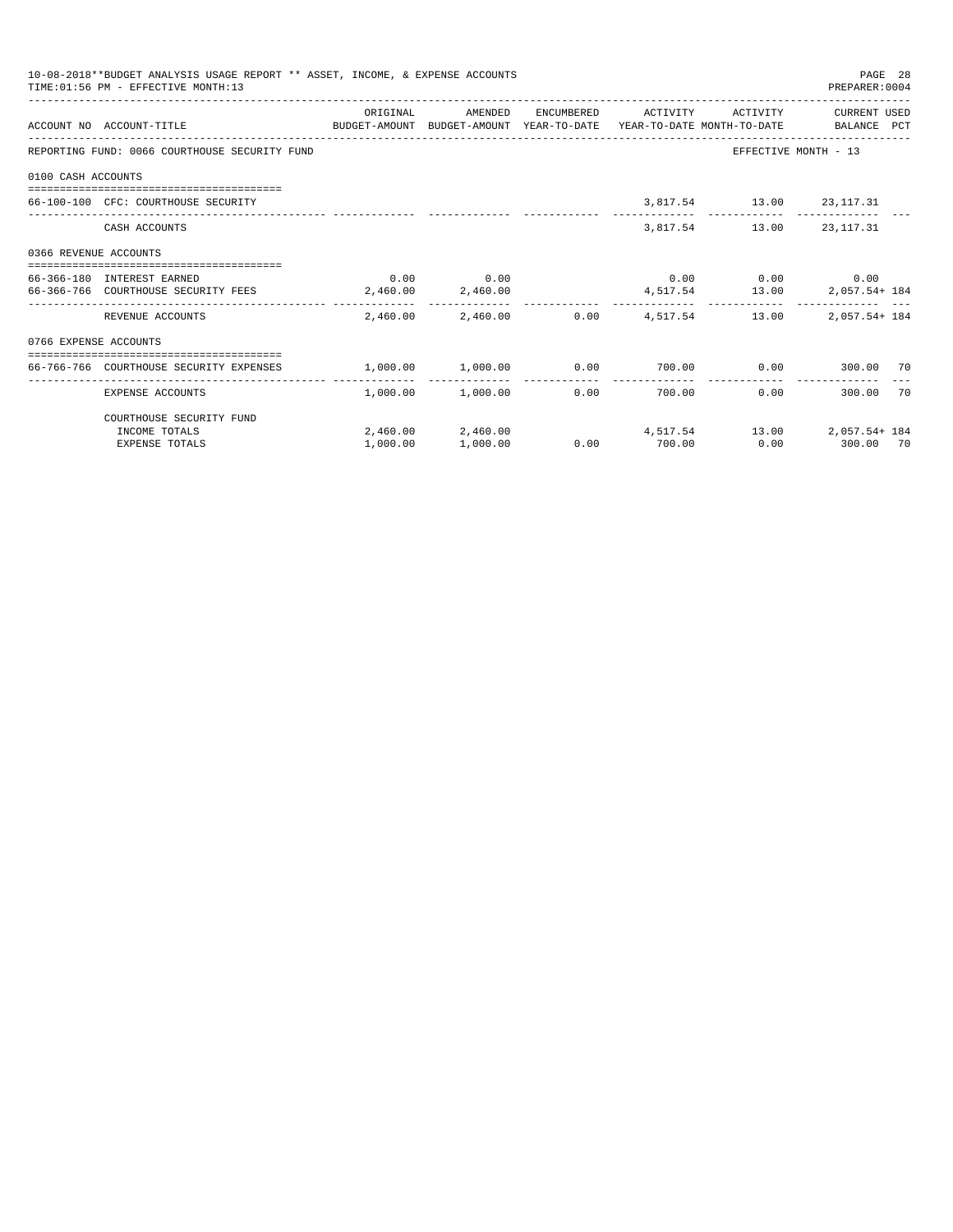|                       | 10-08-2018**BUDGET ANALYSIS USAGE REPORT ** ASSET, INCOME, & EXPENSE ACCOUNTS<br>PAGE 28<br>TIME: 01:56 PM - EFFECTIVE MONTH:13<br>PREPARER: 0004 |          |                                       |      |                     |                          |                                                                   |  |  |  |  |
|-----------------------|---------------------------------------------------------------------------------------------------------------------------------------------------|----------|---------------------------------------|------|---------------------|--------------------------|-------------------------------------------------------------------|--|--|--|--|
|                       | ACCOUNT NO ACCOUNT-TITLE COMPUTE BUDGET-AMOUNT BUDGET-AMOUNT YEAR-TO-DATE YEAR-TO-DATE MONTH-TO-DATE BALANCE PCT                                  | ORIGINAL | AMENDED                               |      | ENCUMBERED ACTIVITY | ACTIVITY                 | CURRENT USED                                                      |  |  |  |  |
|                       | REPORTING FUND: 0066 COURTHOUSE SECURITY FUND                                                                                                     |          |                                       |      |                     |                          | EFFECTIVE MONTH - 13                                              |  |  |  |  |
| 0100 CASH ACCOUNTS    |                                                                                                                                                   |          |                                       |      |                     |                          |                                                                   |  |  |  |  |
|                       | 66-100-100 CFC: COURTHOUSE SECURITY                                                                                                               |          |                                       |      |                     | 3,817.54 13.00 23,117.31 |                                                                   |  |  |  |  |
|                       | CASH ACCOUNTS                                                                                                                                     |          |                                       |      |                     | 3,817.54 13.00 23,117.31 |                                                                   |  |  |  |  |
| 0366 REVENUE ACCOUNTS |                                                                                                                                                   |          |                                       |      |                     |                          |                                                                   |  |  |  |  |
|                       | 66-366-180 INTEREST EARNED                                                                                                                        |          | $0.00$ 0.00                           |      |                     |                          | $0.00$ $0.00$ $0.00$ $0.00$                                       |  |  |  |  |
|                       | 66-366-766 COURTHOUSE SECURITY FEES 2,460.00 2,460.00                                                                                             |          |                                       |      |                     |                          | 4,517.54 13.00 2,057.54 184                                       |  |  |  |  |
|                       | REVENUE ACCOUNTS                                                                                                                                  |          | 2,460.00 2,460.00 0.00 4,517.54 13.00 |      |                     |                          | 2,057.54+ 184                                                     |  |  |  |  |
| 0766 EXPENSE ACCOUNTS |                                                                                                                                                   |          |                                       |      |                     |                          |                                                                   |  |  |  |  |
|                       | -------------------------------------<br>66-766-766 COURTHOUSE SECURITY EXPENSES                                                                  |          |                                       |      |                     |                          | $1,000.00$ $1,000.00$ $0.00$ $700.00$ $0.00$ $0.00$ $300.00$ $70$ |  |  |  |  |
|                       | EXPENSE ACCOUNTS                                                                                                                                  |          | 1,000.00 1,000.00                     | 0.00 |                     | -------------<br>700.00  | 0.00<br>300.00 70                                                 |  |  |  |  |
|                       | COURTHOUSE SECURITY FUND                                                                                                                          |          |                                       |      |                     |                          |                                                                   |  |  |  |  |
|                       | INCOME TOTALS                                                                                                                                     |          |                                       |      |                     |                          | $2,460.00$ $2,460.00$ $4,517.54$ $13.00$ $2,057.54$ $184$         |  |  |  |  |
|                       | <b>EXPENSE TOTALS</b>                                                                                                                             | 1,000.00 | 1,000.00                              |      | $0.00$ 700.00       |                          | 0.00 300.00 70                                                    |  |  |  |  |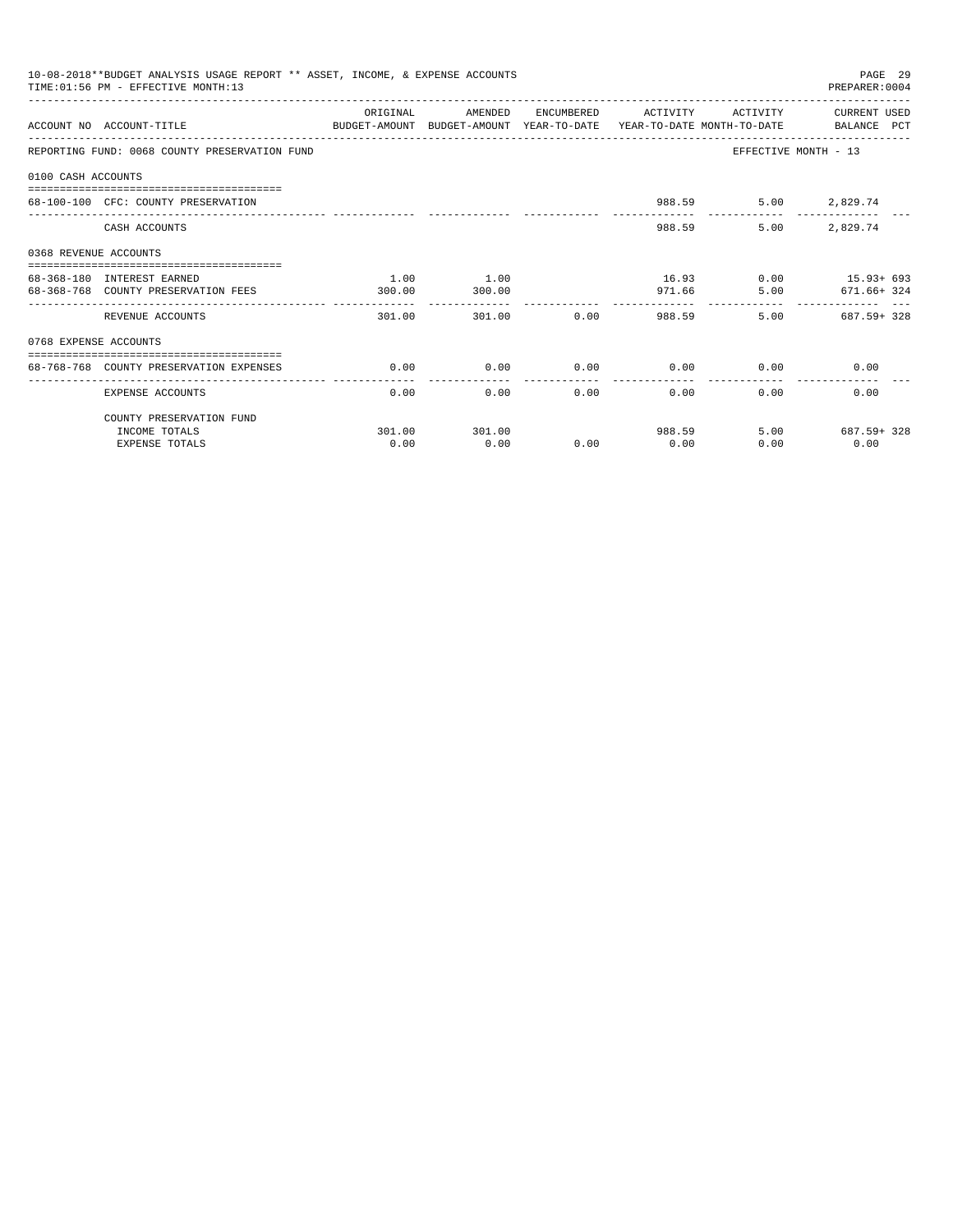|                       | 10-08-2018**BUDGET ANALYSIS USAGE REPORT ** ASSET, INCOME, & EXPENSE ACCOUNTS<br>TIME: 01:56 PM - EFFECTIVE MONTH:13 |          |                        |              |                              |                             | PAGE 29<br>PREPARER: 0004 |
|-----------------------|----------------------------------------------------------------------------------------------------------------------|----------|------------------------|--------------|------------------------------|-----------------------------|---------------------------|
|                       | ACCOUNT NO ACCOUNT-TITLE<br>BUDGET-AMOUNT BUDGET-AMOUNT YEAR-TO-DATE YEAR-TO-DATE MONTH-TO-DATE BALANCE PCT          | ORIGINAL | AMENDED                |              | ENCUMBERED ACTIVITY          | ACTIVITY                    | CURRENT USED              |
|                       | REPORTING FUND: 0068 COUNTY PRESERVATION FUND                                                                        |          |                        |              |                              | EFFECTIVE MONTH - 13        |                           |
| 0100 CASH ACCOUNTS    |                                                                                                                      |          |                        |              |                              |                             |                           |
|                       | 68-100-100 CFC: COUNTY PRESERVATION                                                                                  |          |                        |              |                              | 988.59                      | 5.00 2,829.74             |
|                       | CASH ACCOUNTS                                                                                                        |          |                        |              |                              | 5.00<br>988.59              | 2,829.74                  |
| 0368 REVENUE ACCOUNTS |                                                                                                                      |          |                        |              |                              |                             |                           |
|                       | 68-368-180 INTEREST EARNED                                                                                           | 1.00     | 1.00                   |              |                              |                             | 16.93 0.00 15.93+ 693     |
|                       | 68-368-768 COUNTY PRESERVATION FEES                                                                                  | 300.00   | 300.00                 |              |                              | 971.66                      | 5.00 671.66+324           |
|                       | REVENUE ACCOUNTS                                                                                                     | 301.00   | ------------<br>301.00 |              | -----------<br>$0.00$ 988.59 |                             | 5.00 687.59+328           |
| 0768 EXPENSE ACCOUNTS |                                                                                                                      |          |                        |              |                              |                             |                           |
|                       | 68-768-768 COUNTY PRESERVATION EXPENSES                                                                              | 0.00     | 0.00                   |              |                              | $0.00$ $0.00$ $0.00$ $0.00$ | 0.00                      |
|                       | EXPENSE ACCOUNTS                                                                                                     | 0.00     | 0.00                   | ------------ | . <i>.</i> .<br>0.00         | 0.00                        | 0.00<br>0.00              |
|                       | COUNTY PRESERVATION FUND                                                                                             |          |                        |              |                              |                             |                           |
|                       | INCOME TOTALS                                                                                                        |          | 301.00 301.00          |              |                              | 988.59                      | 5.00 687.59+328           |
|                       | <b>EXPENSE TOTALS</b>                                                                                                | 0.00     | 0.00                   | 0.00         | 0.00                         | 0.00                        | 0.00                      |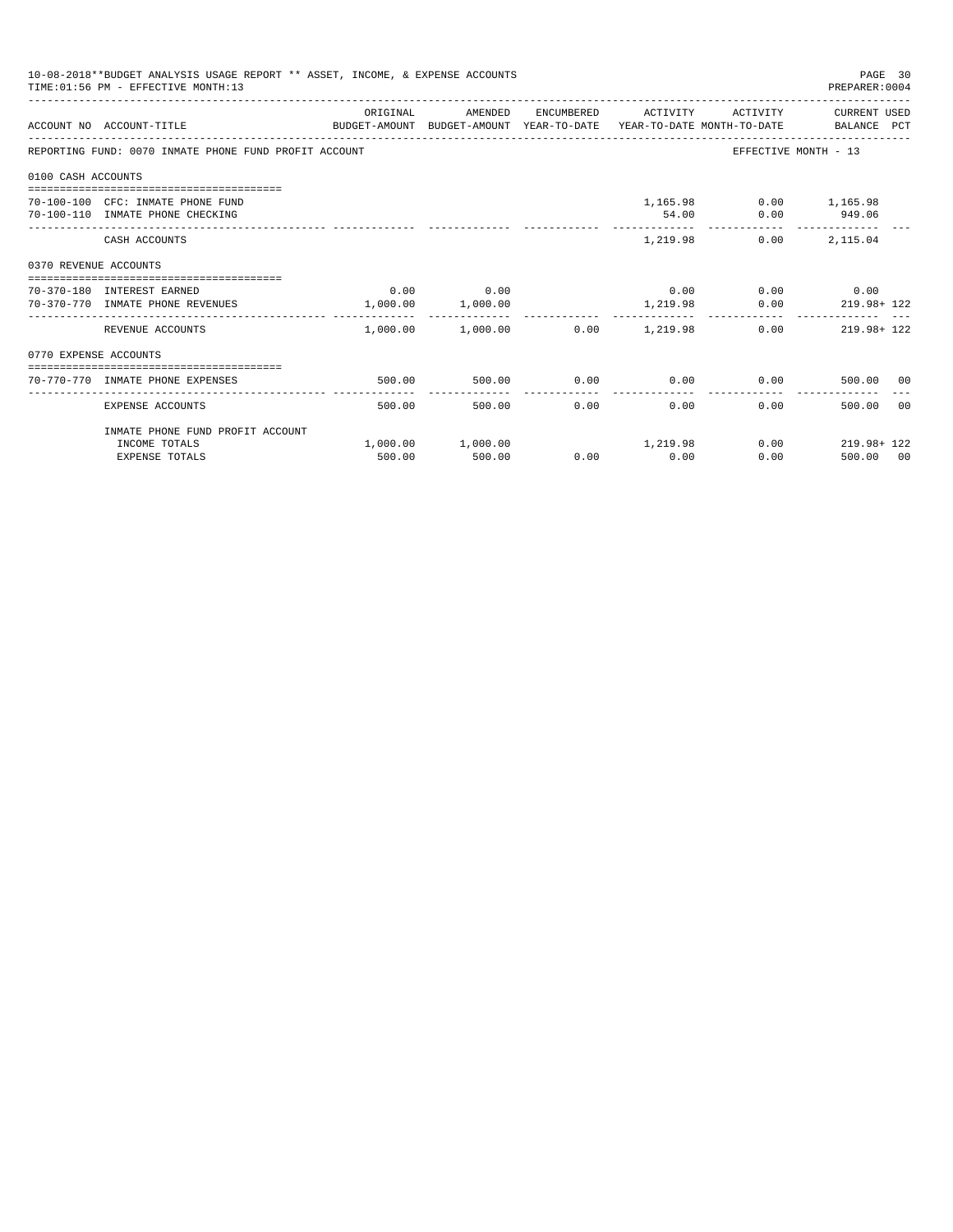|                       | 10-08-2018**BUDGET ANALYSIS USAGE REPORT ** ASSET, INCOME, & EXPENSE ACCOUNTS<br>PAGE 30<br>PREPARER: 0004<br>TIME: 01:56 PM - EFFECTIVE MONTH: 13 |          |                                            |      |                     |                                         |                                                               |  |  |  |  |
|-----------------------|----------------------------------------------------------------------------------------------------------------------------------------------------|----------|--------------------------------------------|------|---------------------|-----------------------------------------|---------------------------------------------------------------|--|--|--|--|
|                       | BUDGET-AMOUNT BUDGET-AMOUNT YEAR-TO-DATE YEAR-TO-DATE MONTH-TO-DATE BALANCE PCT<br>ACCOUNT NO ACCOUNT-TITLE                                        | ORIGINAL | AMENDED                                    |      | ENCUMBERED ACTIVITY |                                         | ACTIVITY CURRENT USED                                         |  |  |  |  |
|                       | REPORTING FUND: 0070 INMATE PHONE FUND PROFIT ACCOUNT                                                                                              |          |                                            |      |                     | EFFECTIVE MONTH - 13                    |                                                               |  |  |  |  |
| 0100 CASH ACCOUNTS    |                                                                                                                                                    |          |                                            |      |                     |                                         |                                                               |  |  |  |  |
|                       | 70-100-100 CFC: INMATE PHONE FUND<br>70-100-110 INMATE PHONE CHECKING                                                                              |          |                                            |      | 54.00               | 1,165.98 0.00 1,165.98<br>$0.00$ 949.06 |                                                               |  |  |  |  |
|                       | CASH ACCOUNTS                                                                                                                                      |          |                                            |      |                     | $1.219.98$ 0.00                         | 2,115.04                                                      |  |  |  |  |
| 0370 REVENUE ACCOUNTS |                                                                                                                                                    |          |                                            |      |                     |                                         |                                                               |  |  |  |  |
|                       | 70-370-180 INTEREST EARNED<br>70-370-770 INMATE PHONE REVENUES                                                                                     |          | $0.00$ 0.00<br>1,000.00 1,000.00           |      |                     | $0.00$ $0.00$ $0.00$ $0.00$             | 1,219.98 0.00 219.98+122                                      |  |  |  |  |
|                       | REVENUE ACCOUNTS                                                                                                                                   |          | ------------------------                   |      |                     |                                         | $1,000.00$ $1,000.00$ $0.00$ $1,219.98$ $0.00$ $219.98 + 122$ |  |  |  |  |
| 0770 EXPENSE ACCOUNTS |                                                                                                                                                    |          |                                            |      |                     |                                         |                                                               |  |  |  |  |
|                       | 70-770-770 INMATE PHONE EXPENSES                                                                                                                   | 500.00   | 500.00                                     |      |                     | $0.00$ $0.00$ $0.00$ $0.00$             | 500.00 00                                                     |  |  |  |  |
|                       | EXPENSE ACCOUNTS                                                                                                                                   | 500.00   | 500.00                                     | 0.00 | 0.00                | 0.00                                    | 500.00 00                                                     |  |  |  |  |
|                       | INMATE PHONE FUND PROFIT ACCOUNT                                                                                                                   |          |                                            |      |                     |                                         |                                                               |  |  |  |  |
|                       | INCOME TOTALS<br><b>EXPENSE TOTALS</b>                                                                                                             | 500.00   | $1,000.00$ $1,000.00$ $1,219.98$<br>500.00 | 0.00 | 0.00                | 0.00                                    | $0.00$ 219.98+ 122<br>500.00 00                               |  |  |  |  |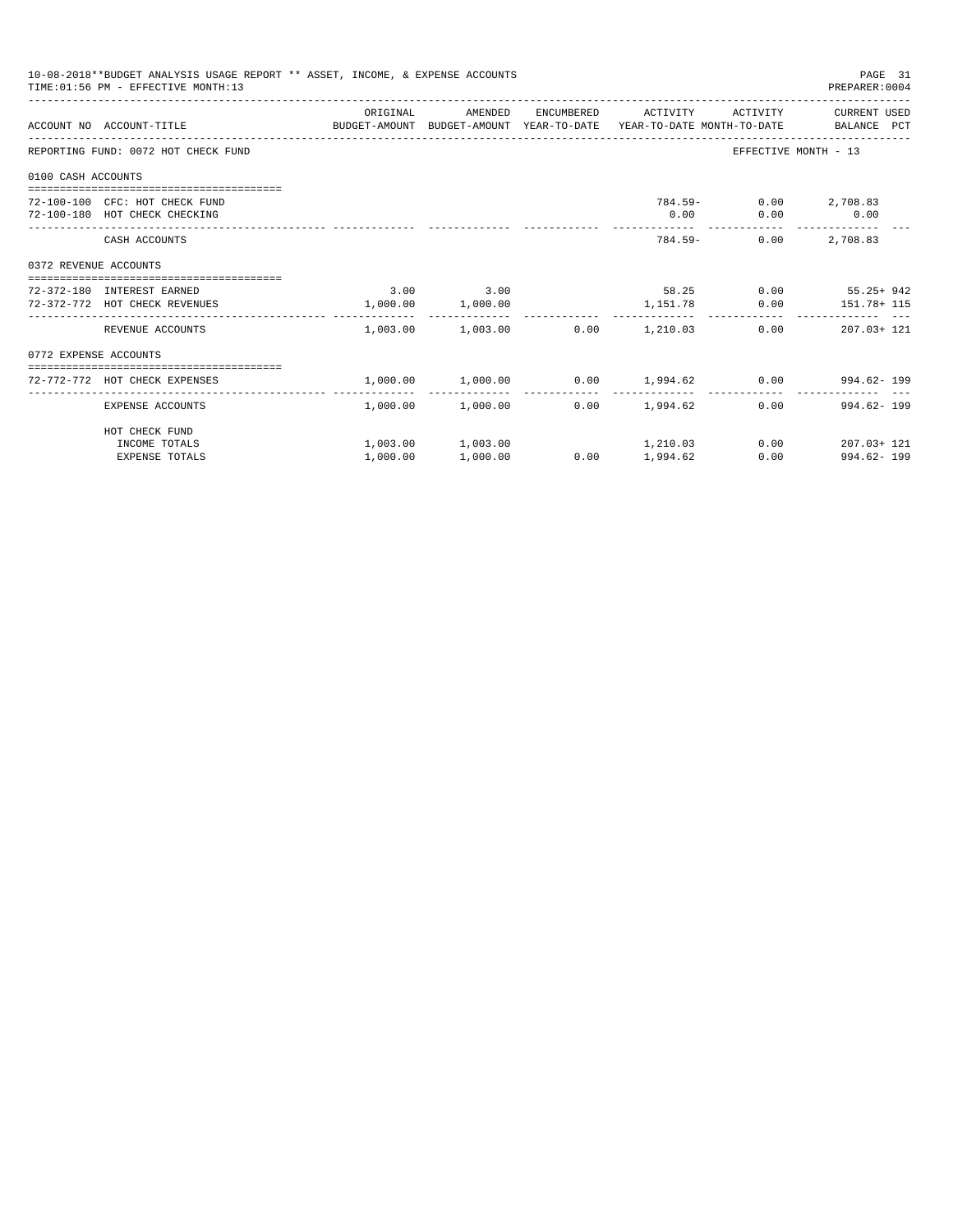|                       | 10-08-2018**BUDGET ANALYSIS USAGE REPORT ** ASSET, INCOME, & EXPENSE ACCOUNTS<br>TIME: 01:56 PM - EFFECTIVE MONTH: 13 |          |                                                          |                 |                                      | PAGE 31<br>PREPARER: 0004                                     |
|-----------------------|-----------------------------------------------------------------------------------------------------------------------|----------|----------------------------------------------------------|-----------------|--------------------------------------|---------------------------------------------------------------|
|                       | ACCOUNT NO ACCOUNT-TITLE CONTROL SUDGET-AMOUNT BUDGET-AMOUNT YEAR-TO-DATE YEAR-TO-DATE MONTH-TO-DATE BALANCE PCT      | ORIGINAL | AMENDED                                                  |                 |                                      | ENCUMBERED ACTIVITY ACTIVITY CURRENT USED                     |
|                       | REPORTING FUND: 0072 HOT CHECK FUND                                                                                   |          |                                                          |                 |                                      | EFFECTIVE MONTH - 13                                          |
| 0100 CASH ACCOUNTS    |                                                                                                                       |          |                                                          |                 |                                      |                                                               |
|                       | 72-100-100 CFC: HOT CHECK FUND<br>72-100-180 HOT CHECK CHECKING                                                       |          |                                                          | 0.00            | 784.59- 0.00 2,708.83<br>$0.00$ 0.00 |                                                               |
|                       | CASH ACCOUNTS                                                                                                         |          |                                                          |                 | $784.59 -$<br>0.00                   | 2,708.83                                                      |
| 0372 REVENUE ACCOUNTS |                                                                                                                       |          |                                                          |                 |                                      |                                                               |
|                       | 72-372-180 INTEREST EARNED<br>72-372-772 HOT CHECK REVENUES                                                           |          | $3.00$ $3.00$<br>1,000.00 1,000.00                       |                 |                                      | $58.25$ 0.00 $55.25 + 942$<br>1,151.78   0.00   151.78+ 115   |
|                       | REVENUE ACCOUNTS                                                                                                      | -------- | -------------<br>$1,003.00$ $1,003.00$ $0.00$ $1,210.03$ | ------------    |                                      | $0.00$ $207.03 + 121$                                         |
| 0772 EXPENSE ACCOUNTS |                                                                                                                       |          |                                                          |                 |                                      |                                                               |
|                       | 72-772-772 HOT CHECK EXPENSES                                                                                         |          |                                                          |                 |                                      | $1,000.00$ $1,000.00$ $0.00$ $1,994.62$ $0.00$ $994.62$ $199$ |
|                       | EXPENSE ACCOUNTS                                                                                                      |          | $1.000.00$ $1.000.00$ 0.00 $1.994.62$                    |                 |                                      | $0.00$ 994.62 - 199                                           |
|                       | HOT CHECK FUND                                                                                                        |          |                                                          |                 |                                      |                                                               |
|                       | INCOME TOTALS<br><b>EXPENSE TOTALS</b>                                                                                | 1,000.00 | $1,003.00$ $1,003.00$ $1,210.03$<br>1,000.00             | $0.00$ 1,994.62 |                                      | $0.00$ 207.03+121<br>$0.00$ 994.62-199                        |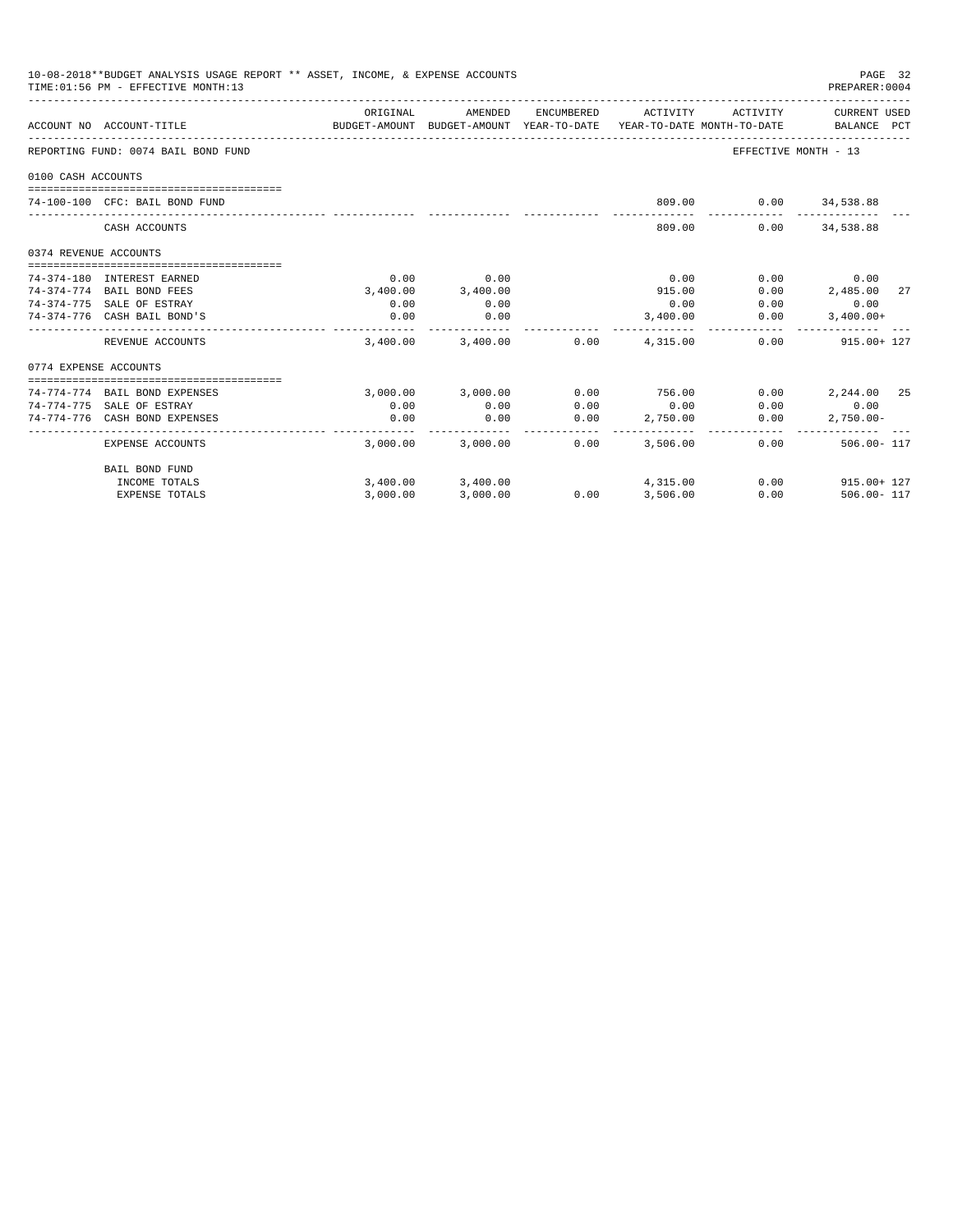|                       | 10-08-2018**BUDGET ANALYSIS USAGE REPORT ** ASSET, INCOME, & EXPENSE ACCOUNTS<br>TIME: 01:56 PM - EFFECTIVE MONTH: 13 |          |                                                     |                      |          |                                        | PAGE 32<br>PREPARER: 0004   |
|-----------------------|-----------------------------------------------------------------------------------------------------------------------|----------|-----------------------------------------------------|----------------------|----------|----------------------------------------|-----------------------------|
|                       | ACCOUNT NO ACCOUNT-TITLE                                                                                              | ORIGINAL | AMENDED<br>BUDGET-AMOUNT BUDGET-AMOUNT YEAR-TO-DATE | ENCUMBERED           | ACTIVITY | ACTIVITY<br>YEAR-TO-DATE MONTH-TO-DATE | CURRENT USED<br>BALANCE PCT |
|                       | REPORTING FUND: 0074 BAIL BOND FUND                                                                                   |          |                                                     |                      |          |                                        | EFFECTIVE MONTH - 13        |
| 0100 CASH ACCOUNTS    |                                                                                                                       |          |                                                     |                      |          |                                        |                             |
|                       | 74-100-100 CFC: BAIL BOND FUND                                                                                        |          |                                                     |                      |          | 809.00   0.00   34,538.88              |                             |
|                       | CASH ACCOUNTS                                                                                                         |          |                                                     |                      | 809.00   |                                        | $0.00$ $34,538.88$          |
| 0374 REVENUE ACCOUNTS |                                                                                                                       |          |                                                     |                      |          |                                        |                             |
|                       | 74-374-180 INTEREST EARNED                                                                                            | 0.00     | 0.00                                                |                      | 0.00     | 0.00                                   | 0.00                        |
|                       | 74-374-774 BAIL BOND FEES                                                                                             | 3,400.00 | 3,400.00                                            |                      | 915.00   | 0.00                                   | 2,485.00<br>27              |
|                       | 74-374-775 SALE OF ESTRAY                                                                                             | 0.00     | 0.00                                                |                      | 0.00     | 0.00                                   | 0.00                        |
|                       | 74-374-776 CASH BAIL BOND'S                                                                                           | 0.00     | 0.00                                                |                      | 3.400.00 | 0.00                                   | $3.400.00+$                 |
|                       | REVENUE ACCOUNTS                                                                                                      | 3.400.00 | 3,400.00                                            | 0.00                 | 4,315,00 |                                        | 915.00+ 127<br>0.00         |
| 0774 EXPENSE ACCOUNTS |                                                                                                                       |          |                                                     |                      |          |                                        |                             |
|                       | 74-774-774 BAIL BOND EXPENSES                                                                                         |          | 3,000.00 3,000.00                                   | 0.00                 | 756.00   | 0.00                                   | 2,244.00 25                 |
|                       | 74-774-775 SALE OF ESTRAY                                                                                             | 0.00     | 0.00                                                | 0.00                 | 0.00     |                                        | $0.00$ 0.00                 |
|                       | 74-774-776 CASH BOND EXPENSES                                                                                         | 0.00     | 0.00                                                | 0.00                 | 2,750.00 | 0.00                                   | $2.750.00 -$                |
|                       | <b>EXPENSE ACCOUNTS</b>                                                                                               |          | -----------<br>3,000.00 3,000.00                    | ------ -<br>$0.00 -$ | 3,506.00 | -----------                            | 0.00<br>$506.00 - 117$      |
|                       | BAIL BOND FUND                                                                                                        |          |                                                     |                      |          |                                        |                             |
|                       | INCOME TOTALS                                                                                                         |          | 3,400.00 3,400.00                                   |                      | 4,315.00 |                                        | $0.00$ 915.00+ 127          |
|                       | <b>EXPENSE TOTALS</b>                                                                                                 | 3.000.00 | 3,000.00                                            | 0.00                 | 3,506.00 | 0.00                                   | $506.00 - 117$              |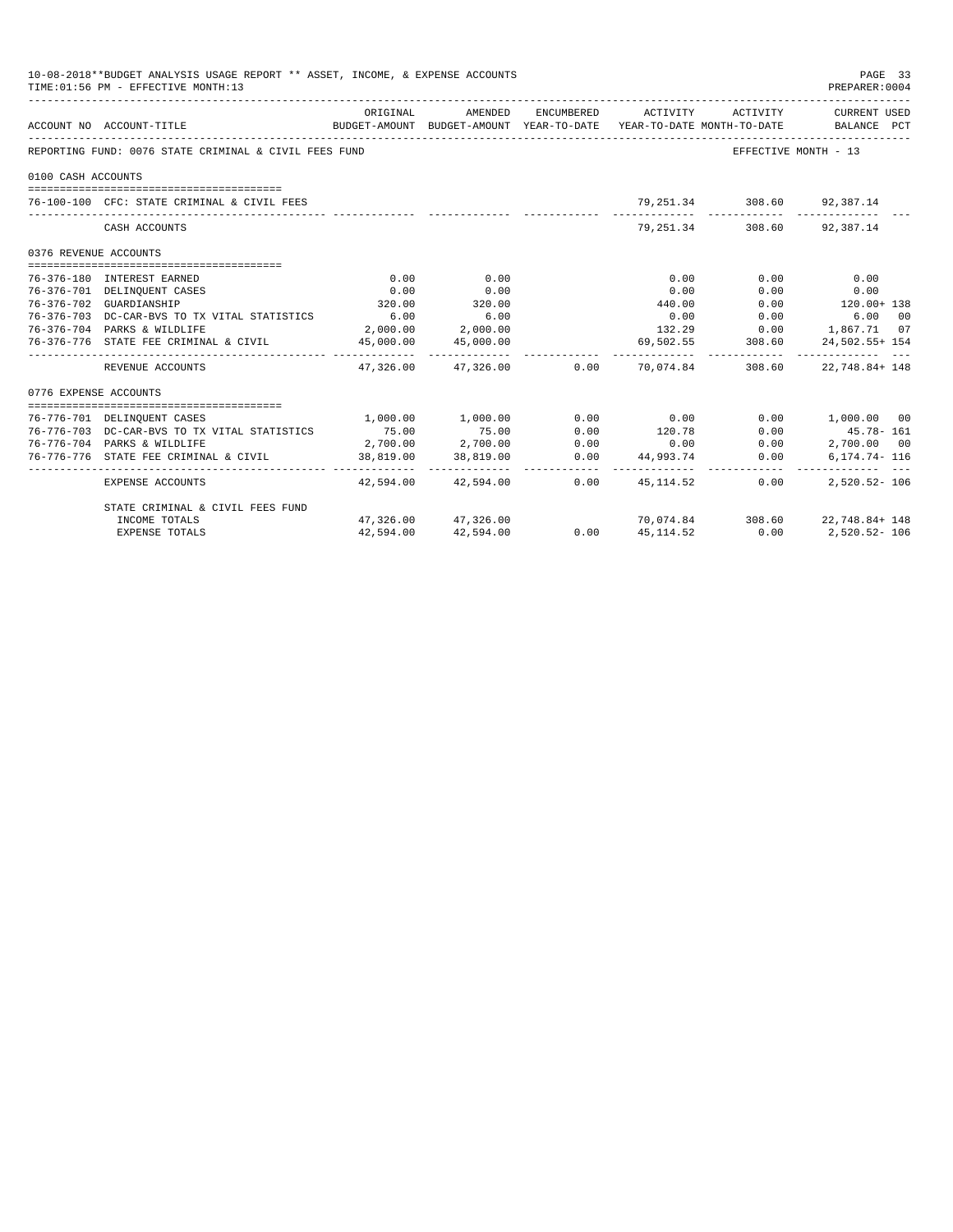| 10-08-2018**BUDGET ANALYSIS USAGE REPORT ** ASSET, INCOME, & EXPENSE ACCOUNTS<br>PAGE 33<br>TIME: 01:56 PM - EFFECTIVE MONTH: 13<br>PREPARER: 0004 |                                                       |           |                       |      |                                                     |                              |                                                                                                                              |  |  |
|----------------------------------------------------------------------------------------------------------------------------------------------------|-------------------------------------------------------|-----------|-----------------------|------|-----------------------------------------------------|------------------------------|------------------------------------------------------------------------------------------------------------------------------|--|--|
|                                                                                                                                                    | ACCOUNT NO ACCOUNT-TITLE                              | ORIGINAL  | AMENDED               |      |                                                     |                              | ENCUMBERED ACTIVITY ACTIVITY CURRENT USED<br>BUDGET-AMOUNT BUDGET-AMOUNT YEAR-TO-DATE YEAR-TO-DATE MONTH-TO-DATE BALANCE PCT |  |  |
|                                                                                                                                                    | REPORTING FUND: 0076 STATE CRIMINAL & CIVIL FEES FUND |           |                       |      |                                                     |                              | EFFECTIVE MONTH - 13                                                                                                         |  |  |
| 0100 CASH ACCOUNTS                                                                                                                                 |                                                       |           |                       |      |                                                     |                              |                                                                                                                              |  |  |
|                                                                                                                                                    | 76-100-100 CFC: STATE CRIMINAL & CIVIL FEES           |           |                       |      |                                                     | 79, 251.34 308.60 92, 387.14 |                                                                                                                              |  |  |
|                                                                                                                                                    | CASH ACCOUNTS                                         |           |                       |      |                                                     | 79, 251.34 308.60 92, 387.14 |                                                                                                                              |  |  |
| 0376 REVENUE ACCOUNTS                                                                                                                              |                                                       |           |                       |      |                                                     |                              |                                                                                                                              |  |  |
|                                                                                                                                                    | 76-376-180 INTEREST EARNED                            | 0.00      | 0.00                  |      | 0.00                                                | 0.00                         | 0.00                                                                                                                         |  |  |
|                                                                                                                                                    |                                                       | 0.00      | 0.00                  |      | 0.00                                                | 0.00                         | 0.00                                                                                                                         |  |  |
| 76-376-701 DELINQUENT CASES                                                                                                                        |                                                       | 320.00    | 320.00                |      | 440.00                                              |                              | $0.00$ 120.00+ 138                                                                                                           |  |  |
| 76-376-702 GUARDIANSHIP                                                                                                                            | 76-376-703 DC-CAR-BVS TO TX VITAL STATISTICS          | 6.00      | 6.00                  |      |                                                     | $0.00$ 0.00                  | 6.00 00                                                                                                                      |  |  |
|                                                                                                                                                    | 76-376-704 PARKS & WILDLIFE                           |           | 2,000.00 2,000.00     |      |                                                     |                              | 132.29 0.00 1,867.71 07                                                                                                      |  |  |
|                                                                                                                                                    | 76-376-776 STATE FEE CRIMINAL & CIVIL                 |           | 45,000.00 45,000.00   |      |                                                     | 69, 502. 55 308. 60          | 24,502.55+ 154                                                                                                               |  |  |
|                                                                                                                                                    | REVENUE ACCOUNTS                                      |           |                       |      | $47,326.00$ $47,326.00$ $0.00$ $70,074.84$ $308.60$ |                              | 22,748.84+148                                                                                                                |  |  |
| 0776 EXPENSE ACCOUNTS                                                                                                                              |                                                       |           |                       |      |                                                     |                              |                                                                                                                              |  |  |
|                                                                                                                                                    | 76-776-701 DELINQUENT CASES                           |           | 1,000.00 1,000.00     |      | $0.00$ 0.00                                         |                              | $0.00$ 1,000.00 00                                                                                                           |  |  |
|                                                                                                                                                    | 76-776-703 DC-CAR-BVS TO TX VITAL STATISTICS          | 75.00     | 75.00                 | 0.00 | 120.78                                              | 0.00                         | 45.78- 161                                                                                                                   |  |  |
|                                                                                                                                                    | 76-776-704 PARKS & WILDLIFE                           |           | $2,700.00$ $2,700.00$ | 0.00 |                                                     | 0.00                         | 2,700.00 00                                                                                                                  |  |  |
|                                                                                                                                                    | 76-776-776 STATE FEE CRIMINAL & CIVIL                 |           | 38,819.00 38,819.00   |      | $0.00$<br>0.00 $44,993.74$                          | 0.00                         | 6,174.74- 116                                                                                                                |  |  |
|                                                                                                                                                    | EXPENSE ACCOUNTS                                      |           | 42,594.00 42,594.00   | 0.00 | 45, 114, 52                                         | 0.00                         | 2,520.52-106                                                                                                                 |  |  |
|                                                                                                                                                    | STATE CRIMINAL & CIVIL FEES FUND                      |           |                       |      |                                                     |                              |                                                                                                                              |  |  |
|                                                                                                                                                    | INCOME TOTALS                                         |           | 47.326.00 47.326.00   | 0.00 |                                                     |                              | 70,074.84 308.60 22,748.84+ 148                                                                                              |  |  |
|                                                                                                                                                    | <b>EXPENSE TOTALS</b>                                 | 42,594.00 | 42,594.00             | 0.00 | 45, 114.52                                          |                              | $0.00$ $2,520.52 - 106$                                                                                                      |  |  |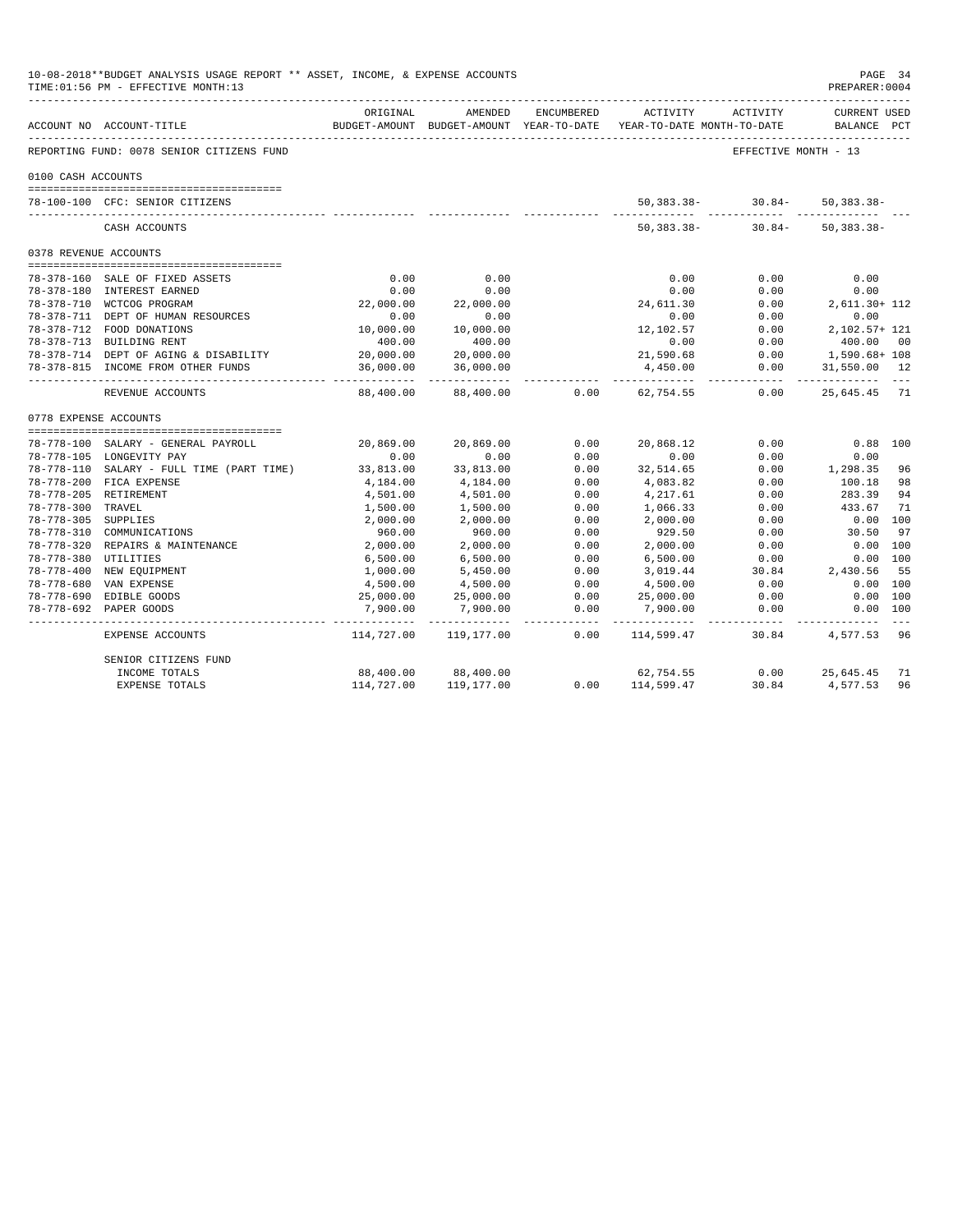|                       | 10-08-2018**BUDGET ANALYSIS USAGE REPORT ** ASSET, INCOME, & EXPENSE ACCOUNTS<br>TIME: 01:56 PM - EFFECTIVE MONTH: 13 |                        |                                      |                 |                                                                                 |                      | PAGE 34<br>PREPARER: 0004          |         |
|-----------------------|-----------------------------------------------------------------------------------------------------------------------|------------------------|--------------------------------------|-----------------|---------------------------------------------------------------------------------|----------------------|------------------------------------|---------|
|                       | ---------------------------<br>ACCOUNT NO ACCOUNT-TITLE                                                               | ORIGINAL               | AMENDED                              | ENCUMBERED      | ACTIVITY<br>BUDGET-AMOUNT BUDGET-AMOUNT YEAR-TO-DATE YEAR-TO-DATE MONTH-TO-DATE | ACTIVITY             | <b>CURRENT USED</b><br>BALANCE PCT |         |
|                       | REPORTING FUND: 0078 SENIOR CITIZENS FUND                                                                             |                        |                                      |                 |                                                                                 | EFFECTIVE MONTH - 13 |                                    |         |
| 0100 CASH ACCOUNTS    |                                                                                                                       |                        |                                      |                 |                                                                                 |                      |                                    |         |
|                       |                                                                                                                       |                        |                                      |                 |                                                                                 |                      |                                    |         |
|                       | 78-100-100 CFC: SENIOR CITIZENS                                                                                       |                        |                                      |                 | $50,383.38-$                                                                    | $30.84 -$            | $50, 383.38 -$                     |         |
|                       | CASH ACCOUNTS                                                                                                         |                        |                                      |                 | $50, 383.38 -$                                                                  | $30.84-$             | $50, 383.38 -$                     |         |
| 0378 REVENUE ACCOUNTS |                                                                                                                       |                        |                                      |                 |                                                                                 |                      |                                    |         |
|                       |                                                                                                                       |                        |                                      |                 |                                                                                 |                      |                                    |         |
|                       | 78-378-160 SALE OF FIXED ASSETS                                                                                       | 0.00                   | 0.00                                 |                 | 0.00                                                                            | 0.00                 | 0.00                               |         |
|                       | 78-378-180 INTEREST EARNED                                                                                            | 0.00                   | 0.00                                 |                 | 0.00                                                                            | 0.00                 | 0.00                               |         |
|                       | 78-378-710 WCTCOG PROGRAM                                                                                             | 22,000.00              | 22,000.00                            |                 | 24,611.30                                                                       | 0.00                 | 2,611.30+ 112                      |         |
|                       | 78-378-711 DEPT OF HUMAN RESOURCES                                                                                    | 0.00                   | 0.00                                 |                 | 0.00                                                                            | 0.00                 | 0.00                               |         |
|                       | 78-378-712 FOOD DONATIONS                                                                                             | 10,000.00              | 10,000.00                            |                 | 12,102.57                                                                       | 0.00                 | 2,102.57+ 121                      |         |
|                       | 78-378-713 BUILDING RENT                                                                                              | 400.00                 | 400.00                               |                 | 0.00                                                                            | 0.00                 | 400.00                             | 00      |
|                       | 78-378-714 DEPT OF AGING & DISABILITY                                                                                 | 20,000.00              | 20,000.00                            |                 | 21,590.68                                                                       | 0.00                 | 1,590.68+ 108                      |         |
|                       | 78-378-815 INCOME FROM OTHER FUNDS                                                                                    | 36,000.00<br>--------- | 36,000.00<br>. _ _ _ _ _ _ _ _ _ _ _ |                 | 4,450.00                                                                        | 0.00                 | 31,550.00 12                       |         |
|                       | REVENUE ACCOUNTS                                                                                                      | 88,400.00              | 88,400.00                            | 0.00            | 62,754.55                                                                       | 0.00                 | 25,645.45 71                       |         |
| 0778 EXPENSE ACCOUNTS |                                                                                                                       |                        |                                      |                 |                                                                                 |                      |                                    |         |
|                       |                                                                                                                       |                        |                                      |                 |                                                                                 |                      |                                    |         |
|                       | 78-778-100 SALARY - GENERAL PAYROLL                                                                                   | 20,869.00              | 20,869.00                            | 0.00            | 20,868.12                                                                       | 0.00                 | $0.88$ 100                         |         |
|                       | 78-778-105 LONGEVITY PAY                                                                                              | 0.00                   | 0.00                                 | 0.00            | 0.00                                                                            | 0.00                 | 0.00                               |         |
|                       | 78-778-110 SALARY - FULL TIME (PART TIME)                                                                             | 33,813.00              | 33,813.00                            | 0.00            | 32,514.65                                                                       | 0.00                 | 1,298.35 96                        |         |
|                       | 78-778-200 FICA EXPENSE                                                                                               | 4,184.00               | 4,184.00                             | 0.00            | 4,083.82                                                                        | 0.00                 | 100.18                             | 98      |
|                       | 78-778-205 RETIREMENT                                                                                                 | 4,501.00               | 4,501.00                             | 0.00            | 4,217.61                                                                        | 0.00                 | 283.39                             | 94      |
| 78-778-300 TRAVEL     |                                                                                                                       | 1,500.00               | 1,500.00                             | 0.00            | 1,066.33                                                                        | 0.00                 | 433.67                             | 71      |
| 78-778-305 SUPPLIES   |                                                                                                                       | 2,000.00               | 2,000.00                             | 0.00            | 2,000.00                                                                        | 0.00                 | $0.00$ 100                         |         |
|                       | 78-778-310 COMMUNICATIONS                                                                                             | 960.00                 | 960.00                               | 0.00            | 929.50                                                                          | 0.00                 | 30.50                              | 97      |
|                       | 78-778-320 REPAIRS & MAINTENANCE                                                                                      | 2,000.00               | 2,000.00                             | 0.00            | 2,000.00                                                                        | 0.00                 | $0.00$ 100                         |         |
| 78-778-380 UTILITIES  |                                                                                                                       | 6,500.00               | 6,500.00                             | 0.00            | 6,500.00                                                                        | 0.00                 | 0.00 100                           |         |
|                       | 78-778-400 NEW EQUIPMENT                                                                                              | 1,000.00               | 5,450.00                             | 0.00            | 3,019.44                                                                        | 30.84                | 2,430.56                           | 55      |
|                       | 78-778-680 VAN EXPENSE                                                                                                | 4,500.00               | 4,500.00                             | 0.00            | 4,500.00                                                                        | 0.00                 | 0.00 100                           |         |
|                       | 78-778-690 EDIBLE GOODS                                                                                               | 25,000.00              | 25,000.00                            | 0.00            | 25,000.00                                                                       | 0.00                 | 0.00 100                           |         |
|                       | 78-778-692 PAPER GOODS                                                                                                | 7,900.00               | 7,900.00<br>------------             | 0.00<br>------- | 7,900.00                                                                        | 0.00<br>------------ | 0.00 100                           | $- - -$ |
|                       | EXPENSE ACCOUNTS                                                                                                      | 114,727.00             | 119,177.00                           | 0.00            | .<br>114,599.47                                                                 | 30.84                | 4,577.53                           | -96     |
|                       | SENIOR CITIZENS FUND                                                                                                  |                        |                                      |                 |                                                                                 |                      |                                    |         |
|                       | INCOME TOTALS                                                                                                         | 88,400.00              | 88,400.00                            |                 | 62,754.55                                                                       | $0.00 -$             | 25,645.45                          | 71      |
|                       | <b>EXPENSE TOTALS</b>                                                                                                 | 114,727.00             | 119,177.00                           | 0.00            | 114,599.47                                                                      | 30.84                | 4,577.53                           | 96      |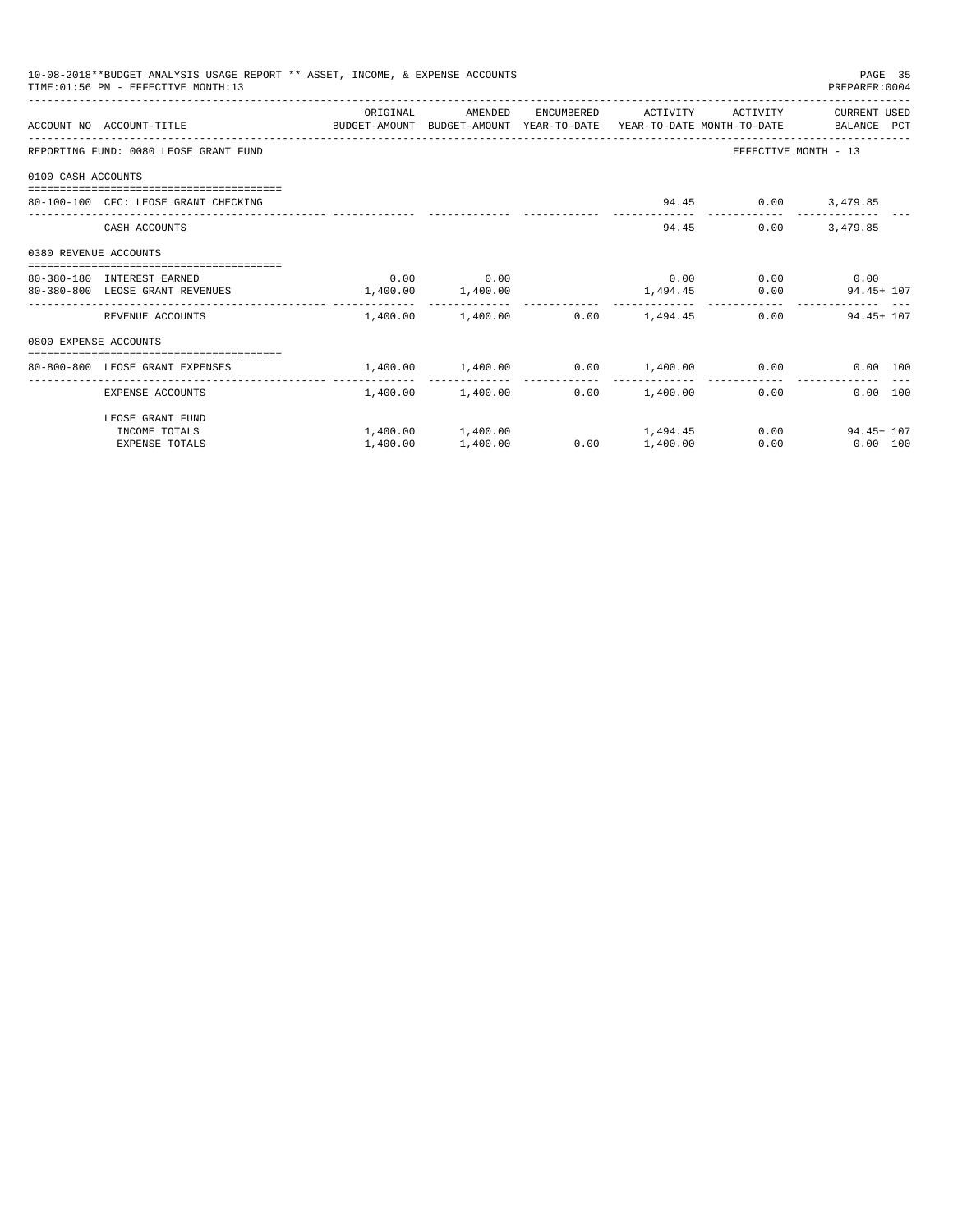|                       | 10-08-2018**BUDGET ANALYSIS USAGE REPORT ** ASSET, INCOME, & EXPENSE ACCOUNTS<br>TIME: 01:56 PM - EFFECTIVE MONTH:13 |                       |                                  |      |                     |                             | PAGE 35<br>PREPARER: 0004                                          |
|-----------------------|----------------------------------------------------------------------------------------------------------------------|-----------------------|----------------------------------|------|---------------------|-----------------------------|--------------------------------------------------------------------|
|                       | ACCOUNT NO ACCOUNT-TITLE CONTROL SUDGET-AMOUNT BUDGET-AMOUNT YEAR-TO-DATE YEAR-TO-DATE MONTH-TO-DATE BALANCE PCT     | ORIGINAL              | AMENDED                          |      | ENCUMBERED ACTIVITY | ACTIVITY                    | CURRENT USED                                                       |
|                       | REPORTING FUND: 0080 LEOSE GRANT FUND                                                                                |                       |                                  |      |                     | EFFECTIVE MONTH - 13        |                                                                    |
| 0100 CASH ACCOUNTS    |                                                                                                                      |                       |                                  |      |                     |                             |                                                                    |
|                       | 80-100-100 CFC: LEOSE GRANT CHECKING                                                                                 |                       |                                  |      |                     | 94.45 0.00 3,479.85         |                                                                    |
|                       | CASH ACCOUNTS                                                                                                        |                       |                                  |      |                     | 94.45<br>0.00               | 3,479.85                                                           |
| 0380 REVENUE ACCOUNTS |                                                                                                                      |                       |                                  |      |                     |                             |                                                                    |
|                       | 80-380-180 INTEREST EARNED                                                                                           |                       | $0.00$ 0.00                      |      |                     | $0.00$ $0.00$ $0.00$ $0.00$ |                                                                    |
|                       | 80-380-800 LEOSE GRANT REVENUES                                                                                      | $1,400.00$ $1,400.00$ |                                  |      |                     | 1,494.45 0.00               | $94.45 + 107$                                                      |
|                       | REVENUE ACCOUNTS                                                                                                     |                       | 1,400.00 1,400.00                |      | $0.00$ 1,494.45     |                             | $0.00$ 94.45+ 107                                                  |
| 0800 EXPENSE ACCOUNTS |                                                                                                                      |                       |                                  |      |                     |                             |                                                                    |
|                       | -----------------------------------<br>80-800-800 LEOSE GRANT EXPENSES                                               |                       |                                  |      |                     |                             | $1,400.00$ $1,400.00$ $0.00$ $1,400.00$ $0.00$ $0.00$ $0.00$ $100$ |
|                       | _______________________                                                                                              | .                     |                                  |      | .                   |                             |                                                                    |
|                       | EXPENSE ACCOUNTS                                                                                                     |                       | 1,400.00 1,400.00                |      | $0.00$ 1,400.00     | 0.00                        | 0.00 100                                                           |
|                       | LEOSE GRANT FUND                                                                                                     |                       |                                  |      |                     |                             |                                                                    |
|                       | INCOME TOTALS                                                                                                        |                       | $1,400.00$ $1,400.00$ $1,494.45$ |      |                     |                             | $0.00$ 94.45+ 107                                                  |
|                       | <b>EXPENSE TOTALS</b>                                                                                                | 1,400.00              | 1,400.00                         | 0.00 | 1,400.00            | 0.00                        | $0.00$ 100                                                         |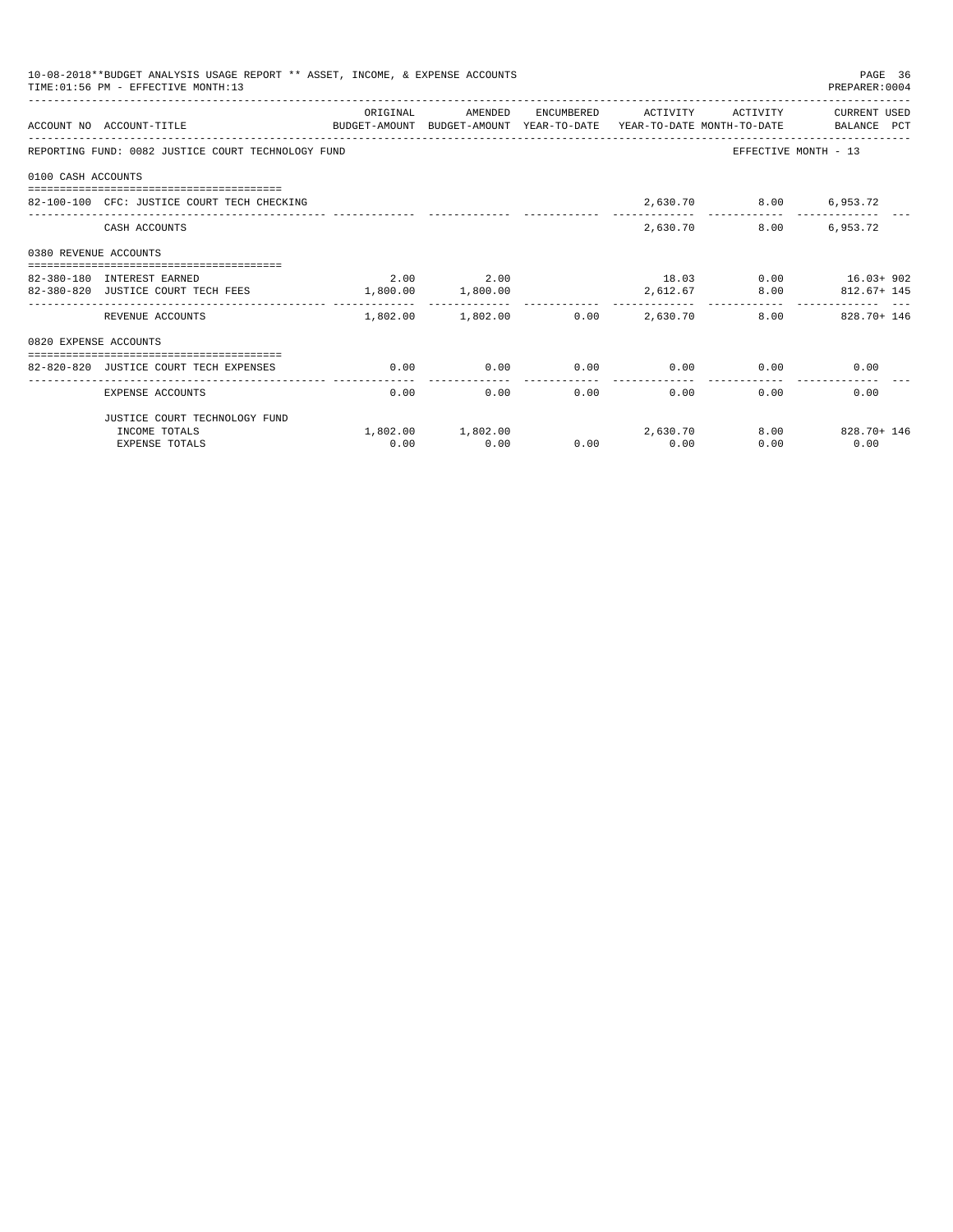| 10-08-2018**BUDGET ANALYSIS USAGE REPORT ** ASSET, INCOME, & EXPENSE ACCOUNTS<br>PAGE 36<br>TIME: 01:56 PM - EFFECTIVE MONTH: 13<br>PREPARER: 0004 |                                                                                                                   |                   |                                         |      |                   |                                                  |                                           |  |
|----------------------------------------------------------------------------------------------------------------------------------------------------|-------------------------------------------------------------------------------------------------------------------|-------------------|-----------------------------------------|------|-------------------|--------------------------------------------------|-------------------------------------------|--|
|                                                                                                                                                    | ACCOUNT NO ACCOUNT-TITLE CONTROL PROTECT-AMOUNT BUDGET-AMOUNT YEAR-TO-DATE YEAR-TO-DATE MONTH-TO-DATE BALANCE PCT | ORIGINAL          | AMENDED                                 |      |                   |                                                  | ENCUMBERED ACTIVITY ACTIVITY CURRENT USED |  |
|                                                                                                                                                    | REPORTING FUND: 0082 JUSTICE COURT TECHNOLOGY FUND                                                                |                   |                                         |      |                   |                                                  | EFFECTIVE MONTH - 13                      |  |
| 0100 CASH ACCOUNTS                                                                                                                                 |                                                                                                                   |                   |                                         |      |                   |                                                  |                                           |  |
|                                                                                                                                                    | 82-100-100 CFC: JUSTICE COURT TECH CHECKING                                                                       |                   |                                         |      |                   | 2,630.70 8.00 6,953.72                           |                                           |  |
|                                                                                                                                                    | CASH ACCOUNTS                                                                                                     |                   |                                         |      |                   | 2,630.70                                         | 8.00 6,953.72                             |  |
| 0380 REVENUE ACCOUNTS                                                                                                                              |                                                                                                                   |                   |                                         |      |                   |                                                  |                                           |  |
|                                                                                                                                                    |                                                                                                                   |                   |                                         |      |                   |                                                  |                                           |  |
|                                                                                                                                                    | 82-380-180 INTEREST EARNED                                                                                        |                   | 2.00 2.00                               |      |                   |                                                  | 18.03 0.00 16.03+ 902                     |  |
|                                                                                                                                                    | 82-380-820 JUSTICE COURT TECH FEES                                                                                | 1,800.00 1,800.00 |                                         |      |                   |                                                  | 2,612.67 8.00 812.67+ 145                 |  |
|                                                                                                                                                    | REVENUE ACCOUNTS                                                                                                  |                   | $1,802.00$ $1,802.00$ $0.00$ $2,630.70$ |      |                   |                                                  | 8.00 828.70 + 146                         |  |
| 0820 EXPENSE ACCOUNTS                                                                                                                              |                                                                                                                   |                   |                                         |      |                   |                                                  |                                           |  |
|                                                                                                                                                    |                                                                                                                   |                   |                                         |      |                   |                                                  |                                           |  |
|                                                                                                                                                    | 82-820-820 JUSTICE COURT TECH EXPENSES                                                                            | 0.00              |                                         |      |                   | $0.00$ $0.00$ $0.00$ $0.00$ $0.00$ $0.00$ $0.00$ |                                           |  |
|                                                                                                                                                    | EXPENSE ACCOUNTS                                                                                                  | 0.00              |                                         | 0.00 | $0.00$ and $0.00$ | 0.00                                             | 0.00<br>0.00                              |  |
|                                                                                                                                                    | JUSTICE COURT TECHNOLOGY FUND                                                                                     |                   |                                         |      |                   |                                                  |                                           |  |
|                                                                                                                                                    | INCOME TOTALS                                                                                                     |                   | $1,802.00$ $1,802.00$ $2,630.70$        |      |                   |                                                  | 8.00 828.70+146                           |  |
|                                                                                                                                                    | <b>EXPENSE TOTALS</b>                                                                                             | 0.00              | 0.00                                    |      | $0.00$ 0.00       | 0.00                                             | 0.00                                      |  |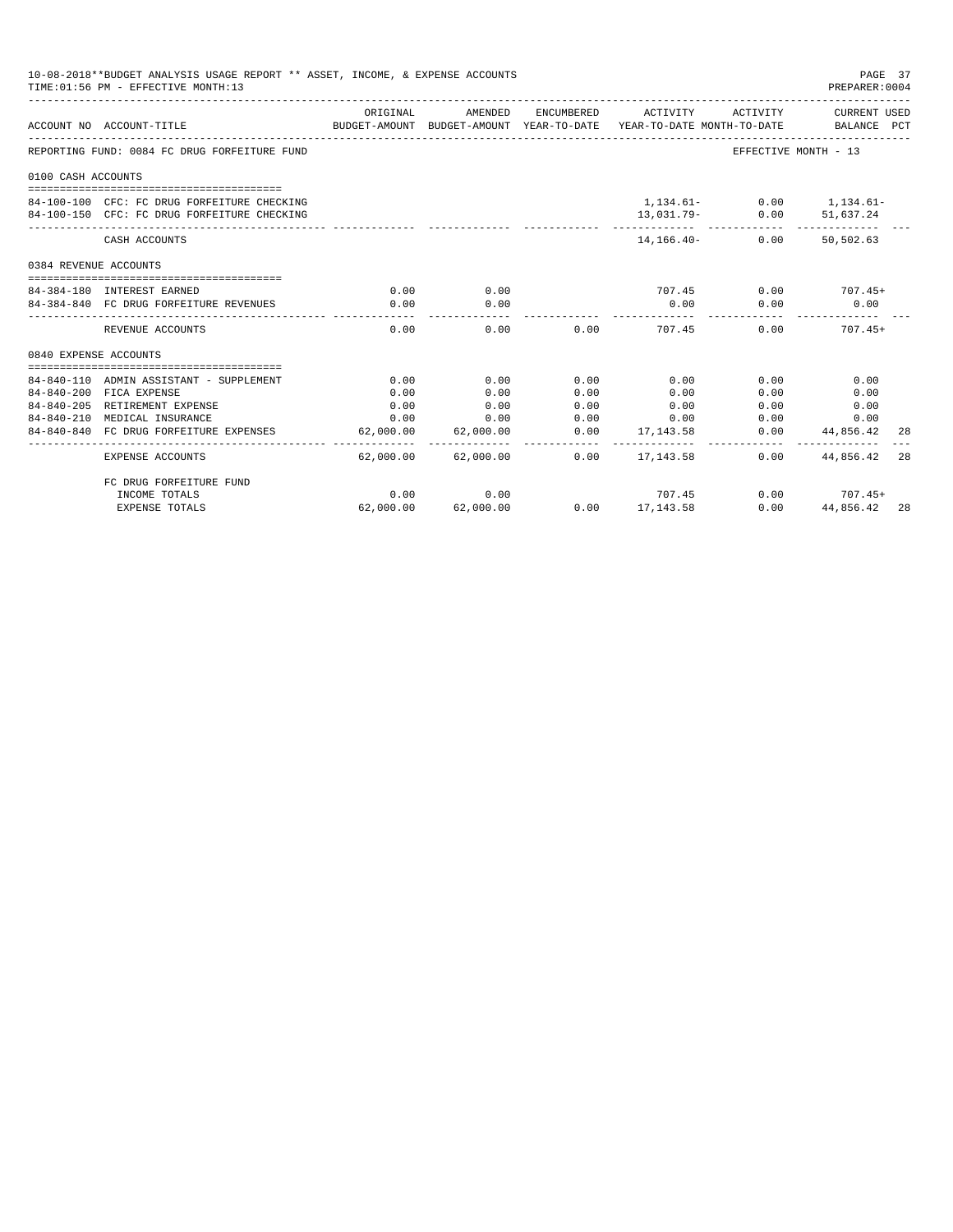| 10-08-2018**BUDGET ANALYSIS USAGE REPORT ** ASSET, INCOME, & EXPENSE ACCOUNTS<br>TIME: 01:56 PM - EFFECTIVE MONTH: 13<br>PREPARER: 0004 |                                                                                            |                |                       |            |                                                                                                        |                      |                                         |     |
|-----------------------------------------------------------------------------------------------------------------------------------------|--------------------------------------------------------------------------------------------|----------------|-----------------------|------------|--------------------------------------------------------------------------------------------------------|----------------------|-----------------------------------------|-----|
|                                                                                                                                         | ACCOUNT NO ACCOUNT-TITLE                                                                   | ORIGINAL       | AMENDED               |            | ENCUMBERED ACTIVITY<br>BUDGET-AMOUNT BUDGET-AMOUNT YEAR-TO-DATE YEAR-TO-DATE MONTH-TO-DATE BALANCE PCT | ACTIVITY             | CURRENT USED                            |     |
|                                                                                                                                         | REPORTING FUND: 0084 FC DRUG FORFEITURE FUND                                               |                |                       |            |                                                                                                        | EFFECTIVE MONTH - 13 |                                         |     |
| 0100 CASH ACCOUNTS                                                                                                                      |                                                                                            |                |                       |            |                                                                                                        |                      |                                         |     |
|                                                                                                                                         | 84-100-100 CFC: FC DRUG FORFEITURE CHECKING<br>84-100-150 CFC: FC DRUG FORFEITURE CHECKING |                |                       |            |                                                                                                        | $13,031.79-$ 0.00    | $1,134.61-$ 0.00 1,134.61-<br>51,637.24 |     |
|                                                                                                                                         | CASH ACCOUNTS                                                                              |                |                       |            | 14, 166. 40 -                                                                                          | 0.00                 | 50,502.63                               |     |
| 0384 REVENUE ACCOUNTS                                                                                                                   |                                                                                            |                |                       |            |                                                                                                        |                      |                                         |     |
|                                                                                                                                         | 84-384-180 INTEREST EARNED                                                                 | 0.00           | 0.00                  |            | 707.45                                                                                                 |                      | $0.00$ $707.45+$                        |     |
|                                                                                                                                         | 84-384-840 FC DRUG FORFEITURE REVENUES                                                     | 0.00           | 0.00<br>------------- |            | 0.00<br>___________                                                                                    | 0.00                 | 0.00                                    |     |
|                                                                                                                                         | REVENUE ACCOUNTS                                                                           | 0.00           | 0.00                  |            | 0.00<br>707.45                                                                                         | 0.00                 | $707.45+$                               |     |
| 0840 EXPENSE ACCOUNTS                                                                                                                   |                                                                                            |                |                       |            |                                                                                                        |                      |                                         |     |
|                                                                                                                                         | 84-840-110 ADMIN ASSISTANT - SUPPLEMENT                                                    | 0.00           | 0.00                  | 0.00       | 0.00                                                                                                   | 0.00                 | 0.00                                    |     |
|                                                                                                                                         | 84-840-200 FICA EXPENSE                                                                    | 0.00           | 0.00                  | 0.00       | 0.00                                                                                                   | 0.00                 | 0.00                                    |     |
|                                                                                                                                         | 84-840-205 RETIREMENT EXPENSE                                                              | 0.00           | 0.00                  | 0.00       | 0.00                                                                                                   | 0.00                 | 0.00                                    |     |
|                                                                                                                                         | 84-840-210 MEDICAL INSURANCE                                                               | 0.00           | 0.00                  | 0.00       | 0.00                                                                                                   | 0.00                 | 0.00                                    |     |
|                                                                                                                                         | 84-840-840 FC DRUG FORFEITURE EXPENSES                                                     | 62,000.00      | 62,000.00             | 0.00       | 17, 143, 58                                                                                            | 0.00                 | 44,856.42                               | 28  |
|                                                                                                                                         | <b>EXPENSE ACCOUNTS</b>                                                                    | .<br>62,000.00 | .<br>62,000.00        | . <u>.</u> | ------------<br>$0.00$ 17,143.58                                                                       | 0.00                 | 44,856.42                               | 28  |
|                                                                                                                                         | FC DRUG FORFEITURE FUND                                                                    |                |                       |            |                                                                                                        |                      |                                         |     |
|                                                                                                                                         | INCOME TOTALS                                                                              | 0.00           | 0.00                  |            | 707.45                                                                                                 |                      | $0.00$ $707.45+$                        |     |
|                                                                                                                                         | <b>EXPENSE TOTALS</b>                                                                      | 62,000.00      | 62,000.00             |            | $0.00$ 17,143.58                                                                                       | 0.00                 | 44,856.42                               | -28 |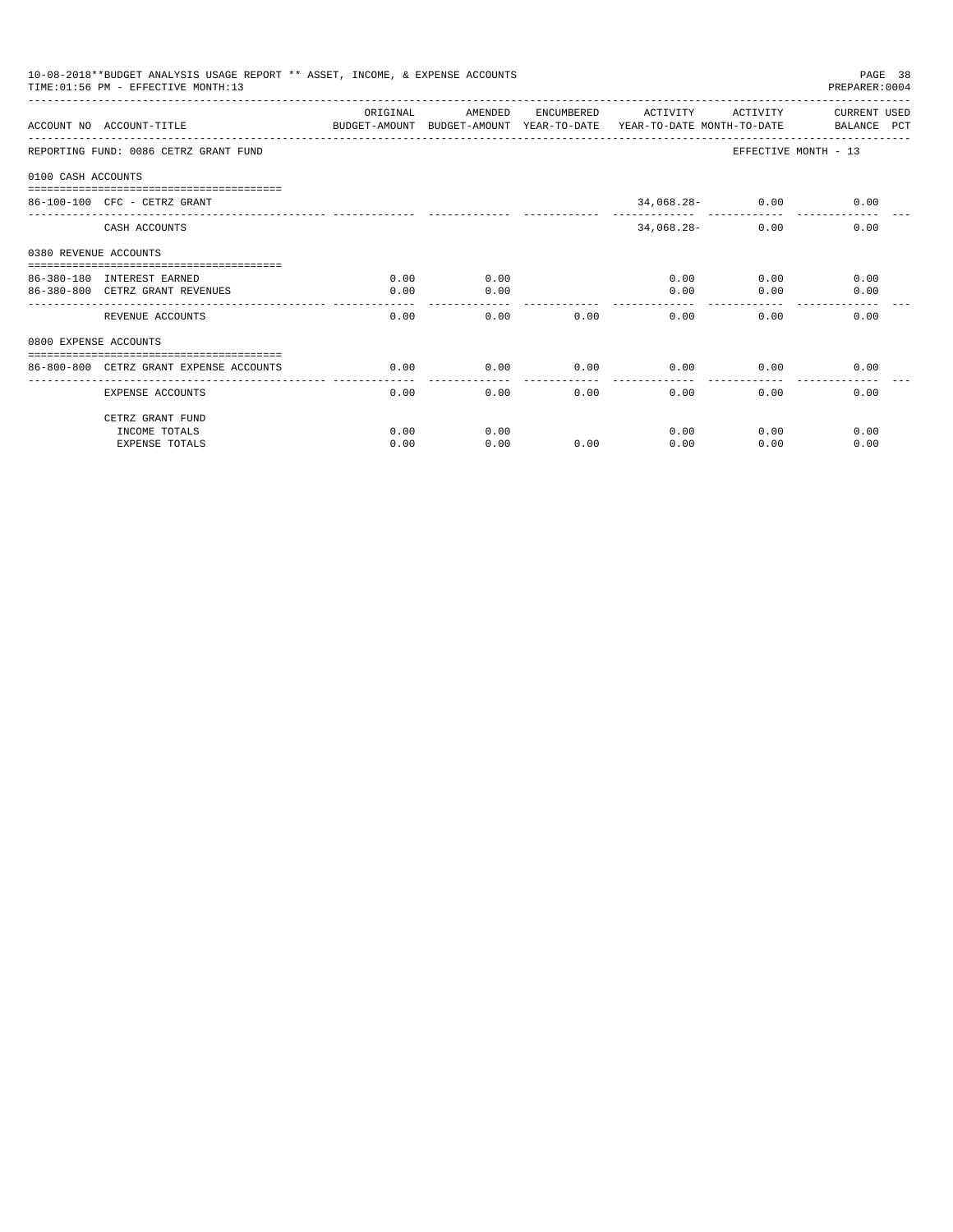| 10-08-2018**BUDGET ANALYSIS USAGE REPORT ** ASSET, INCOME, & EXPENSE ACCOUNTS<br>PAGE 38<br>TIME: 01:56 PM - EFFECTIVE MONTH: 13<br>PREPARER: 0004 |                                                                                                                  |          |         |      |                     |                    |                      |  |
|----------------------------------------------------------------------------------------------------------------------------------------------------|------------------------------------------------------------------------------------------------------------------|----------|---------|------|---------------------|--------------------|----------------------|--|
|                                                                                                                                                    |                                                                                                                  | ORIGINAL | AMENDED |      | ENCUMBERED ACTIVITY | ACTIVITY           | CURRENT USED         |  |
|                                                                                                                                                    | ACCOUNT NO ACCOUNT-TITLE CONTROL SUDGET-AMOUNT BUDGET-AMOUNT YEAR-TO-DATE YEAR-TO-DATE MONTH-TO-DATE BALANCE PCT |          |         |      |                     |                    |                      |  |
|                                                                                                                                                    | REPORTING FUND: 0086 CETRZ GRANT FUND                                                                            |          |         |      |                     |                    | EFFECTIVE MONTH - 13 |  |
| 0100 CASH ACCOUNTS                                                                                                                                 |                                                                                                                  |          |         |      |                     |                    |                      |  |
|                                                                                                                                                    | $86 - 100 - 100$ CFC - CETRZ GRANT                                                                               |          |         |      |                     | $34,068.28 - 0.00$ | 0.00                 |  |
|                                                                                                                                                    | CASH ACCOUNTS                                                                                                    |          |         |      | $34,068.28-$        | 0.00               | 0.00                 |  |
| 0380 REVENUE ACCOUNTS                                                                                                                              |                                                                                                                  |          |         |      |                     |                    |                      |  |
|                                                                                                                                                    | 86-380-180 INTEREST EARNED                                                                                       | 0.00     | 0.00    |      |                     | 0.00               | 0.00<br>0.00         |  |
|                                                                                                                                                    | 86-380-800 CETRZ GRANT REVENUES                                                                                  | 0.00     | 0.00    |      | 0.00                | 0.00               | 0.00                 |  |
|                                                                                                                                                    | REVENUE ACCOUNTS                                                                                                 | 0.00     | 0.00    | 0.00 | 0.00                | 0.00               | 0.00                 |  |
| 0800 EXPENSE ACCOUNTS                                                                                                                              |                                                                                                                  |          |         |      |                     |                    |                      |  |
|                                                                                                                                                    | ==============================                                                                                   |          |         |      |                     |                    |                      |  |
|                                                                                                                                                    | 86-800-800 CETRZ GRANT EXPENSE ACCOUNTS                                                                          | 0.00     | 0.00    | 0.00 | 0.00<br>-------     | 0.00               | 0.00                 |  |
|                                                                                                                                                    | EXPENSE ACCOUNTS                                                                                                 | 0.00     | 0.00    | 0.00 | 0.00                | 0.00               | 0.00                 |  |
|                                                                                                                                                    | CETRZ GRANT FUND                                                                                                 |          |         |      |                     |                    |                      |  |
|                                                                                                                                                    | INCOME TOTALS                                                                                                    | 0.00     | 0.00    |      | 0.00                | 0.00               | 0.00                 |  |
|                                                                                                                                                    | <b>EXPENSE TOTALS</b>                                                                                            | 0.00     | 0.00    | 0.00 | 0.00                | 0.00               | 0.00                 |  |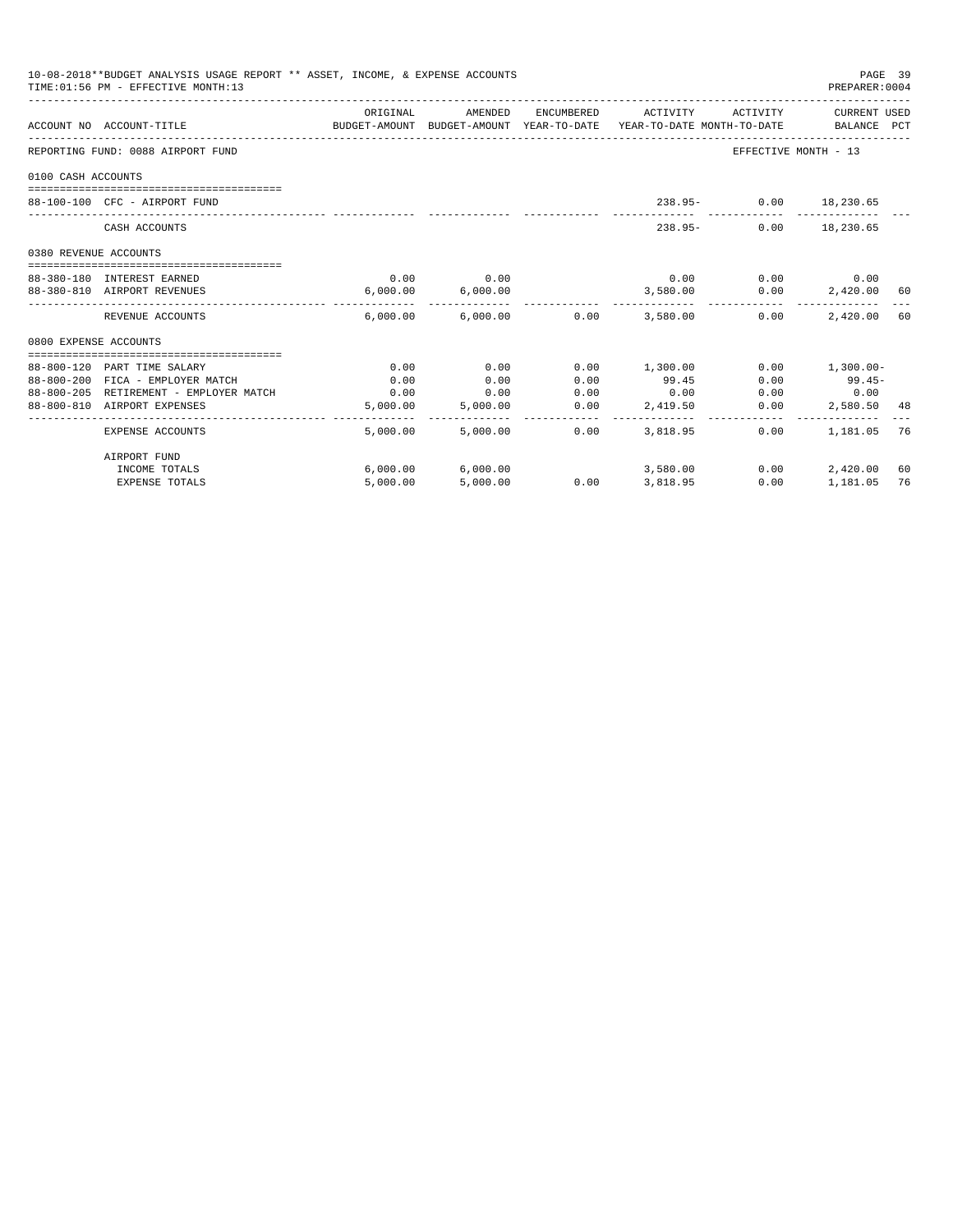| 10-08-2018**BUDGET ANALYSIS USAGE REPORT ** ASSET, INCOME, & EXPENSE ACCOUNTS<br>TIME: 01:56 PM - EFFECTIVE MONTH: 13 |                                        |                                                                                             |                                         |                       |                                           |                             |                  | PAGE 39<br>PREPARER: 0004 |
|-----------------------------------------------------------------------------------------------------------------------|----------------------------------------|---------------------------------------------------------------------------------------------|-----------------------------------------|-----------------------|-------------------------------------------|-----------------------------|------------------|---------------------------|
|                                                                                                                       | ACCOUNT NO ACCOUNT-TITLE               | ORIGINAL<br>BUDGET-AMOUNT BUDGET-AMOUNT YEAR-TO-DATE YEAR-TO-DATE MONTH-TO-DATE BALANCE PCT | AMENDED                                 |                       | ENCUMBERED ACTIVITY ACTIVITY CURRENT USED |                             |                  |                           |
|                                                                                                                       | REPORTING FUND: 0088 AIRPORT FUND      |                                                                                             |                                         |                       |                                           | EFFECTIVE MONTH - 13        |                  |                           |
| 0100 CASH ACCOUNTS                                                                                                    |                                        |                                                                                             |                                         |                       |                                           |                             |                  |                           |
|                                                                                                                       | 88-100-100 CFC - AIRPORT FUND          |                                                                                             |                                         |                       |                                           | 238.95- 0.00 18,230.65      |                  |                           |
|                                                                                                                       | CASH ACCOUNTS                          |                                                                                             |                                         |                       | $238.95 -$                                |                             | $0.00$ 18,230.65 |                           |
| 0380 REVENUE ACCOUNTS                                                                                                 |                                        |                                                                                             |                                         |                       |                                           |                             |                  |                           |
|                                                                                                                       | 88-380-180 INTEREST EARNED             | 0.00                                                                                        | 0.00                                    |                       |                                           | $0.00$ $0.00$ $0.00$ $0.00$ |                  |                           |
|                                                                                                                       | 88-380-810 AIRPORT REVENUES            |                                                                                             | 6,000.00 6,000.00                       |                       |                                           | 3,580.00 0.00               | 2,420.00 60      |                           |
|                                                                                                                       | REVENUE ACCOUNTS                       |                                                                                             |                                         |                       | $6.000.00$ $6.000.00$ $0.00$ $3.580.00$   | 0.00                        | 2,420.00 60      |                           |
| 0800 EXPENSE ACCOUNTS                                                                                                 |                                        |                                                                                             |                                         |                       |                                           |                             |                  |                           |
|                                                                                                                       |                                        |                                                                                             |                                         |                       |                                           |                             |                  |                           |
|                                                                                                                       | 88-800-120 PART TIME SALARY            | 0.00                                                                                        | 0.00                                    | 0.00                  | 1,300.00                                  | 0.00                        | $1,300.00-$      |                           |
|                                                                                                                       | 88-800-200 FICA - EMPLOYER MATCH       | 0.00                                                                                        | 0.00                                    | 0.00                  | 99.45                                     | 0.00                        | $99.45-$         |                           |
|                                                                                                                       | 88-800-205 RETIREMENT - EMPLOYER MATCH | 0.00                                                                                        | 0.00                                    | 0.00                  | 0.00                                      | 0.00                        | 0.00             |                           |
|                                                                                                                       | 88-800-810 AIRPORT EXPENSES            | 5,000.00                                                                                    | 5,000.00<br>------------ -------------- | 0.00<br>------------- | 2,419.50                                  | 0.00                        | 2,580.50 48      |                           |
|                                                                                                                       | <b>EXPENSE ACCOUNTS</b>                | 5,000.00                                                                                    | 5,000,00                                | 0.00                  | 3,818,95                                  | $0.00 -$                    | 1,181.05 76      |                           |
|                                                                                                                       | AIRPORT FUND                           |                                                                                             |                                         |                       |                                           |                             |                  |                           |
|                                                                                                                       | INCOME TOTALS                          |                                                                                             | 6,000.00 6,000.00                       |                       | 3,580.00                                  | 0.00                        | 2,420.00         | 60                        |
|                                                                                                                       | <b>EXPENSE TOTALS</b>                  | 5,000.00                                                                                    | 5,000.00                                |                       | $0.00$ 3,818.95                           | 0.00                        | 1,181.05         | 76                        |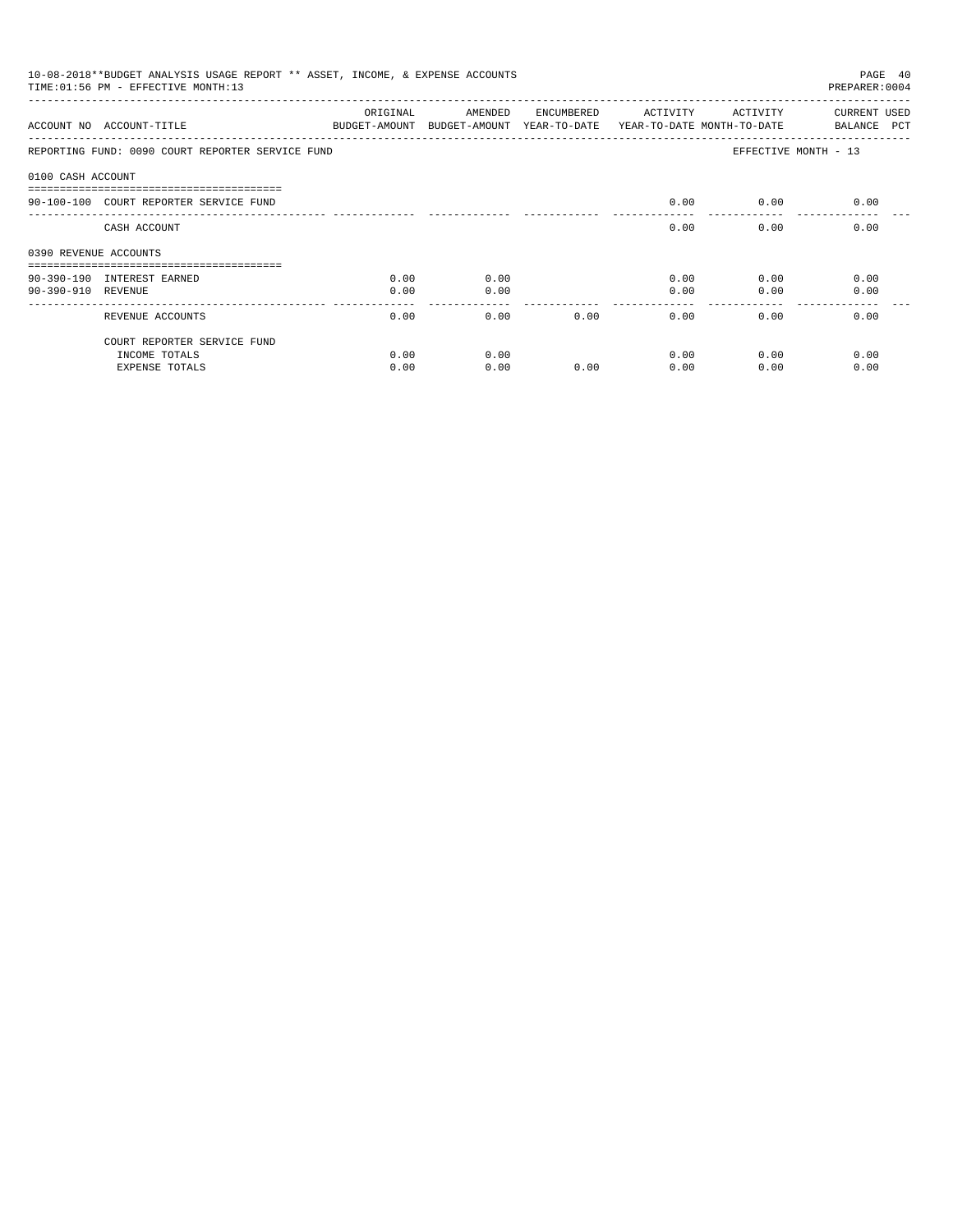| 10-08-2018**BUDGET ANALYSIS USAGE REPORT ** ASSET, INCOME, & EXPENSE ACCOUNTS<br>PAGE 40<br>TIME: 01:56 PM - EFFECTIVE MONTH: 13<br>PREPARER: 0004 |                                                  |                           |                                       |            |          |                                        |                                    |  |
|----------------------------------------------------------------------------------------------------------------------------------------------------|--------------------------------------------------|---------------------------|---------------------------------------|------------|----------|----------------------------------------|------------------------------------|--|
|                                                                                                                                                    | ACCOUNT NO ACCOUNT-TITLE                         | ORIGINAL<br>BUDGET-AMOUNT | AMENDED<br>BUDGET-AMOUNT YEAR-TO-DATE | ENCUMBERED | ACTIVITY | ACTIVITY<br>YEAR-TO-DATE MONTH-TO-DATE | <b>CURRENT USED</b><br>BALANCE PCT |  |
|                                                                                                                                                    | REPORTING FUND: 0090 COURT REPORTER SERVICE FUND |                           |                                       |            |          |                                        | EFFECTIVE MONTH - 13               |  |
| 0100 CASH ACCOUNT                                                                                                                                  |                                                  |                           |                                       |            |          |                                        |                                    |  |
|                                                                                                                                                    | 90-100-100 COURT REPORTER SERVICE FUND           |                           |                                       |            | 0.00     | 0.00                                   | 0.00                               |  |
|                                                                                                                                                    | CASH ACCOUNT                                     |                           |                                       |            | 0.00     | 0.00                                   | 0.00                               |  |
| 0390 REVENUE ACCOUNTS                                                                                                                              |                                                  |                           |                                       |            |          |                                        |                                    |  |
|                                                                                                                                                    | 90-390-190 INTEREST EARNED                       | 0.00                      | 0.00                                  |            | 0.00     | 0.00                                   | 0.00                               |  |
| 90-390-910 REVENUE                                                                                                                                 |                                                  | 0.00                      | 0.00                                  |            | 0.00     | 0.00                                   | 0.00                               |  |
|                                                                                                                                                    | REVENUE ACCOUNTS                                 | 0.00                      | 0.00                                  | 0.00       | 0.00     | 0.00                                   | 0.00                               |  |
|                                                                                                                                                    | COURT REPORTER SERVICE FUND                      |                           |                                       |            |          |                                        |                                    |  |
|                                                                                                                                                    | INCOME TOTALS                                    | 0.00                      | 0.00                                  |            | 0.00     | 0.00                                   | 0.00                               |  |
|                                                                                                                                                    | <b>EXPENSE TOTALS</b>                            | 0.00                      | 0.00                                  | 0.00       | 0.00     | 0.00                                   | 0.00                               |  |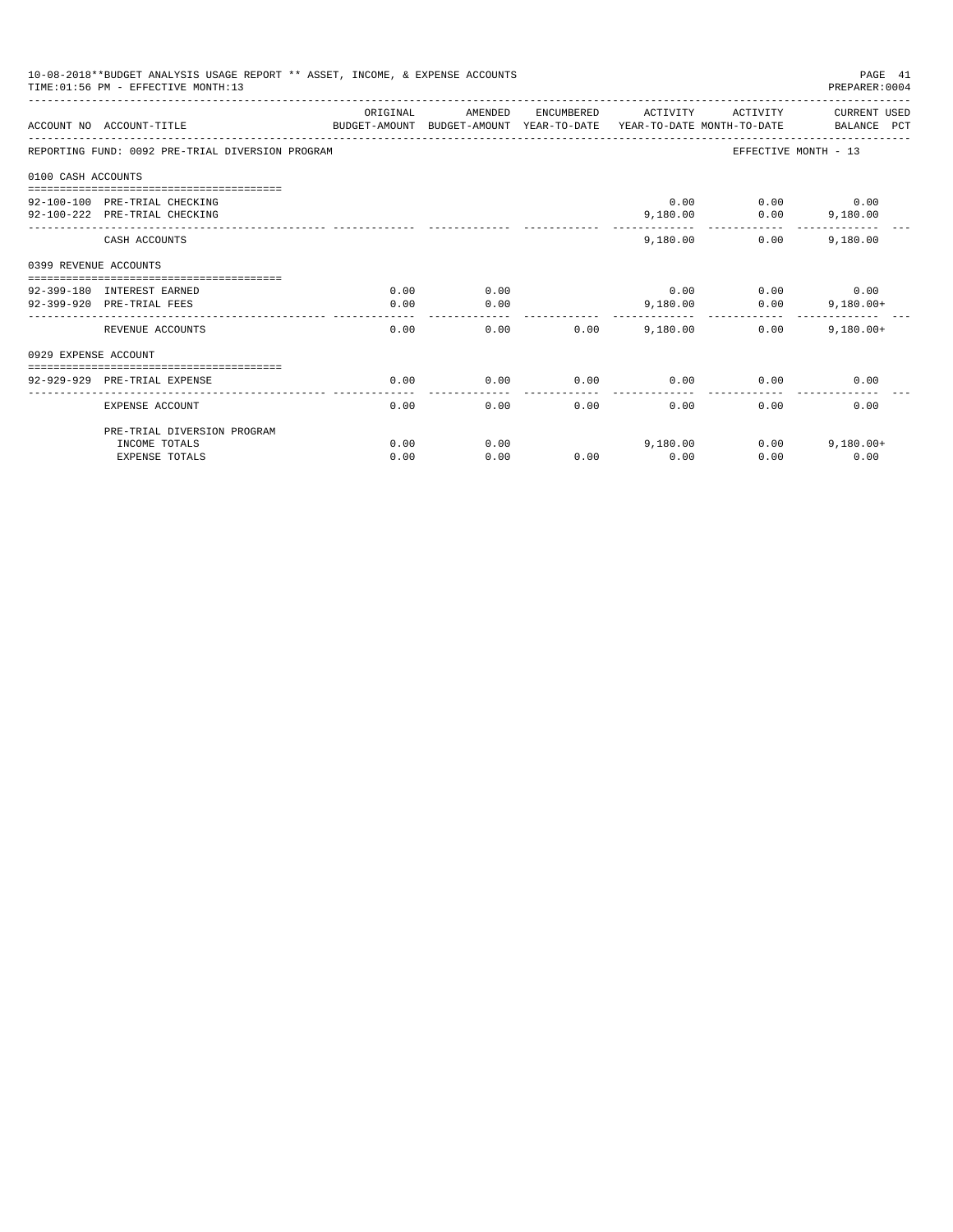| 10-08-2018**BUDGET ANALYSIS USAGE REPORT ** ASSET, INCOME, & EXPENSE ACCOUNTS<br>TIME: 01:56 PM - EFFECTIVE MONTH: 13<br>PREPARER: 0004 |                                                                                                 |          |         |            |          |          |                             |  |
|-----------------------------------------------------------------------------------------------------------------------------------------|-------------------------------------------------------------------------------------------------|----------|---------|------------|----------|----------|-----------------------------|--|
|                                                                                                                                         | BUDGET-AMOUNT BUDGET-AMOUNT YEAR-TO-DATE YEAR-TO-DATE MONTH-TO-DATE<br>ACCOUNT NO ACCOUNT-TITLE | ORIGINAL | AMENDED | ENCUMBERED | ACTIVITY | ACTIVITY | CURRENT USED<br>BALANCE PCT |  |
|                                                                                                                                         | REPORTING FUND: 0092 PRE-TRIAL DIVERSION PROGRAM                                                |          |         |            |          |          | EFFECTIVE MONTH - 13        |  |
| 0100 CASH ACCOUNTS                                                                                                                      |                                                                                                 |          |         |            |          |          |                             |  |
|                                                                                                                                         |                                                                                                 |          |         |            |          |          |                             |  |
|                                                                                                                                         | 92-100-100 PRE-TRIAL CHECKING                                                                   |          |         |            | 0.00     |          | $0.00$ 0.00                 |  |
|                                                                                                                                         | 92-100-222 PRE-TRIAL CHECKING<br>----------------- --------------                               |          |         |            | 9,180.00 |          | $0.00$ 9,180.00             |  |
|                                                                                                                                         | CASH ACCOUNTS                                                                                   |          |         |            | 9,180,00 | 0.00     | 9,180.00                    |  |
| 0399 REVENUE ACCOUNTS                                                                                                                   |                                                                                                 |          |         |            |          |          |                             |  |
|                                                                                                                                         |                                                                                                 |          |         |            |          |          |                             |  |
|                                                                                                                                         | 92-399-180 INTEREST EARNED                                                                      | 0.00     | 0.00    |            | 0.00     |          | $0.00$ 0.00                 |  |
|                                                                                                                                         | 92-399-920 PRE-TRIAL FEES                                                                       | 0.00     | 0.00    |            | 9,180.00 | 0.00     | $9,180.00+$                 |  |
|                                                                                                                                         | REVENUE ACCOUNTS                                                                                | 0.00     | 0.00    | 0.00       | 9,180.00 | $0.00 -$ | $9,180.00+$                 |  |
| 0929 EXPENSE ACCOUNT                                                                                                                    |                                                                                                 |          |         |            |          |          |                             |  |
|                                                                                                                                         |                                                                                                 |          |         |            |          |          |                             |  |
|                                                                                                                                         | 92-929-929 PRE-TRIAL EXPENSE                                                                    | 0.00     | 0.00    | 0.00       | 0.00     | 0.00     | 0.00                        |  |
|                                                                                                                                         | EXPENSE ACCOUNT                                                                                 | 0.00     | 0.00    | 0.00       | 0.00     | 0.00     | 0.00                        |  |
|                                                                                                                                         | PRE-TRIAL DIVERSION PROGRAM                                                                     |          |         |            |          |          |                             |  |
|                                                                                                                                         | INCOME TOTALS                                                                                   | 0.00     | 0.00    |            | 9,180.00 | 0.00     | $9.180.00+$                 |  |
|                                                                                                                                         | <b>EXPENSE TOTALS</b>                                                                           | 0.00     | 0.00    | 0.00       | 0.00     | 0.00     | 0.00                        |  |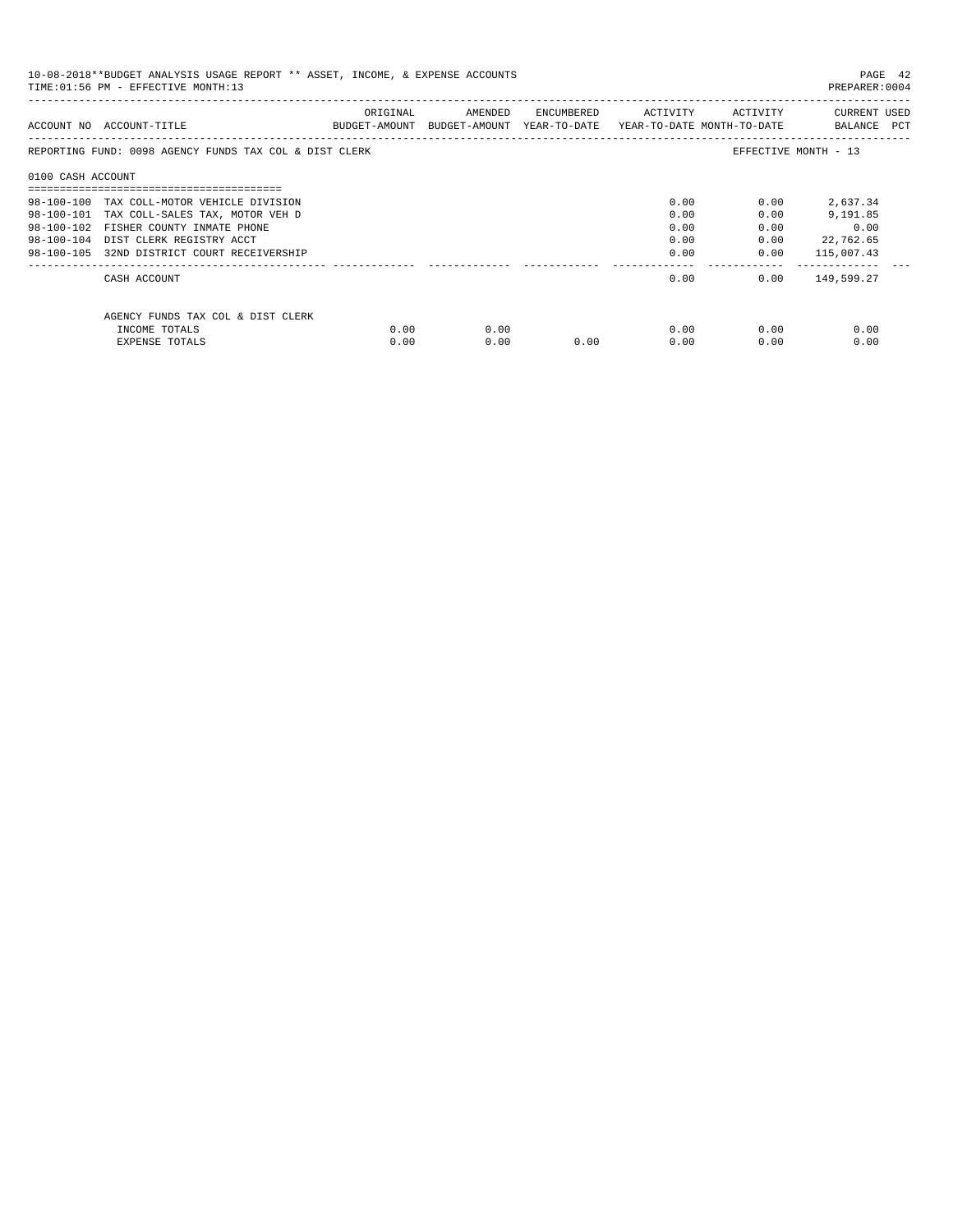| 10-08-2018**BUDGET ANALYSIS USAGE REPORT ** ASSET, INCOME, & EXPENSE ACCOUNTS<br>TIME: 01:56 PM - EFFECTIVE MONTH: 13 |                                                        |          |                                                                     |                             |      |              |                             |
|-----------------------------------------------------------------------------------------------------------------------|--------------------------------------------------------|----------|---------------------------------------------------------------------|-----------------------------|------|--------------|-----------------------------|
|                                                                                                                       | ACCOUNT NO ACCOUNT-TITLE                               | ORIGINAL | BUDGET-AMOUNT BUDGET-AMOUNT YEAR-TO-DATE YEAR-TO-DATE MONTH-TO-DATE | AMENDED ENCUMBERED ACTIVITY |      | ACTIVITY     | CURRENT USED<br>BALANCE PCT |
|                                                                                                                       | REPORTING FUND: 0098 AGENCY FUNDS TAX COL & DIST CLERK |          |                                                                     |                             |      |              | EFFECTIVE MONTH - 13        |
| 0100 CASH ACCOUNT                                                                                                     |                                                        |          |                                                                     |                             |      |              |                             |
|                                                                                                                       | 98-100-100 TAX COLL-MOTOR VEHICLE DIVISION             |          |                                                                     |                             | 0.00 | 0.00         | 2,637.34                    |
|                                                                                                                       | 98-100-101 TAX COLL-SALES TAX, MOTOR VEH D             |          |                                                                     |                             | 0.00 | 0.00         | 9,191.85                    |
|                                                                                                                       | 98-100-102 FISHER COUNTY INMATE PHONE                  |          |                                                                     |                             | 0.00 | 0.00         | 0.00                        |
|                                                                                                                       | 98-100-104 DIST CLERK REGISTRY ACCT                    |          |                                                                     |                             | 0.00 | 0.00         | 22,762.65                   |
|                                                                                                                       | 98-100-105 32ND DISTRICT COURT RECEIVERSHIP            |          |                                                                     |                             |      | 0.00<br>0.00 | 115,007.43                  |
|                                                                                                                       | CASH ACCOUNT                                           |          |                                                                     |                             | 0.00 |              | $0.00$ 149,599.27           |
|                                                                                                                       | AGENCY FUNDS TAX COL & DIST CLERK                      |          |                                                                     |                             |      |              |                             |
|                                                                                                                       | INCOME TOTALS                                          | 0.00     | 0.00                                                                |                             | 0.00 | 0.00         | 0.00                        |
|                                                                                                                       | EXPENSE TOTALS                                         | 0.00     | 0.00                                                                | 0.00                        | 0.00 | 0.00         | 0.00                        |